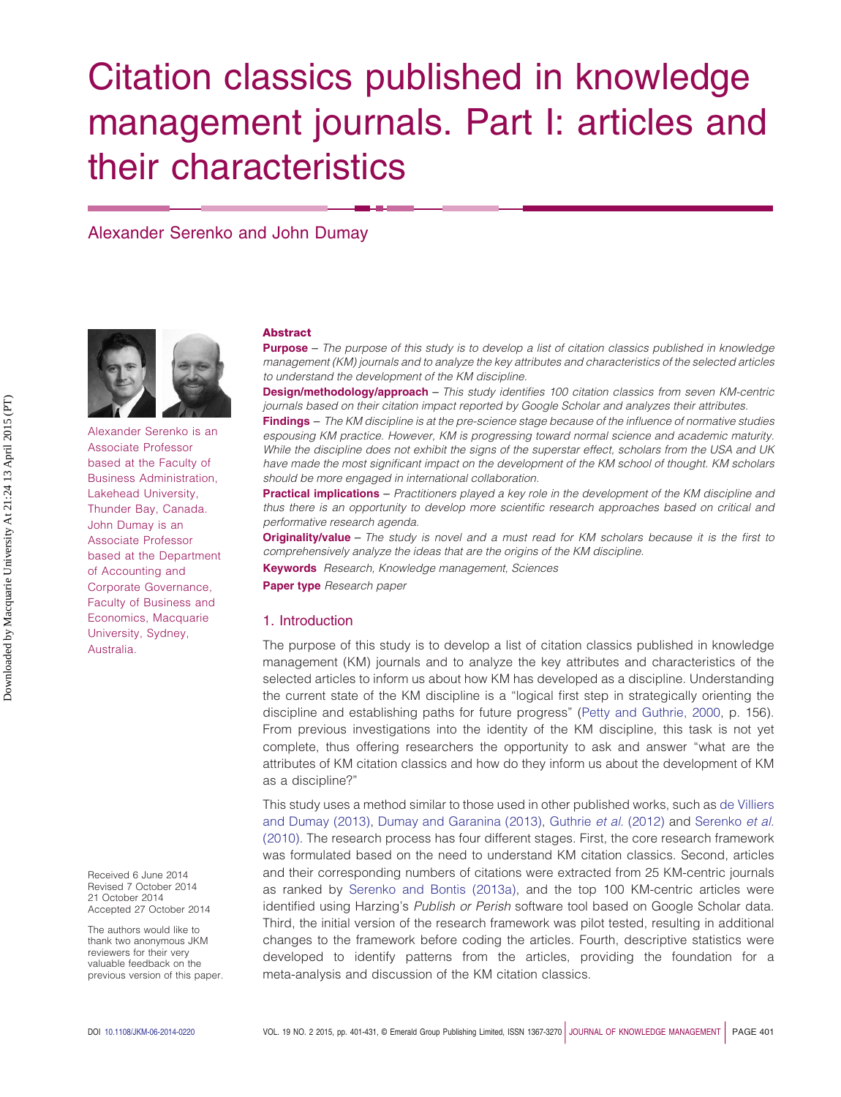# Citation classics published in knowledge management journals. Part I: articles and their characteristics

Alexander Serenko and John Dumay



Alexander Serenko is an Associate Professor based at the Faculty of Business Administration, Lakehead University, Thunder Bay, Canada. John Dumay is an Associate Professor based at the Department of Accounting and Corporate Governance, Faculty of Business and Economics, Macquarie University, Sydney, Australia.

Received 6 June 2014 Revised 7 October 2014 21 October 2014 Accepted 27 October 2014

The authors would like to thank two anonymous JKM reviewers for their very valuable feedback on the previous version of this paper.

#### **Abstract**

**Purpose** – *The purpose of this study is to develop a list of citation classics published in knowledge management (KM) journals and to analyze the key attributes and characteristics of the selected articles to understand the development of the KM discipline.*

**Design/methodology/approach** – *This study identifies 100 citation classics from seven KM-centric journals based on their citation impact reported by Google Scholar and analyzes their attributes.*

**Findings** – *The KM discipline is at the pre-science stage because of the influence of normative studies espousing KM practice. However, KM is progressing toward normal science and academic maturity. While the discipline does not exhibit the signs of the superstar effect, scholars from the USA and UK have made the most significant impact on the development of the KM school of thought. KM scholars should be more engaged in international collaboration.*

**Practical implications** – *Practitioners played a key role in the development of the KM discipline and thus there is an opportunity to develop more scientific research approaches based on critical and performative research agenda.*

**Originality/value** – *The study is novel and a must read for KM scholars because it is the first to comprehensively analyze the ideas that are the origins of the KM discipline.*

**Keywords** *Research, Knowledge management, Sciences*

**Paper type** *Research paper*

# 1. Introduction

The purpose of this study is to develop a list of citation classics published in knowledge management (KM) journals and to analyze the key attributes and characteristics of the selected articles to inform us about how KM has developed as a discipline. Understanding the current state of the KM discipline is a "logical first step in strategically orienting the discipline and establishing paths for future progress" [\(Petty and Guthrie, 2000,](#page-23-0) p. 156). From previous investigations into the identity of the KM discipline, this task is not yet complete, thus offering researchers the opportunity to ask and answer "what are the attributes of KM citation classics and how do they inform us about the development of KM as a discipline?"

This study uses a method similar to those used in other published works, such as [de Villiers](#page-20-0) [and Dumay \(2013\),](#page-20-0) [Dumay and Garanina \(2013\),](#page-21-0) [Guthrie](#page-21-1) *et al.* (2012) and [Serenko](#page-24-0) *et al.* [\(2010\).](#page-24-0) The research process has four different stages. First, the core research framework was formulated based on the need to understand KM citation classics. Second, articles and their corresponding numbers of citations were extracted from 25 KM-centric journals as ranked by [Serenko and Bontis \(2013a\),](#page-24-1) and the top 100 KM-centric articles were identified using Harzing's *Publish or Perish* software tool based on Google Scholar data. Third, the initial version of the research framework was pilot tested, resulting in additional changes to the framework before coding the articles. Fourth, descriptive statistics were developed to identify patterns from the articles, providing the foundation for a meta-analysis and discussion of the KM citation classics.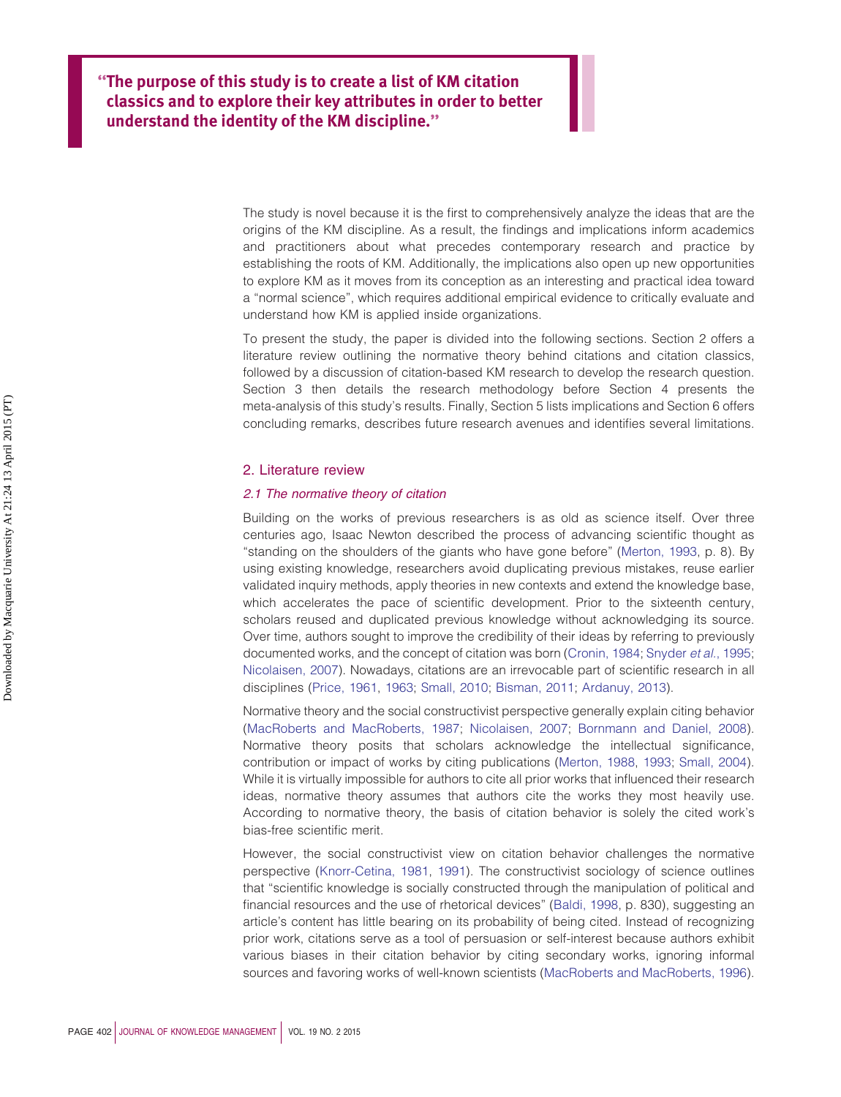**''The purpose of this study is to create a list of KM citation classics and to explore their key attributes in order to better understand the identity of the KM discipline.''**

> The study is novel because it is the first to comprehensively analyze the ideas that are the origins of the KM discipline. As a result, the findings and implications inform academics and practitioners about what precedes contemporary research and practice by establishing the roots of KM. Additionally, the implications also open up new opportunities to explore KM as it moves from its conception as an interesting and practical idea toward a "normal science", which requires additional empirical evidence to critically evaluate and understand how KM is applied inside organizations.

> To present the study, the paper is divided into the following sections. Section 2 offers a literature review outlining the normative theory behind citations and citation classics, followed by a discussion of citation-based KM research to develop the research question. Section 3 then details the research methodology before Section 4 presents the meta-analysis of this study's results. Finally, Section 5 lists implications and Section 6 offers concluding remarks, describes future research avenues and identifies several limitations.

#### 2. Literature review

### *2.1 The normative theory of citation*

Building on the works of previous researchers is as old as science itself. Over three centuries ago, Isaac Newton described the process of advancing scientific thought as "standing on the shoulders of the giants who have gone before" [\(Merton, 1993,](#page-23-1) p. 8). By using existing knowledge, researchers avoid duplicating previous mistakes, reuse earlier validated inquiry methods, apply theories in new contexts and extend the knowledge base, which accelerates the pace of scientific development. Prior to the sixteenth century, scholars reused and duplicated previous knowledge without acknowledging its source. Over time, authors sought to improve the credibility of their ideas by referring to previously documented works, and the concept of citation was born [\(Cronin, 1984;](#page-20-1) [Snyder](#page-25-0) *et al.*, 1995; [Nicolaisen, 2007\)](#page-23-2). Nowadays, citations are an irrevocable part of scientific research in all disciplines [\(Price, 1961,](#page-23-3) [1963;](#page-23-4) [Small, 2010;](#page-25-1) [Bisman, 2011;](#page-19-0) [Ardanuy, 2013\)](#page-19-1).

Normative theory and the social constructivist perspective generally explain citing behavior [\(MacRoberts and MacRoberts, 1987;](#page-23-5) [Nicolaisen, 2007;](#page-23-2) [Bornmann and Daniel, 2008\)](#page-20-2). Normative theory posits that scholars acknowledge the intellectual significance, contribution or impact of works by citing publications [\(Merton, 1988,](#page-23-6) [1993;](#page-23-1) [Small, 2004\)](#page-25-2). While it is virtually impossible for authors to cite all prior works that influenced their research ideas, normative theory assumes that authors cite the works they most heavily use. According to normative theory, the basis of citation behavior is solely the cited work's bias-free scientific merit.

However, the social constructivist view on citation behavior challenges the normative perspective [\(Knorr-Cetina, 1981,](#page-22-0) [1991\)](#page-22-1). The constructivist sociology of science outlines that "scientific knowledge is socially constructed through the manipulation of political and financial resources and the use of rhetorical devices" [\(Baldi, 1998,](#page-19-2) p. 830), suggesting an article's content has little bearing on its probability of being cited. Instead of recognizing prior work, citations serve as a tool of persuasion or self-interest because authors exhibit various biases in their citation behavior by citing secondary works, ignoring informal sources and favoring works of well-known scientists [\(MacRoberts and MacRoberts, 1996\)](#page-23-7).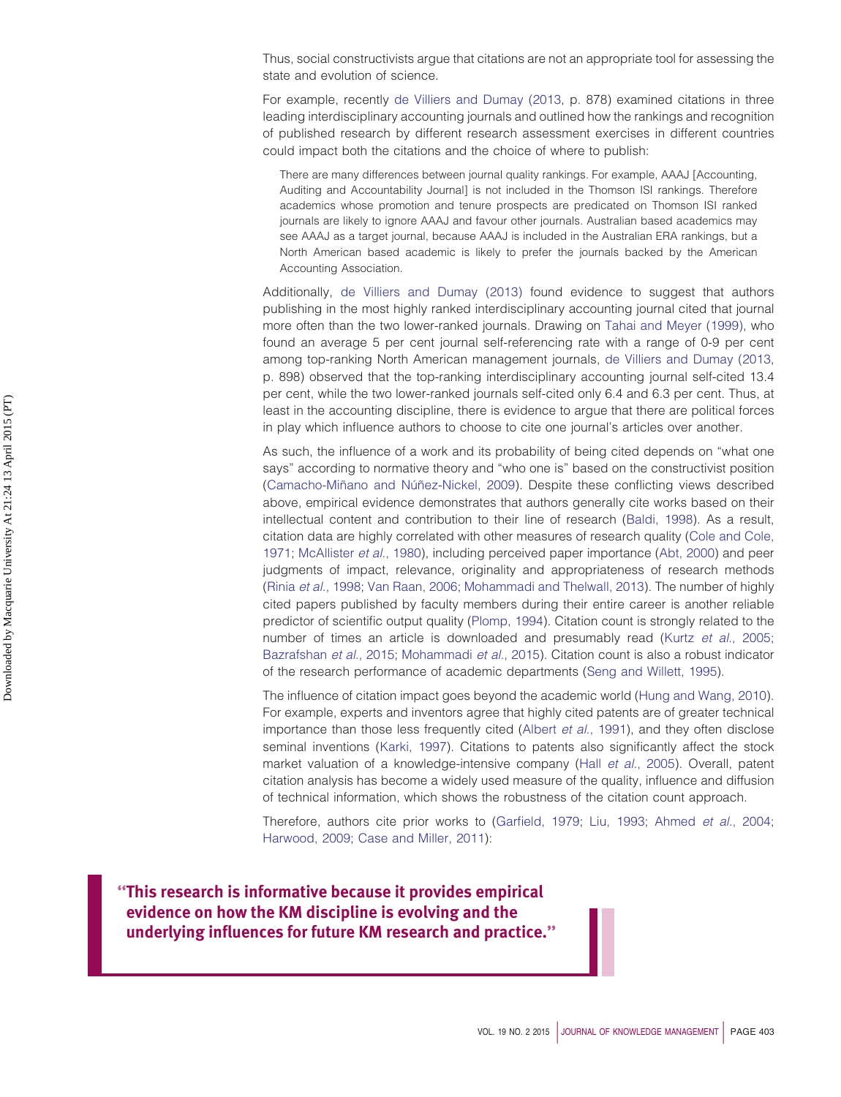Thus, social constructivists argue that citations are not an appropriate tool for assessing the state and evolution of science.

For example, recently [de Villiers and Dumay \(2013,](#page-20-0) p. 878) examined citations in three leading interdisciplinary accounting journals and outlined how the rankings and recognition of published research by different research assessment exercises in different countries could impact both the citations and the choice of where to publish:

There are many differences between journal quality rankings. For example, AAAJ [Accounting, Auditing and Accountability Journal] is not included in the Thomson ISI rankings. Therefore academics whose promotion and tenure prospects are predicated on Thomson ISI ranked journals are likely to ignore AAAJ and favour other journals. Australian based academics may see AAAJ as a target journal, because AAAJ is included in the Australian ERA rankings, but a North American based academic is likely to prefer the journals backed by the American Accounting Association.

Additionally, [de Villiers and Dumay \(2013\)](#page-20-0) found evidence to suggest that authors publishing in the most highly ranked interdisciplinary accounting journal cited that journal more often than the two lower-ranked journals. Drawing on [Tahai and Meyer \(1999\),](#page-25-3) who found an average 5 per cent journal self-referencing rate with a range of 0-9 per cent among top-ranking North American management journals, [de Villiers and Dumay \(2013,](#page-20-0) p. 898) observed that the top-ranking interdisciplinary accounting journal self-cited 13.4 per cent, while the two lower-ranked journals self-cited only 6.4 and 6.3 per cent. Thus, at least in the accounting discipline, there is evidence to argue that there are political forces in play which influence authors to choose to cite one journal's articles over another.

As such, the influence of a work and its probability of being cited depends on "what one says" according to normative theory and "who one is" based on the constructivist position [\(Camacho-Miñano and Núñez-Nickel, 2009\)](#page-20-3). Despite these conflicting views described above, empirical evidence demonstrates that authors generally cite works based on their intellectual content and contribution to their line of research [\(Baldi, 1998\)](#page-19-2). As a result, citation data are highly correlated with other measures of research quality [\(Cole and Cole,](#page-20-4) [1971;](#page-20-4) [McAllister](#page-23-8) *et al.*, 1980), including perceived paper importance [\(Abt, 2000\)](#page-19-3) and peer judgments of impact, relevance, originality and appropriateness of research methods (Rinia *et al.*[, 1998;](#page-24-2) [Van Raan, 2006;](#page-25-4) [Mohammadi and Thelwall, 2013\)](#page-23-9). The number of highly cited papers published by faculty members during their entire career is another reliable predictor of scientific output quality [\(Plomp, 1994\)](#page-23-10). Citation count is strongly related to the number of times an article is downloaded and presumably read (Kurtz *et al.*[, 2005;](#page-22-2) [Bazrafshan](#page-19-4) *et al.*, 2015; [Mohammadi](#page-23-11) *et al.*, 2015). Citation count is also a robust indicator of the research performance of academic departments [\(Seng and Willett, 1995\)](#page-24-3).

The influence of citation impact goes beyond the academic world [\(Hung and Wang, 2010\)](#page-22-3). For example, experts and inventors agree that highly cited patents are of greater technical importance than those less frequently cited (Albert *et al.*[, 1991\)](#page-19-5), and they often disclose seminal inventions [\(Karki, 1997\)](#page-22-4). Citations to patents also significantly affect the stock market valuation of a knowledge-intensive company (Hall *et al.*[, 2005\)](#page-21-2). Overall, patent citation analysis has become a widely used measure of the quality, influence and diffusion of technical information, which shows the robustness of the citation count approach.

Therefore, authors cite prior works to [\(Garfield, 1979;](#page-21-3) [Liu, 1993;](#page-22-5) [Ahmed](#page-19-6) *et al.*, 2004; [Harwood, 2009;](#page-21-4) [Case and Miller, 2011\)](#page-20-5):

**''This research is informative because it provides empirical evidence on how the KM discipline is evolving and the underlying influences for future KM research and practice.''**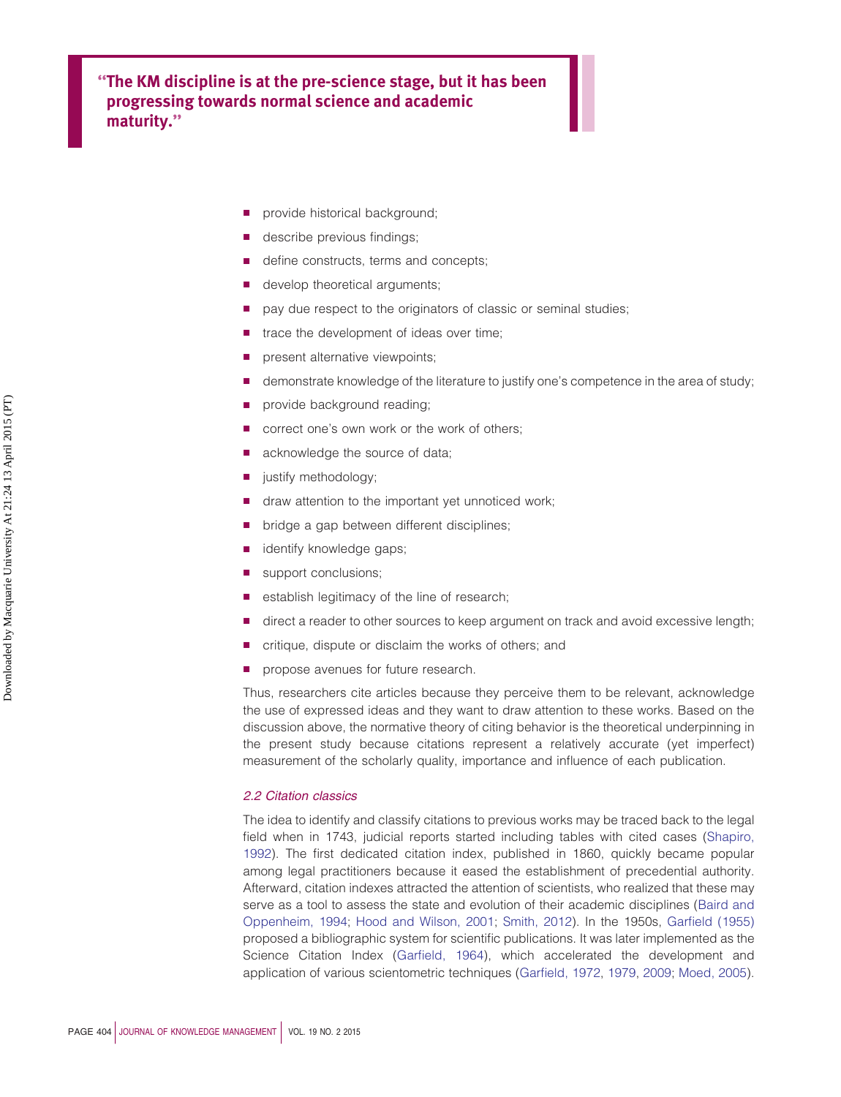**''The KM discipline is at the pre-science stage, but it has been progressing towards normal science and academic maturity.''**

- provide historical background;
- describe previous findings;
- define constructs, terms and concepts;
- develop theoretical arguments;
- pay due respect to the originators of classic or seminal studies;
- trace the development of ideas over time;
- present alternative viewpoints;
- demonstrate knowledge of the literature to justify one's competence in the area of study;
- provide background reading;
- correct one's own work or the work of others;
- acknowledge the source of data;
- justify methodology;
- draw attention to the important yet unnoticed work;
- bridge a gap between different disciplines;
- identify knowledge gaps;
- support conclusions;
- establish legitimacy of the line of research;
- direct a reader to other sources to keep argument on track and avoid excessive length;
- critique, dispute or disclaim the works of others; and
- propose avenues for future research.

Thus, researchers cite articles because they perceive them to be relevant, acknowledge the use of expressed ideas and they want to draw attention to these works. Based on the discussion above, the normative theory of citing behavior is the theoretical underpinning in the present study because citations represent a relatively accurate (yet imperfect) measurement of the scholarly quality, importance and influence of each publication.

# *2.2 Citation classics*

The idea to identify and classify citations to previous works may be traced back to the legal field when in 1743, judicial reports started including tables with cited cases [\(Shapiro,](#page-25-5) [1992\)](#page-25-5). The first dedicated citation index, published in 1860, quickly became popular among legal practitioners because it eased the establishment of precedential authority. Afterward, citation indexes attracted the attention of scientists, who realized that these may serve as a tool to assess the state and evolution of their academic disciplines [\(Baird and](#page-19-7) [Oppenheim, 1994;](#page-19-7) [Hood and Wilson, 2001;](#page-22-6) [Smith, 2012\)](#page-25-6). In the 1950s, [Garfield \(1955\)](#page-21-5) proposed a bibliographic system for scientific publications. It was later implemented as the Science Citation Index [\(Garfield, 1964\)](#page-21-6), which accelerated the development and application of various scientometric techniques [\(Garfield, 1972,](#page-21-7) [1979,](#page-21-3) [2009;](#page-21-8) [Moed, 2005\)](#page-23-12).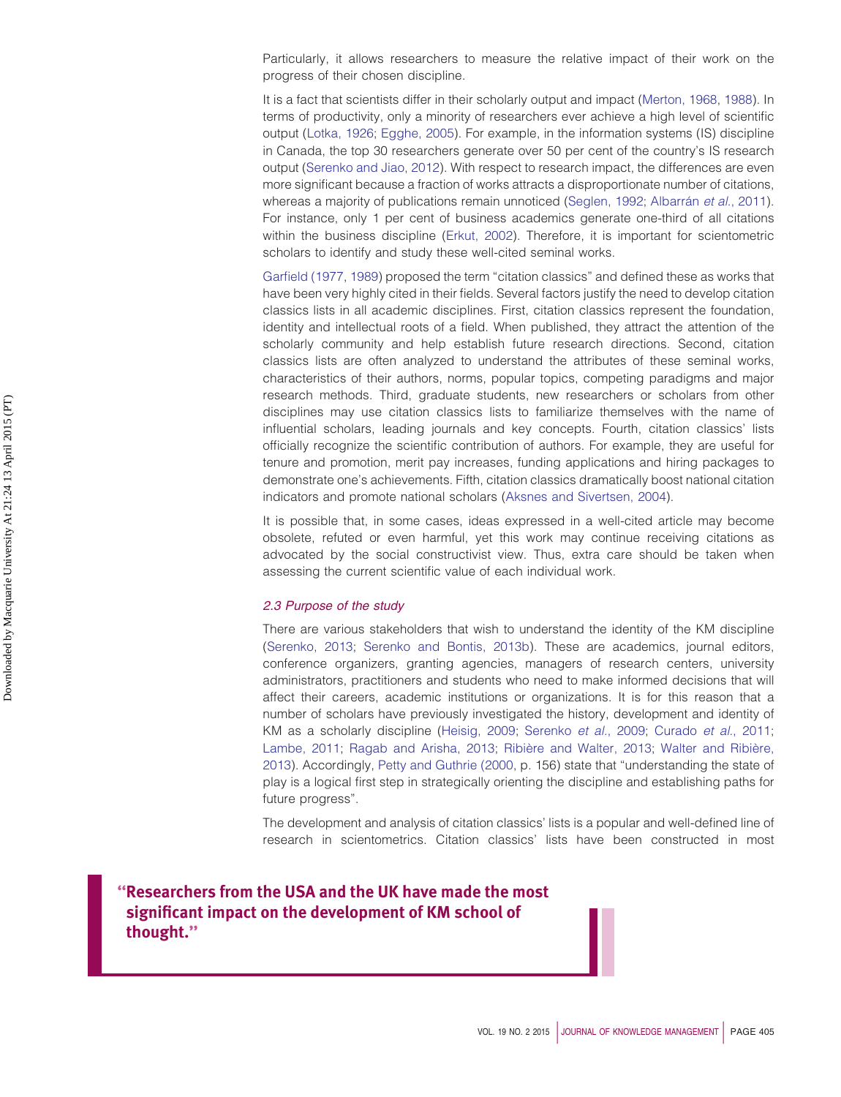Particularly, it allows researchers to measure the relative impact of their work on the progress of their chosen discipline.

It is a fact that scientists differ in their scholarly output and impact [\(Merton, 1968,](#page-23-13) [1988\)](#page-23-6). In terms of productivity, only a minority of researchers ever achieve a high level of scientific output [\(Lotka, 1926;](#page-22-7) [Egghe, 2005\)](#page-21-9). For example, in the information systems (IS) discipline in Canada, the top 30 researchers generate over 50 per cent of the country's IS research output [\(Serenko and Jiao, 2012\)](#page-24-4). With respect to research impact, the differences are even more significant because a fraction of works attracts a disproportionate number of citations, whereas a majority of publications remain unnoticed [\(Seglen, 1992;](#page-24-5) [Albarrán](#page-19-8) *et al.*, 2011). For instance, only 1 per cent of business academics generate one-third of all citations within the business discipline [\(Erkut, 2002\)](#page-21-10). Therefore, it is important for scientometric scholars to identify and study these well-cited seminal works.

[Garfield \(1977,](#page-21-11) [1989\)](#page-21-12) proposed the term "citation classics" and defined these as works that have been very highly cited in their fields. Several factors justify the need to develop citation classics lists in all academic disciplines. First, citation classics represent the foundation, identity and intellectual roots of a field. When published, they attract the attention of the scholarly community and help establish future research directions. Second, citation classics lists are often analyzed to understand the attributes of these seminal works, characteristics of their authors, norms, popular topics, competing paradigms and major research methods. Third, graduate students, new researchers or scholars from other disciplines may use citation classics lists to familiarize themselves with the name of influential scholars, leading journals and key concepts. Fourth, citation classics' lists officially recognize the scientific contribution of authors. For example, they are useful for tenure and promotion, merit pay increases, funding applications and hiring packages to demonstrate one's achievements. Fifth, citation classics dramatically boost national citation indicators and promote national scholars [\(Aksnes and Sivertsen, 2004\)](#page-19-9).

It is possible that, in some cases, ideas expressed in a well-cited article may become obsolete, refuted or even harmful, yet this work may continue receiving citations as advocated by the social constructivist view. Thus, extra care should be taken when assessing the current scientific value of each individual work.

#### *2.3 Purpose of the study*

There are various stakeholders that wish to understand the identity of the KM discipline [\(Serenko, 2013;](#page-24-6) [Serenko and Bontis, 2013b\)](#page-24-7). These are academics, journal editors, conference organizers, granting agencies, managers of research centers, university administrators, practitioners and students who need to make informed decisions that will affect their careers, academic institutions or organizations. It is for this reason that a number of scholars have previously investigated the history, development and identity of KM as a scholarly discipline [\(Heisig, 2009;](#page-22-8) [Serenko](#page-24-8) *et al.*, 2009; [Curado](#page-20-6) *et al.*, 2011; [Lambe, 2011;](#page-22-9) [Ragab and Arisha, 2013;](#page-24-9) [Ribière and Walter, 2013;](#page-24-10) [Walter and Ribière,](#page-25-7) [2013\)](#page-25-7). Accordingly, [Petty and Guthrie \(2000,](#page-23-0) p. 156) state that "understanding the state of play is a logical first step in strategically orienting the discipline and establishing paths for future progress".

The development and analysis of citation classics' lists is a popular and well-defined line of research in scientometrics. Citation classics' lists have been constructed in most

**''Researchers from the USA and the UK have made the most significant impact on the development of KM school of thought.''**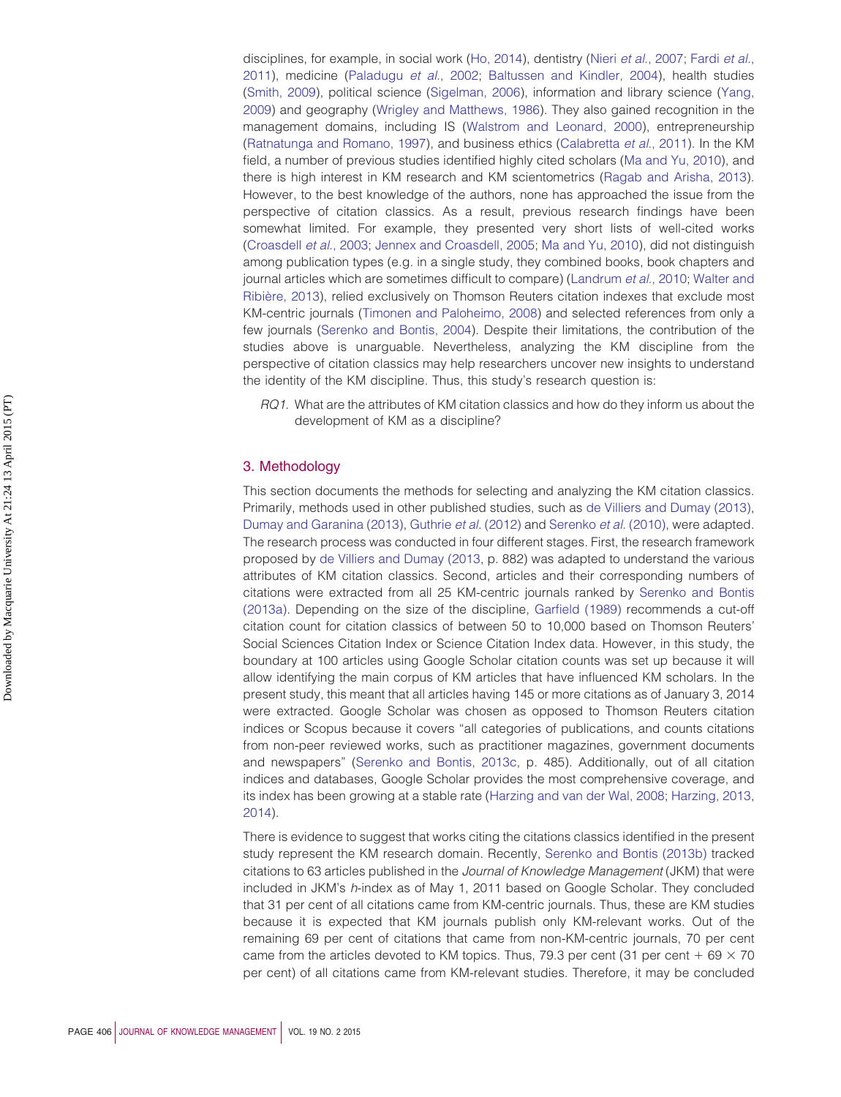disciplines, for example, in social work [\(Ho, 2014\)](#page-22-10), dentistry (Nieri *et al.*[, 2007;](#page-23-14) [Fardi](#page-21-13) *et al.*, [2011\)](#page-21-13), medicine [\(Paladugu](#page-23-15) *et al.*, 2002; [Baltussen and Kindler, 2004\)](#page-19-10), health studies [\(Smith, 2009\)](#page-25-8), political science [\(Sigelman, 2006\)](#page-25-9), information and library science [\(Yang,](#page-25-10) [2009\)](#page-25-10) and geography [\(Wrigley and Matthews, 1986\)](#page-25-11). They also gained recognition in the management domains, including IS [\(Walstrom and Leonard, 2000\)](#page-25-12), entrepreneurship [\(Ratnatunga and Romano, 1997\)](#page-24-11), and business ethics [\(Calabretta](#page-20-7) *et al.*, 2011). In the KM field, a number of previous studies identified highly cited scholars [\(Ma and Yu, 2010\)](#page-23-16), and there is high interest in KM research and KM scientometrics [\(Ragab and Arisha, 2013\)](#page-24-9). However, to the best knowledge of the authors, none has approached the issue from the perspective of citation classics. As a result, previous research findings have been somewhat limited. For example, they presented very short lists of well-cited works [\(Croasdell](#page-20-8) *et al.*, 2003; [Jennex and Croasdell, 2005;](#page-22-11) [Ma and Yu, 2010\)](#page-23-16), did not distinguish among publication types (e.g. in a single study, they combined books, book chapters and journal articles which are sometimes difficult to compare) [\(Landrum](#page-22-12) *et al.*, 2010; [Walter and](#page-25-7) [Ribière, 2013\)](#page-25-7), relied exclusively on Thomson Reuters citation indexes that exclude most KM-centric journals [\(Timonen and Paloheimo, 2008\)](#page-25-13) and selected references from only a few journals [\(Serenko and Bontis, 2004\)](#page-24-12). Despite their limitations, the contribution of the studies above is unarguable. Nevertheless, analyzing the KM discipline from the perspective of citation classics may help researchers uncover new insights to understand the identity of the KM discipline. Thus, this study's research question is:

*RQ1*. What are the attributes of KM citation classics and how do they inform us about the development of KM as a discipline?

# 3. Methodology

This section documents the methods for selecting and analyzing the KM citation classics. Primarily, methods used in other published studies, such as [de Villiers and Dumay \(2013\),](#page-20-0) [Dumay and Garanina \(2013\),](#page-21-0) [Guthrie](#page-21-1) *et al.* (2012) and [Serenko](#page-24-0) *et al.* (2010), were adapted. The research process was conducted in four different stages. First, the research framework proposed by [de Villiers and Dumay \(2013,](#page-20-0) p. 882) was adapted to understand the various attributes of KM citation classics. Second, articles and their corresponding numbers of citations were extracted from all 25 KM-centric journals ranked by [Serenko and Bontis](#page-24-1) [\(2013a\).](#page-24-1) Depending on the size of the discipline, [Garfield \(1989\)](#page-21-12) recommends a cut-off citation count for citation classics of between 50 to 10,000 based on Thomson Reuters' Social Sciences Citation Index or Science Citation Index data. However, in this study, the boundary at 100 articles using Google Scholar citation counts was set up because it will allow identifying the main corpus of KM articles that have influenced KM scholars. In the present study, this meant that all articles having 145 or more citations as of January 3, 2014 were extracted. Google Scholar was chosen as opposed to Thomson Reuters citation indices or Scopus because it covers "all categories of publications, and counts citations from non-peer reviewed works, such as practitioner magazines, government documents and newspapers" [\(Serenko and Bontis, 2013c,](#page-24-13) p. 485). Additionally, out of all citation indices and databases, Google Scholar provides the most comprehensive coverage, and its index has been growing at a stable rate [\(Harzing and van der Wal, 2008;](#page-22-13) [Harzing, 2013,](#page-21-14) [2014\)](#page-22-14).

There is evidence to suggest that works citing the citations classics identified in the present study represent the KM research domain. Recently, [Serenko and Bontis \(2013b\)](#page-24-7) tracked citations to 63 articles published in the *Journal of Knowledge Management* (JKM) that were included in JKM's *h*-index as of May 1, 2011 based on Google Scholar. They concluded that 31 per cent of all citations came from KM-centric journals. Thus, these are KM studies because it is expected that KM journals publish only KM-relevant works. Out of the remaining 69 per cent of citations that came from non-KM-centric journals, 70 per cent came from the articles devoted to KM topics. Thus, 79.3 per cent (31 per cent  $+$  69  $\times$  70 per cent) of all citations came from KM-relevant studies. Therefore, it may be concluded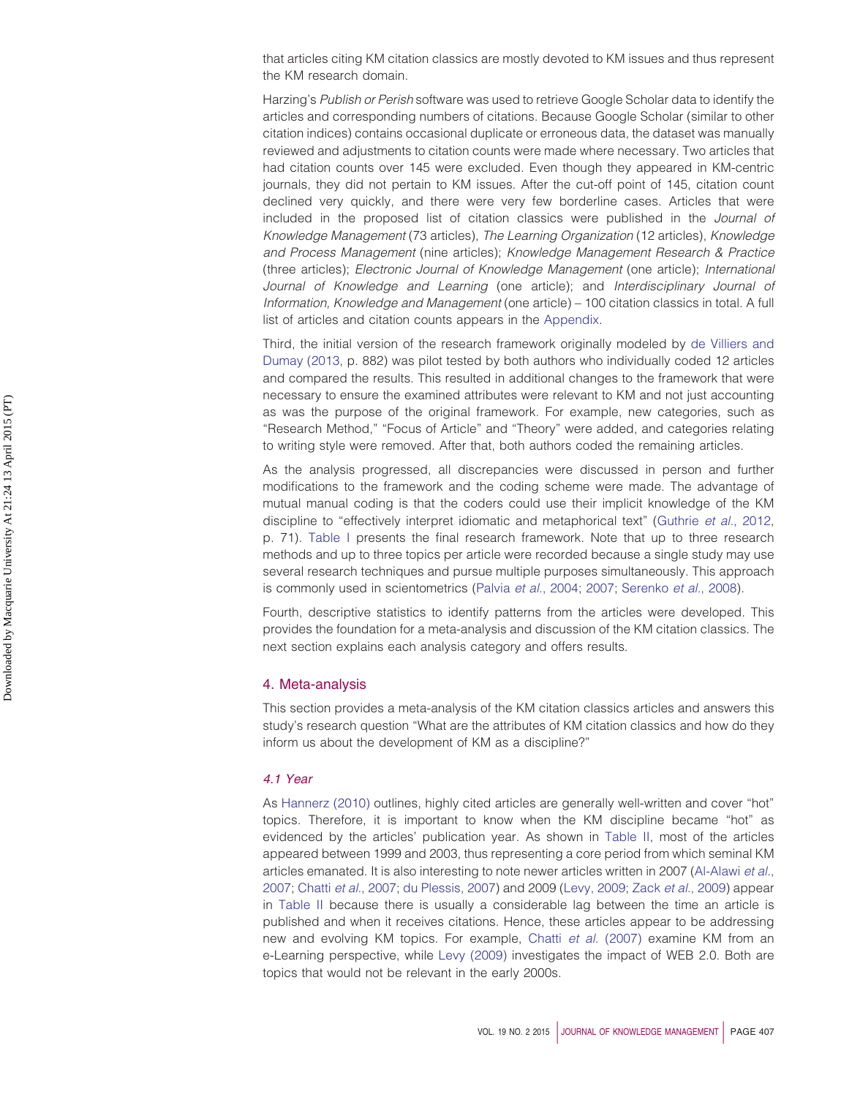that articles citing KM citation classics are mostly devoted to KM issues and thus represent the KM research domain.

Harzing's *Publish or Perish* software was used to retrieve Google Scholar data to identify the articles and corresponding numbers of citations. Because Google Scholar (similar to other citation indices) contains occasional duplicate or erroneous data, the dataset was manually reviewed and adjustments to citation counts were made where necessary. Two articles that had citation counts over 145 were excluded. Even though they appeared in KM-centric journals, they did not pertain to KM issues. After the cut-off point of 145, citation count declined very quickly, and there were very few borderline cases. Articles that were included in the proposed list of citation classics were published in the *Journal of Knowledge Management* (73 articles), *The Learning Organization* (12 articles), *Knowledge and Process Management* (nine articles); *Knowledge Management Research & Practice* (three articles); *Electronic Journal of Knowledge Management* (one article); *International Journal of Knowledge and Learning* (one article); and *Interdisciplinary Journal of Information, Knowledge and Management* (one article) – 100 citation classics in total. A full list of articles and citation counts appears in the [Appendix.](#page-25-14)

Third, the initial version of the research framework originally modeled by [de Villiers and](#page-20-0) [Dumay \(2013,](#page-20-0) p. 882) was pilot tested by both authors who individually coded 12 articles and compared the results. This resulted in additional changes to the framework that were necessary to ensure the examined attributes were relevant to KM and not just accounting as was the purpose of the original framework. For example, new categories, such as "Research Method," "Focus of Article" and "Theory" were added, and categories relating to writing style were removed. After that, both authors coded the remaining articles.

As the analysis progressed, all discrepancies were discussed in person and further modifications to the framework and the coding scheme were made. The advantage of mutual manual coding is that the coders could use their implicit knowledge of the KM discipline to "effectively interpret idiomatic and metaphorical text" [\(Guthrie](#page-21-1) *et al.*, 2012, p. 71). [Table I](#page-7-0) presents the final research framework. Note that up to three research methods and up to three topics per article were recorded because a single study may use several research techniques and pursue multiple purposes simultaneously. This approach is commonly used in scientometrics (Palvia *et al.*[, 2004;](#page-23-17) [2007;](#page-23-18) [Serenko](#page-24-14) *et al.*, 2008).

Fourth, descriptive statistics to identify patterns from the articles were developed. This provides the foundation for a meta-analysis and discussion of the KM citation classics. The next section explains each analysis category and offers results.

## 4. Meta-analysis

This section provides a meta-analysis of the KM citation classics articles and answers this study's research question "What are the attributes of KM citation classics and how do they inform us about the development of KM as a discipline?"

## *4.1 Year*

As [Hannerz \(2010\)](#page-21-15) outlines, highly cited articles are generally well-written and cover "hot" topics. Therefore, it is important to know when the KM discipline became "hot" as evidenced by the articles' publication year. As shown in [Table II,](#page-7-1) most of the articles appeared between 1999 and 2003, thus representing a core period from which seminal KM articles emanated. It is also interesting to note newer articles written in 2007 [\(Al-Alawi](#page-19-11) *et al.*, [2007;](#page-19-11) Chatti *et al.*[, 2007;](#page-20-9) [du Plessis, 2007\)](#page-20-10) and 2009 [\(Levy, 2009;](#page-22-15) Zack *et al.*[, 2009\)](#page-25-15) appear in [Table II](#page-7-1) because there is usually a considerable lag between the time an article is published and when it receives citations. Hence, these articles appear to be addressing new and evolving KM topics. For example, Chatti *et al.* [\(2007\)](#page-20-9) examine KM from an e-Learning perspective, while [Levy \(2009\)](#page-22-15) investigates the impact of WEB 2.0. Both are topics that would not be relevant in the early 2000s.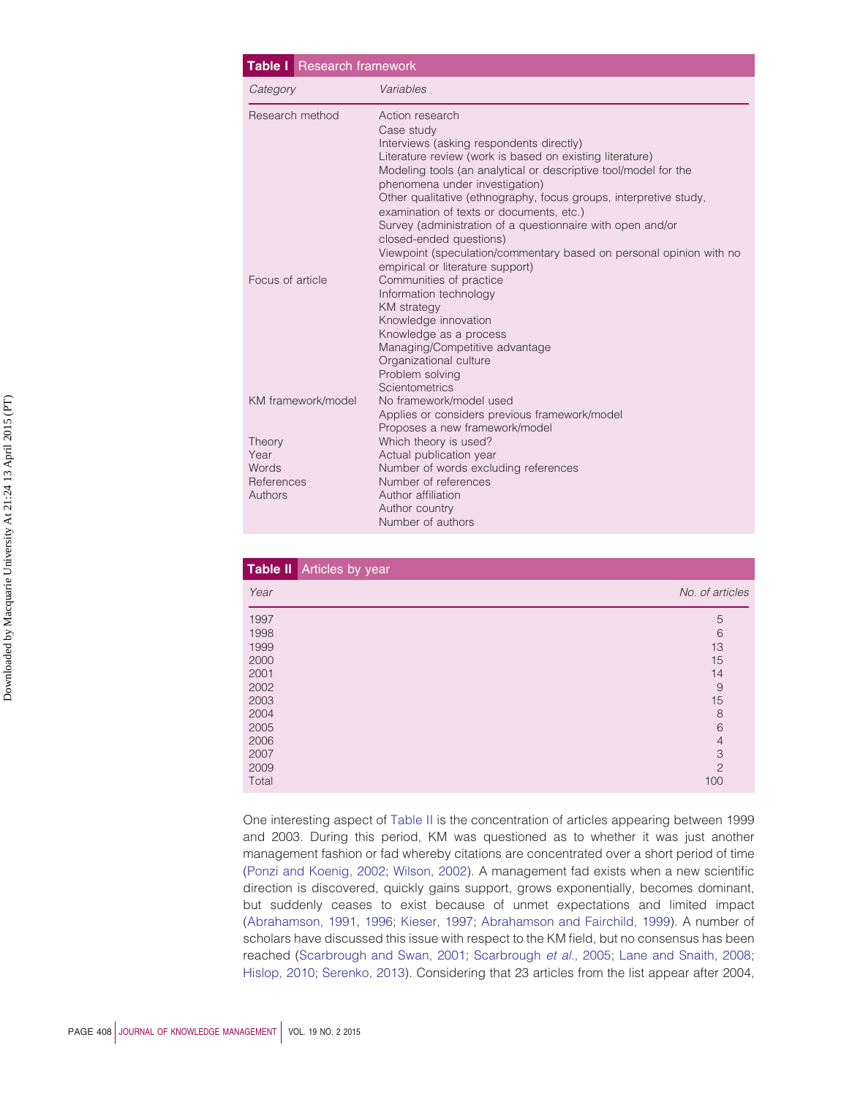<span id="page-7-0"></span>

| <b>Table I</b> Research framework                |                                                                                                                                                                                                                                                                                                                                                                                                                                                                                                                                                                 |
|--------------------------------------------------|-----------------------------------------------------------------------------------------------------------------------------------------------------------------------------------------------------------------------------------------------------------------------------------------------------------------------------------------------------------------------------------------------------------------------------------------------------------------------------------------------------------------------------------------------------------------|
| Category                                         | Variables                                                                                                                                                                                                                                                                                                                                                                                                                                                                                                                                                       |
| Research method                                  | Action research<br>Case study<br>Interviews (asking respondents directly)<br>Literature review (work is based on existing literature)<br>Modeling tools (an analytical or descriptive tool/model for the<br>phenomena under investigation)<br>Other qualitative (ethnography, focus groups, interpretive study,<br>examination of texts or documents, etc.)<br>Survey (administration of a questionnaire with open and/or<br>closed-ended questions)<br>Viewpoint (speculation/commentary based on personal opinion with no<br>empirical or literature support) |
| Focus of article                                 | Communities of practice<br>Information technology<br><b>KM</b> strategy<br>Knowledge innovation<br>Knowledge as a process<br>Managing/Competitive advantage<br>Organizational culture<br>Problem solving<br>Scientometrics                                                                                                                                                                                                                                                                                                                                      |
| KM framework/model                               | No framework/model used<br>Applies or considers previous framework/model<br>Proposes a new framework/model                                                                                                                                                                                                                                                                                                                                                                                                                                                      |
| Theory<br>Year<br>Words<br>References<br>Authors | Which theory is used?<br>Actual publication year<br>Number of words excluding references<br>Number of references<br>Author affiliation<br>Author country<br>Number of authors                                                                                                                                                                                                                                                                                                                                                                                   |

<span id="page-7-1"></span>

|       | <b>Table II</b> Articles by year |                 |
|-------|----------------------------------|-----------------|
| Year  |                                  | No. of articles |
| 1997  |                                  | 5               |
| 1998  |                                  | 6               |
| 1999  |                                  | 13              |
| 2000  |                                  | 15              |
| 2001  |                                  | 14              |
| 2002  |                                  | 9               |
| 2003  |                                  | 15              |
| 2004  |                                  | 8               |
| 2005  |                                  | 6               |
| 2006  |                                  | $\overline{4}$  |
| 2007  |                                  | 3               |
| 2009  |                                  | $\overline{c}$  |
| Total |                                  | 100             |

One interesting aspect of [Table II](#page-7-1) is the concentration of articles appearing between 1999 and 2003. During this period, KM was questioned as to whether it was just another management fashion or fad whereby citations are concentrated over a short period of time [\(Ponzi and Koenig, 2002;](#page-23-19) [Wilson, 2002\)](#page-25-16). A management fad exists when a new scientific direction is discovered, quickly gains support, grows exponentially, becomes dominant, but suddenly ceases to exist because of unmet expectations and limited impact [\(Abrahamson, 1991,](#page-19-12) [1996;](#page-19-13) [Kieser, 1997;](#page-22-16) [Abrahamson and Fairchild, 1999\)](#page-19-14). A number of scholars have discussed this issue with respect to the KM field, but no consensus has been reached [\(Scarbrough and Swan, 2001;](#page-24-15) [Scarbrough](#page-24-16) *et al.*, 2005; [Lane and Snaith, 2008;](#page-22-17) [Hislop, 2010;](#page-22-18) [Serenko, 2013\)](#page-24-6). Considering that 23 articles from the list appear after 2004,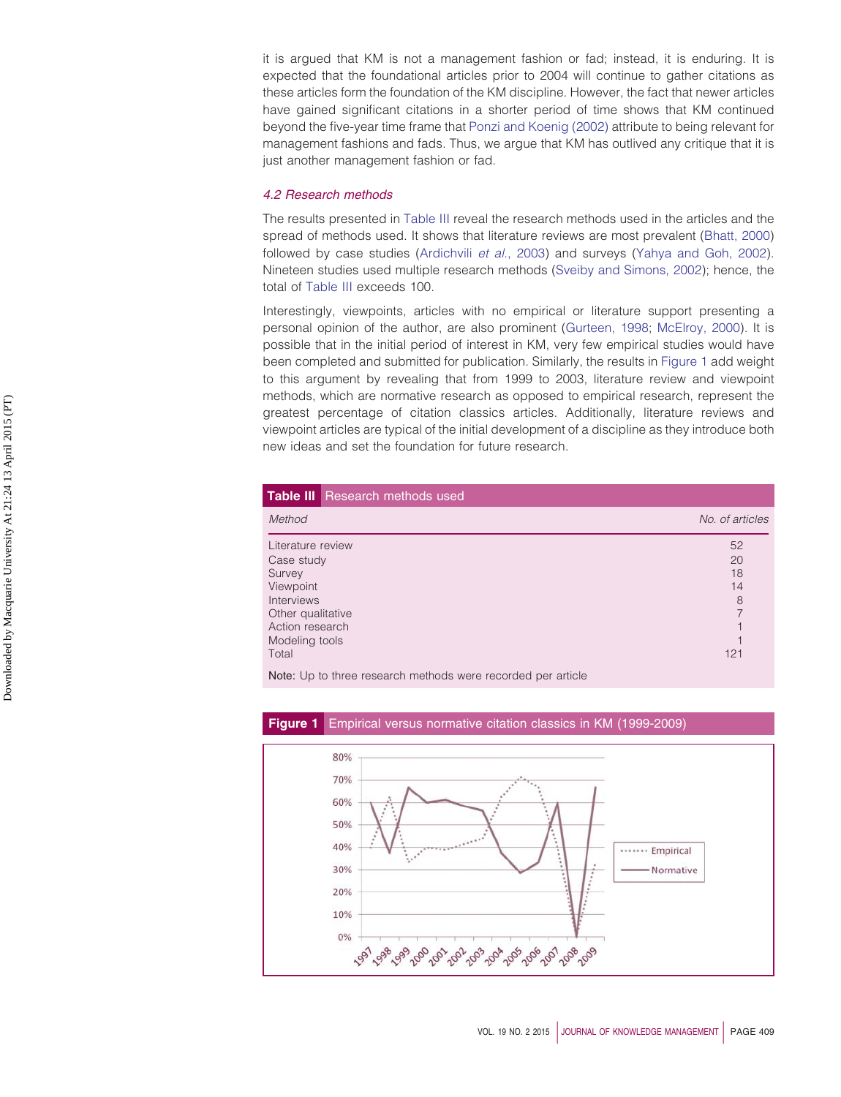it is argued that KM is not a management fashion or fad; instead, it is enduring. It is expected that the foundational articles prior to 2004 will continue to gather citations as these articles form the foundation of the KM discipline. However, the fact that newer articles have gained significant citations in a shorter period of time shows that KM continued beyond the five-year time frame that [Ponzi and Koenig \(2002\)](#page-23-19) attribute to being relevant for management fashions and fads. Thus, we argue that KM has outlived any critique that it is just another management fashion or fad.

# *4.2 Research methods*

The results presented in [Table III](#page-8-0) reveal the research methods used in the articles and the spread of methods used. It shows that literature reviews are most prevalent [\(Bhatt, 2000\)](#page-19-15) followed by case studies [\(Ardichvili](#page-19-16) *et al.*, 2003) and surveys [\(Yahya and Goh, 2002\)](#page-25-17). Nineteen studies used multiple research methods [\(Sveiby and Simons, 2002\)](#page-25-18); hence, the total of [Table III](#page-8-0) exceeds 100.

Interestingly, viewpoints, articles with no empirical or literature support presenting a personal opinion of the author, are also prominent [\(Gurteen, 1998;](#page-21-16) [McElroy, 2000\)](#page-23-20). It is possible that in the initial period of interest in KM, very few empirical studies would have been completed and submitted for publication. Similarly, the results in [Figure 1](#page-8-1) add weight to this argument by revealing that from 1999 to 2003, literature review and viewpoint methods, which are normative research as opposed to empirical research, represent the greatest percentage of citation classics articles. Additionally, literature reviews and viewpoint articles are typical of the initial development of a discipline as they introduce both new ideas and set the foundation for future research.

<span id="page-8-0"></span>

|                   | <b>Table III</b> Research methods used |                 |
|-------------------|----------------------------------------|-----------------|
| Method            |                                        | No. of articles |
| Literature review |                                        | 52              |
| Case study        |                                        | 20              |
| Survey            |                                        | 18              |
| Viewpoint         |                                        | 14              |
| <b>Interviews</b> |                                        | 8               |
| Other qualitative |                                        | 7               |
| Action research   |                                        |                 |
| Modeling tools    |                                        |                 |
| Total             |                                        | 121             |
|                   |                                        |                 |

Note: Up to three research methods were recorded per article



<span id="page-8-1"></span>**Figure 1** Empirical versus normative citation classics in KM (1999-2009)

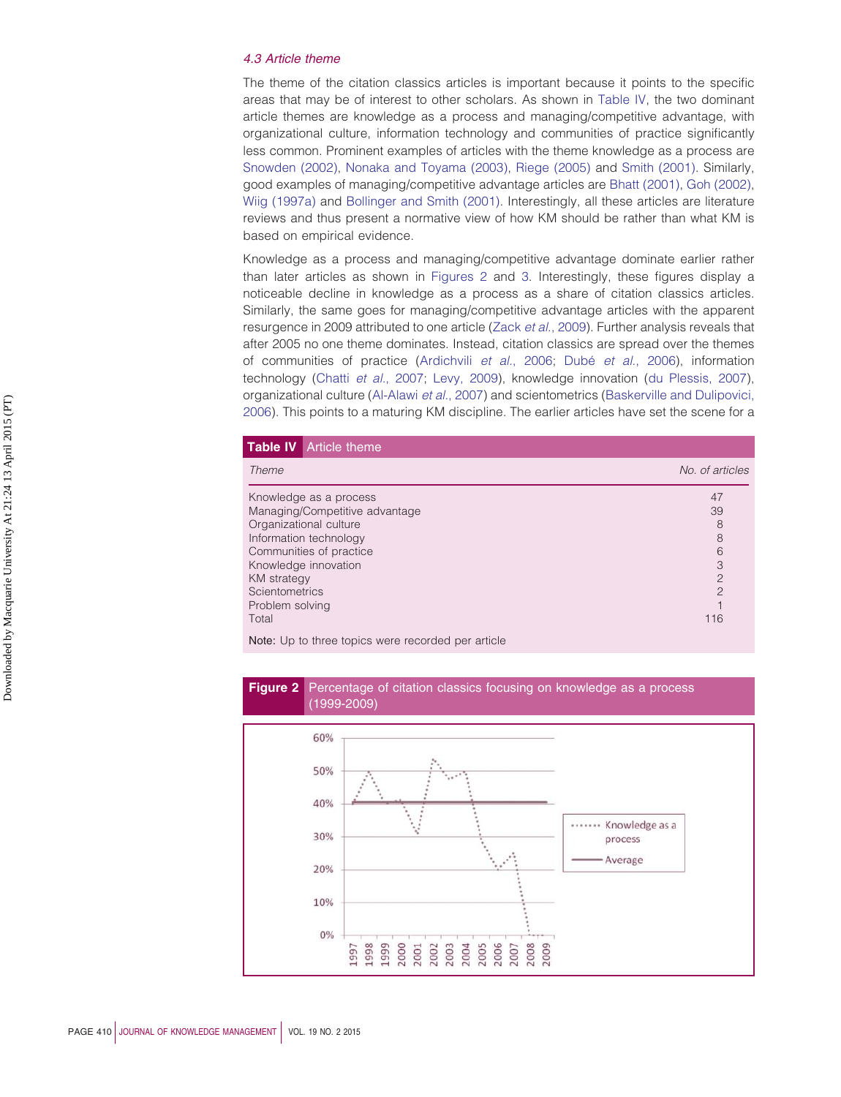# *4.3 Article theme*

The theme of the citation classics articles is important because it points to the specific areas that may be of interest to other scholars. As shown in [Table IV,](#page-9-0) the two dominant article themes are knowledge as a process and managing/competitive advantage, with organizational culture, information technology and communities of practice significantly less common. Prominent examples of articles with the theme knowledge as a process are [Snowden \(2002\),](#page-25-19) [Nonaka and Toyama \(2003\),](#page-23-21) [Riege \(2005\)](#page-24-17) and [Smith \(2001\).](#page-25-20) Similarly, good examples of managing/competitive advantage articles are [Bhatt \(2001\),](#page-19-17) [Goh \(2002\),](#page-21-17) [Wiig \(1997a\)](#page-25-21) and [Bollinger and Smith \(2001\).](#page-20-11) Interestingly, all these articles are literature reviews and thus present a normative view of how KM should be rather than what KM is based on empirical evidence.

Knowledge as a process and managing/competitive advantage dominate earlier rather than later articles as shown in [Figures 2](#page-9-1) and [3.](#page-10-0) Interestingly, these figures display a noticeable decline in knowledge as a process as a share of citation classics articles. Similarly, the same goes for managing/competitive advantage articles with the apparent resurgence in 2009 attributed to one article (Zack *et al.*[, 2009\)](#page-25-15). Further analysis reveals that after 2005 no one theme dominates. Instead, citation classics are spread over the themes of communities of practice [\(Ardichvili](#page-19-18) *et al.*, 2006; Dubé *et al.*[, 2006\)](#page-20-12), information technology (Chatti *et al.*[, 2007;](#page-20-9) [Levy, 2009\)](#page-22-15), knowledge innovation [\(du Plessis, 2007\)](#page-20-10), organizational culture [\(Al-Alawi](#page-19-11) *et al.*, 2007) and scientometrics [\(Baskerville and Dulipovici,](#page-19-19) [2006\)](#page-19-19). This points to a maturing KM discipline. The earlier articles have set the scene for a

<span id="page-9-0"></span>

|                         | <b>Table IV</b> Article theme                      |                 |
|-------------------------|----------------------------------------------------|-----------------|
| Theme                   |                                                    | No. of articles |
|                         | Knowledge as a process                             | 47              |
|                         | Managing/Competitive advantage                     | 39              |
|                         | Organizational culture                             |                 |
| Information technology  |                                                    | 8               |
| Communities of practice |                                                    | 6               |
| Knowledge innovation    |                                                    | 3               |
| <b>KM</b> strategy      |                                                    | $\overline{2}$  |
| Scientometrics          |                                                    | $\overline{c}$  |
| Problem solving         |                                                    |                 |
| Total                   |                                                    | 116             |
|                         | Note: Un to three tenics were recorded per ertials |                 |



<span id="page-9-1"></span>

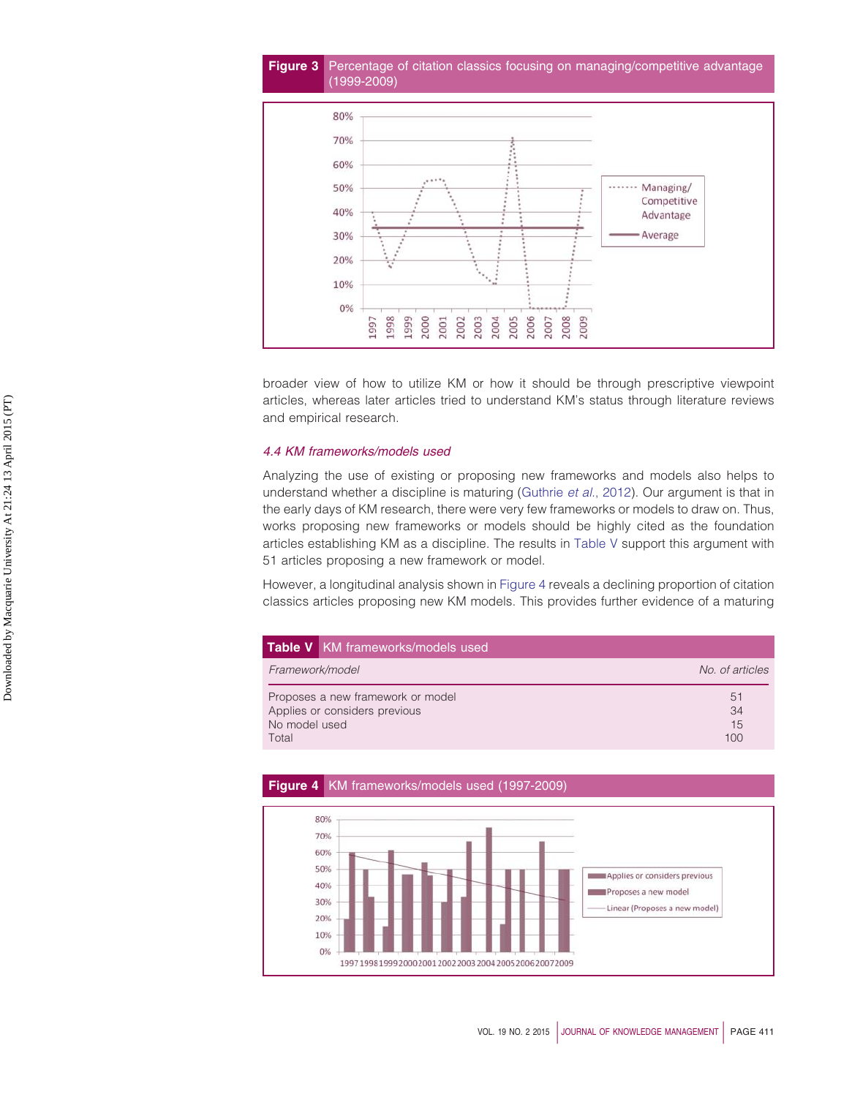# <span id="page-10-0"></span>**Figure 3** Percentage of citation classics focusing on managing/competitive advantage (1999-2009)



broader view of how to utilize KM or how it should be through prescriptive viewpoint articles, whereas later articles tried to understand KM's status through literature reviews and empirical research.

# *4.4 KM frameworks/models used*

Analyzing the use of existing or proposing new frameworks and models also helps to understand whether a discipline is maturing [\(Guthrie](#page-21-1) *et al.*, 2012). Our argument is that in the early days of KM research, there were very few frameworks or models to draw on. Thus, works proposing new frameworks or models should be highly cited as the foundation articles establishing KM as a discipline. The results in [Table V](#page-10-1) support this argument with 51 articles proposing a new framework or model.

However, a longitudinal analysis shown in [Figure 4](#page-10-2) reveals a declining proportion of citation classics articles proposing new KM models. This provides further evidence of a maturing

<span id="page-10-1"></span>

| <b>Table V</b> KM frameworks/models used |                 |
|------------------------------------------|-----------------|
| Framework/model                          | No. of articles |
| Proposes a new framework or model        | 51              |
| Applies or considers previous            | 34              |
| No model used                            | 15              |
| Total                                    | 100             |

<span id="page-10-2"></span>

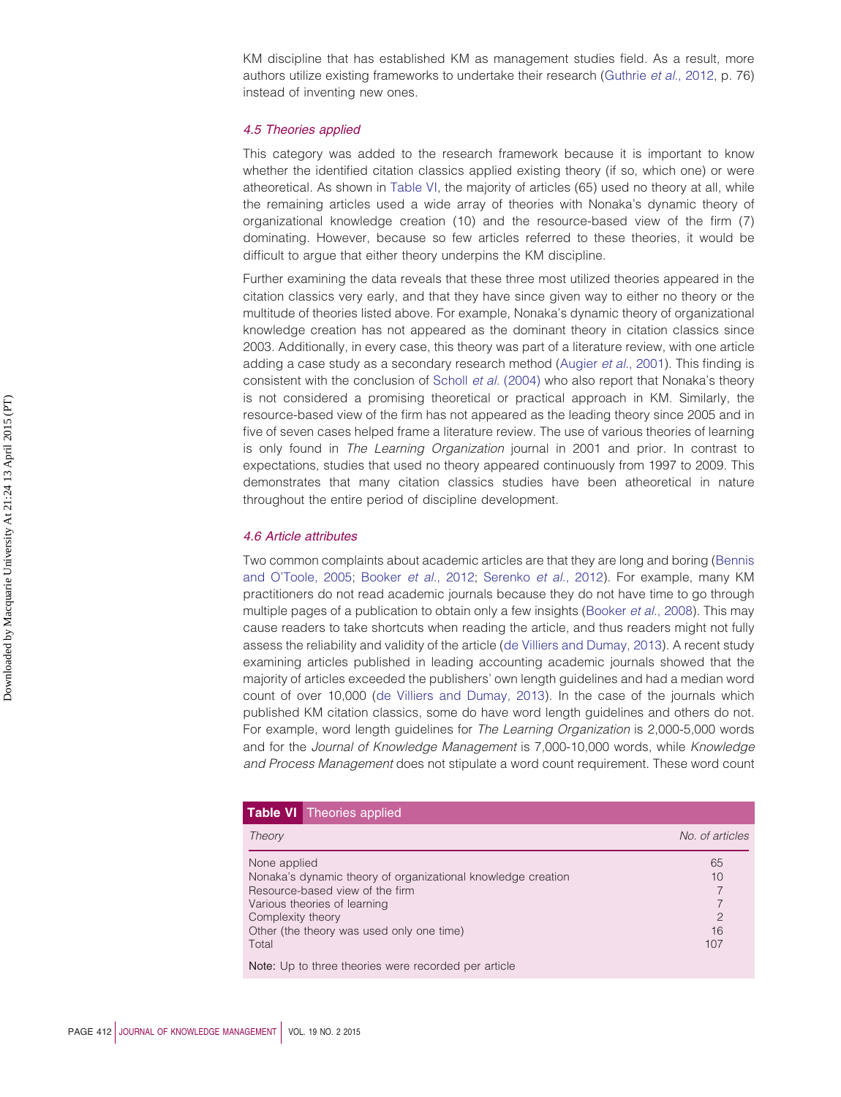KM discipline that has established KM as management studies field. As a result, more authors utilize existing frameworks to undertake their research [\(Guthrie](#page-21-1) *et al.*, 2012, p. 76) instead of inventing new ones.

### *4.5 Theories applied*

This category was added to the research framework because it is important to know whether the identified citation classics applied existing theory (if so, which one) or were atheoretical. As shown in [Table VI,](#page-11-0) the majority of articles (65) used no theory at all, while the remaining articles used a wide array of theories with Nonaka's dynamic theory of organizational knowledge creation (10) and the resource-based view of the firm (7) dominating. However, because so few articles referred to these theories, it would be difficult to argue that either theory underpins the KM discipline.

Further examining the data reveals that these three most utilized theories appeared in the citation classics very early, and that they have since given way to either no theory or the multitude of theories listed above. For example, Nonaka's dynamic theory of organizational knowledge creation has not appeared as the dominant theory in citation classics since 2003. Additionally, in every case, this theory was part of a literature review, with one article adding a case study as a secondary research method [\(Augier](#page-19-20) *et al.*, 2001). This finding is consistent with the conclusion of Scholl *et al.* [\(2004\)](#page-24-18) who also report that Nonaka's theory is not considered a promising theoretical or practical approach in KM. Similarly, the resource-based view of the firm has not appeared as the leading theory since 2005 and in five of seven cases helped frame a literature review. The use of various theories of learning is only found in *The Learning Organization* journal in 2001 and prior. In contrast to expectations, studies that used no theory appeared continuously from 1997 to 2009. This demonstrates that many citation classics studies have been atheoretical in nature throughout the entire period of discipline development.

#### *4.6 Article attributes*

Two common complaints about academic articles are that they are long and boring [\(Bennis](#page-19-21) [and O'Toole, 2005;](#page-19-21) [Booker](#page-20-13) *et al.*, 2012; [Serenko](#page-24-4) *et al.*, 2012). For example, many KM practitioners do not read academic journals because they do not have time to go through multiple pages of a publication to obtain only a few insights [\(Booker](#page-20-14) *et al.*, 2008). This may cause readers to take shortcuts when reading the article, and thus readers might not fully assess the reliability and validity of the article [\(de Villiers and Dumay, 2013\)](#page-20-0). A recent study examining articles published in leading accounting academic journals showed that the majority of articles exceeded the publishers' own length guidelines and had a median word count of over 10,000 [\(de Villiers and Dumay, 2013\)](#page-20-0). In the case of the journals which published KM citation classics, some do have word length guidelines and others do not. For example, word length guidelines for *The Learning Organization* is 2,000-5,000 words and for the *Journal of Knowledge Management* is 7,000-10,000 words, while *Knowledge and Process Management* does not stipulate a word count requirement. These word count

<span id="page-11-0"></span>

|                   | <b>Table VI</b> Theories applied                             |                 |
|-------------------|--------------------------------------------------------------|-----------------|
| Theory            |                                                              | No. of articles |
| None applied      |                                                              | 65              |
|                   | Nonaka's dynamic theory of organizational knowledge creation | 10              |
|                   | Resource-based view of the firm                              |                 |
|                   | Various theories of learning                                 |                 |
| Complexity theory |                                                              | $\overline{c}$  |
|                   | Other (the theory was used only one time)                    | 16              |
| Total             |                                                              | 107             |
|                   | Note: Up to three theories were recorded per article         |                 |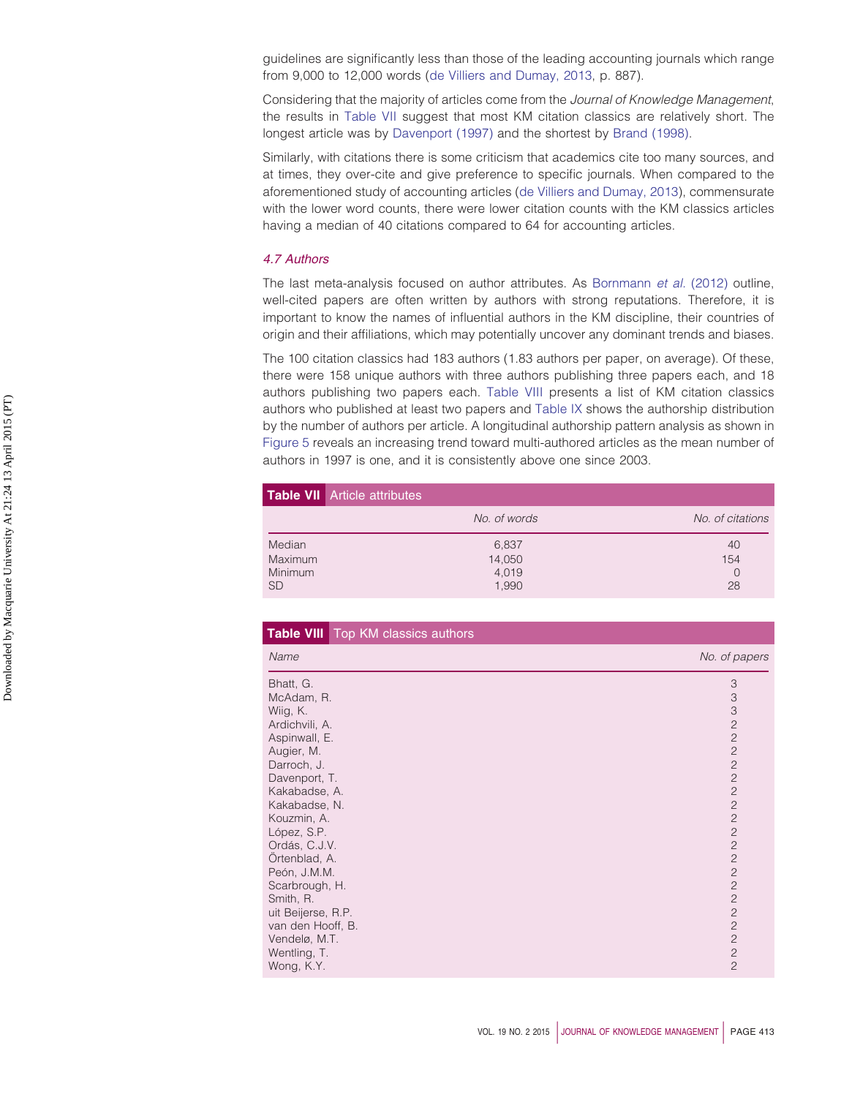guidelines are significantly less than those of the leading accounting journals which range from 9,000 to 12,000 words [\(de Villiers and Dumay, 2013,](#page-20-0) p. 887).

Considering that the majority of articles come from the *Journal of Knowledge Management*, the results in [Table VII](#page-12-0) suggest that most KM citation classics are relatively short. The longest article was by [Davenport \(1997\)](#page-20-15) and the shortest by [Brand \(1998\).](#page-20-16)

Similarly, with citations there is some criticism that academics cite too many sources, and at times, they over-cite and give preference to specific journals. When compared to the aforementioned study of accounting articles [\(de Villiers and Dumay, 2013\)](#page-20-0), commensurate with the lower word counts, there were lower citation counts with the KM classics articles having a median of 40 citations compared to 64 for accounting articles.

## *4.7 Authors*

The last meta-analysis focused on author attributes. As [Bornmann](#page-20-17) *et al.* (2012) outline, well-cited papers are often written by authors with strong reputations. Therefore, it is important to know the names of influential authors in the KM discipline, their countries of origin and their affiliations, which may potentially uncover any dominant trends and biases.

The 100 citation classics had 183 authors (1.83 authors per paper, on average). Of these, there were 158 unique authors with three authors publishing three papers each, and 18 authors publishing two papers each. [Table VIII](#page-12-1) presents a list of KM citation classics authors who published at least two papers and [Table IX](#page-13-0) shows the authorship distribution by the number of authors per article. A longitudinal authorship pattern analysis as shown in [Figure 5](#page-13-1) reveals an increasing trend toward multi-authored articles as the mean number of authors in 1997 is one, and it is consistently above one since 2003.

<span id="page-12-0"></span>

|                | <b>Table VII</b> Article attributes |                  |
|----------------|-------------------------------------|------------------|
|                | No. of words                        | No. of citations |
| Median         | 6,837                               | 40               |
| <b>Maximum</b> | 14,050                              | 154              |
| <b>Minimum</b> | 4,019                               | 0                |
| <b>SD</b>      | 1,990                               | 28               |

<span id="page-12-1"></span>

| Table VIII Top KM classics authors |                                  |
|------------------------------------|----------------------------------|
| Name                               | No. of papers                    |
| Bhatt, G.                          | 3                                |
| McAdam, R.                         | $\ensuremath{\mathsf{3}}$        |
| Wiig, K.                           | 3                                |
| Ardichvili, A.                     | $\overline{2}$                   |
| Aspinwall, E.                      | $\overline{2}$                   |
| Augier, M.                         | $\overline{c}$                   |
| Darroch, J.                        | $\overline{c}$                   |
| Davenport, T.                      | $\overline{c}$                   |
| Kakabadse, A.                      | $\overline{c}$                   |
| Kakabadse, N.                      | $\overline{c}$                   |
| Kouzmin, A.                        | $\overline{2}$                   |
| López, S.P.                        | $\overline{c}$<br>$\overline{c}$ |
| Ordás, C.J.V.                      | $\mathbf{2}$                     |
| Örtenblad, A.<br>Peón, J.M.M.      | $\overline{c}$                   |
| Scarbrough, H.                     | $\overline{c}$                   |
| Smith, R.                          | $\overline{c}$                   |
| uit Beijerse, R.P.                 | $\overline{c}$                   |
| van den Hooff, B.                  | $\overline{c}$                   |
| Vendelø, M.T.                      | $\overline{2}$                   |
| Wentling, T.                       | $\overline{c}$                   |
| Wong, K.Y.                         | $\overline{c}$                   |
|                                    |                                  |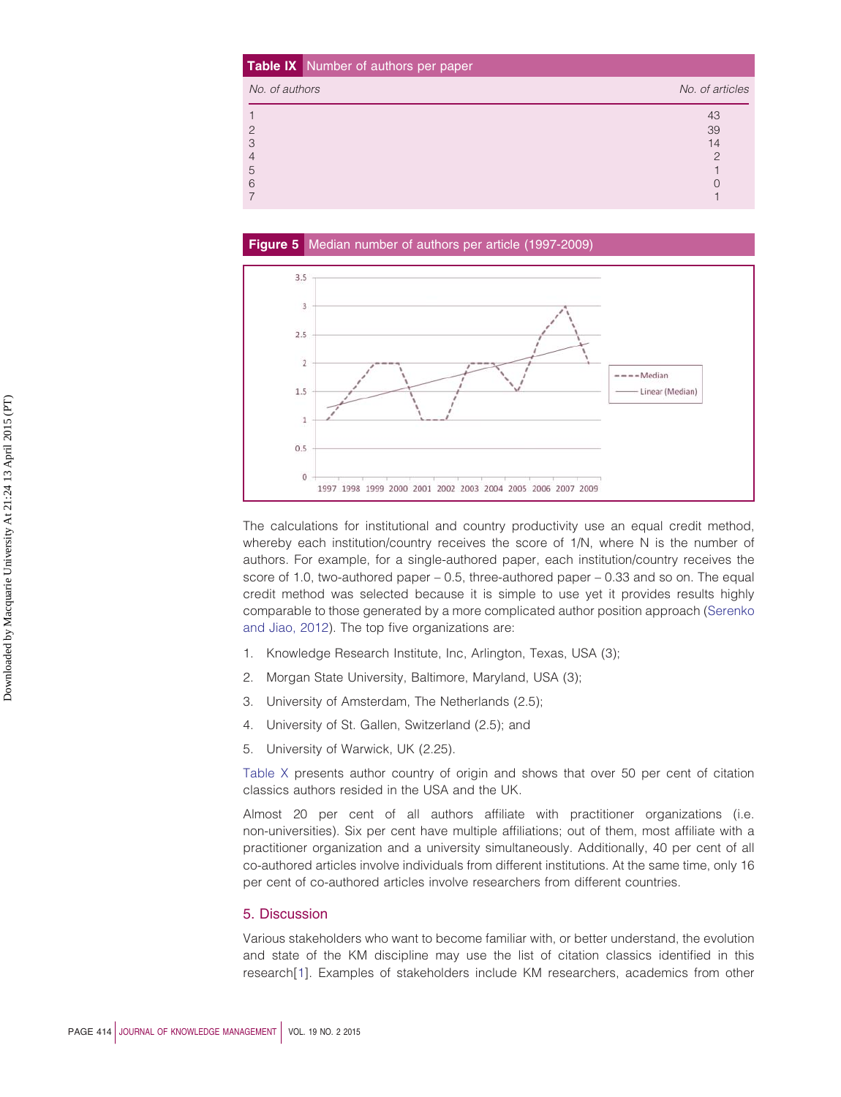<span id="page-13-0"></span>

|                | Table IX Number of authors per paper |                 |
|----------------|--------------------------------------|-----------------|
| No. of authors |                                      | No. of articles |
|                |                                      | 43              |
| 2              |                                      | 39              |
| 3              |                                      | 14              |
|                |                                      |                 |
| 5              |                                      |                 |
| 6              |                                      |                 |
|                |                                      |                 |

<span id="page-13-1"></span>

The calculations for institutional and country productivity use an equal credit method, whereby each institution/country receives the score of 1/N, where N is the number of authors. For example, for a single-authored paper, each institution/country receives the score of 1.0, two-authored paper – 0.5, three-authored paper – 0.33 and so on. The equal credit method was selected because it is simple to use yet it provides results highly comparable to those generated by a more complicated author position approach [\(Serenko](#page-24-4) [and Jiao, 2012\)](#page-24-4). The top five organizations are:

- 1. Knowledge Research Institute, Inc, Arlington, Texas, USA (3);
- 2. Morgan State University, Baltimore, Maryland, USA (3);
- 3. University of Amsterdam, The Netherlands (2.5);
- 4. University of St. Gallen, Switzerland (2.5); and
- 5. University of Warwick, UK (2.25).

[Table X](#page-14-0) presents author country of origin and shows that over 50 per cent of citation classics authors resided in the USA and the UK.

Almost 20 per cent of all authors affiliate with practitioner organizations (i.e. non-universities). Six per cent have multiple affiliations; out of them, most affiliate with a practitioner organization and a university simultaneously. Additionally, 40 per cent of all co-authored articles involve individuals from different institutions. At the same time, only 16 per cent of co-authored articles involve researchers from different countries.

### 5. Discussion

Various stakeholders who want to become familiar with, or better understand, the evolution and state of the KM discipline may use the list of citation classics identified in this research[\[1\]](#page-18-0). Examples of stakeholders include KM researchers, academics from other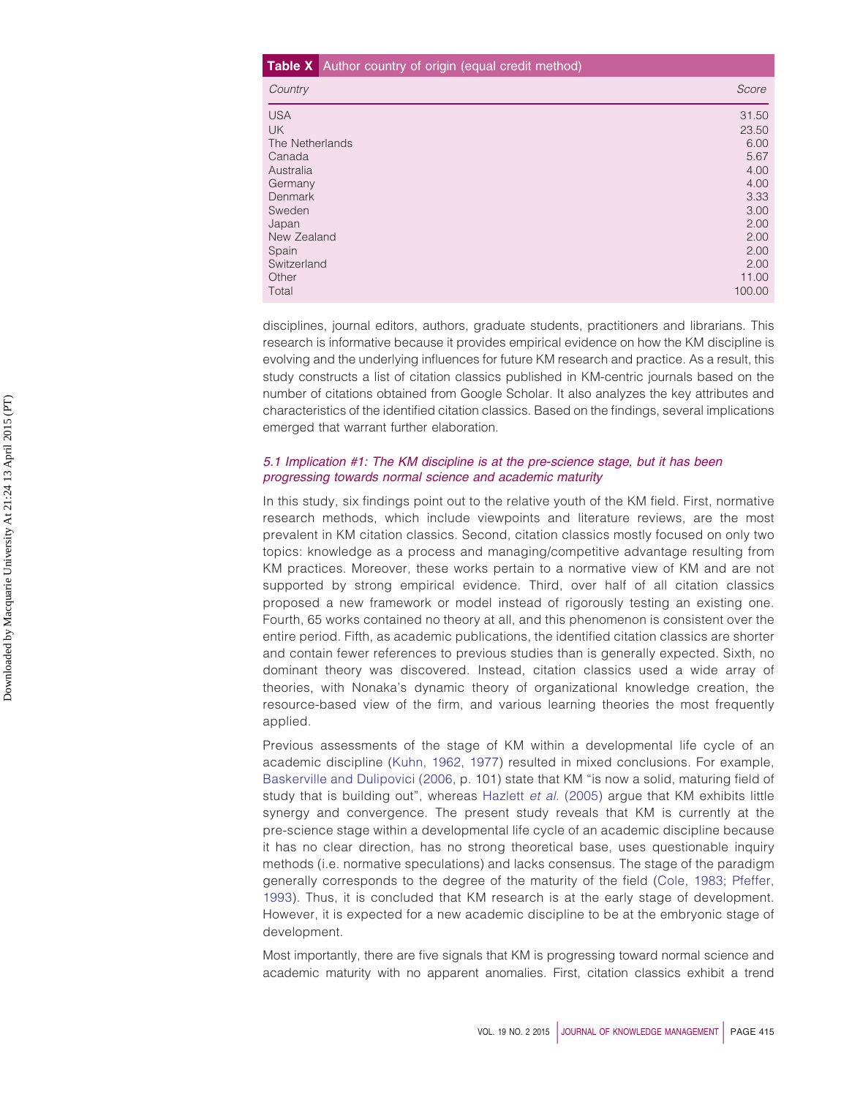# <span id="page-14-0"></span>**Table X** Author country of origin (equal credit method) *Country Score* USA 31.50 UK 23.50 The Netherlands 6.000 and the United States of the United States and the United States 6.000 and the United States of the United States of the United States and the United States of the United States and the United States Canada 5.67 **Canada** 5.67 **Canada 5.67 <b>Canada** 5.67 **Canada 5.67** September 2.67 ISBN 0-87 Australia 4.00 Germany 4.00 Denmark 3.33 Sweden 3.000 States of the states of the states of the states of the states of the states of the states of the Japan 2.00 New Zealand 2.00 Spain 2.00 Switzerland 2.00 Other 11.00 **Other 11.00** Control 11.00 **Control 11.00** Control 11.00 **Control 11.00** Total 100.00

disciplines, journal editors, authors, graduate students, practitioners and librarians. This research is informative because it provides empirical evidence on how the KM discipline is evolving and the underlying influences for future KM research and practice. As a result, this study constructs a list of citation classics published in KM-centric journals based on the number of citations obtained from Google Scholar. It also analyzes the key attributes and characteristics of the identified citation classics. Based on the findings, several implications emerged that warrant further elaboration.

# *5.1 Implication #1: The KM discipline is at the pre-science stage, but it has been progressing towards normal science and academic maturity*

In this study, six findings point out to the relative youth of the KM field. First, normative research methods, which include viewpoints and literature reviews, are the most prevalent in KM citation classics. Second, citation classics mostly focused on only two topics: knowledge as a process and managing/competitive advantage resulting from KM practices. Moreover, these works pertain to a normative view of KM and are not supported by strong empirical evidence. Third, over half of all citation classics proposed a new framework or model instead of rigorously testing an existing one. Fourth, 65 works contained no theory at all, and this phenomenon is consistent over the entire period. Fifth, as academic publications, the identified citation classics are shorter and contain fewer references to previous studies than is generally expected. Sixth, no dominant theory was discovered. Instead, citation classics used a wide array of theories, with Nonaka's dynamic theory of organizational knowledge creation, the resource-based view of the firm, and various learning theories the most frequently applied.

Previous assessments of the stage of KM within a developmental life cycle of an academic discipline [\(Kuhn, 1962,](#page-22-19) [1977\)](#page-22-20) resulted in mixed conclusions. For example, [Baskerville and Dulipovici \(2006,](#page-19-19) p. 101) state that KM "is now a solid, maturing field of study that is building out", whereas [Hazlett](#page-22-21) *et al.* (2005) argue that KM exhibits little synergy and convergence. The present study reveals that KM is currently at the pre-science stage within a developmental life cycle of an academic discipline because it has no clear direction, has no strong theoretical base, uses questionable inquiry methods (i.e. normative speculations) and lacks consensus. The stage of the paradigm generally corresponds to the degree of the maturity of the field [\(Cole, 1983;](#page-20-18) [Pfeffer,](#page-23-22) [1993\)](#page-23-22). Thus, it is concluded that KM research is at the early stage of development. However, it is expected for a new academic discipline to be at the embryonic stage of development.

Most importantly, there are five signals that KM is progressing toward normal science and academic maturity with no apparent anomalies. First, citation classics exhibit a trend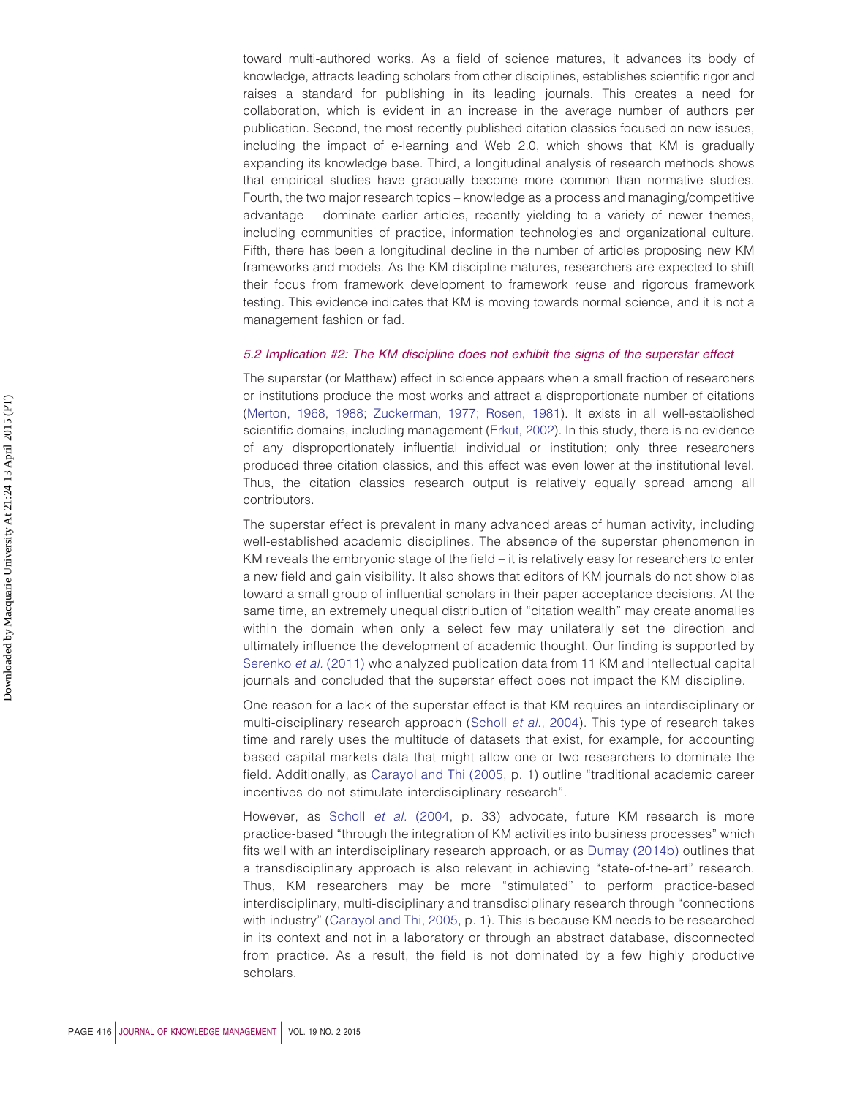toward multi-authored works. As a field of science matures, it advances its body of knowledge, attracts leading scholars from other disciplines, establishes scientific rigor and raises a standard for publishing in its leading journals. This creates a need for collaboration, which is evident in an increase in the average number of authors per publication. Second, the most recently published citation classics focused on new issues, including the impact of e-learning and Web 2.0, which shows that KM is gradually expanding its knowledge base. Third, a longitudinal analysis of research methods shows that empirical studies have gradually become more common than normative studies. Fourth, the two major research topics – knowledge as a process and managing/competitive advantage – dominate earlier articles, recently yielding to a variety of newer themes, including communities of practice, information technologies and organizational culture. Fifth, there has been a longitudinal decline in the number of articles proposing new KM frameworks and models. As the KM discipline matures, researchers are expected to shift their focus from framework development to framework reuse and rigorous framework testing. This evidence indicates that KM is moving towards normal science, and it is not a management fashion or fad.

## *5.2 Implication #2: The KM discipline does not exhibit the signs of the superstar effect*

The superstar (or Matthew) effect in science appears when a small fraction of researchers or institutions produce the most works and attract a disproportionate number of citations [\(Merton, 1968,](#page-23-13) [1988;](#page-23-6) [Zuckerman, 1977;](#page-25-22) [Rosen, 1981\)](#page-24-19). It exists in all well-established scientific domains, including management [\(Erkut, 2002\)](#page-21-10). In this study, there is no evidence of any disproportionately influential individual or institution; only three researchers produced three citation classics, and this effect was even lower at the institutional level. Thus, the citation classics research output is relatively equally spread among all contributors.

The superstar effect is prevalent in many advanced areas of human activity, including well-established academic disciplines. The absence of the superstar phenomenon in KM reveals the embryonic stage of the field – it is relatively easy for researchers to enter a new field and gain visibility. It also shows that editors of KM journals do not show bias toward a small group of influential scholars in their paper acceptance decisions. At the same time, an extremely unequal distribution of "citation wealth" may create anomalies within the domain when only a select few may unilaterally set the direction and ultimately influence the development of academic thought. Our finding is supported by [Serenko](#page-24-20) *et al.* (2011) who analyzed publication data from 11 KM and intellectual capital journals and concluded that the superstar effect does not impact the KM discipline.

One reason for a lack of the superstar effect is that KM requires an interdisciplinary or multi-disciplinary research approach (Scholl *et al.*[, 2004\)](#page-24-18). This type of research takes time and rarely uses the multitude of datasets that exist, for example, for accounting based capital markets data that might allow one or two researchers to dominate the field. Additionally, as [Carayol and Thi \(2005,](#page-20-19) p. 1) outline "traditional academic career incentives do not stimulate interdisciplinary research".

However, as [Scholl](#page-24-18) *et al.* (2004, p. 33) advocate, future KM research is more practice-based "through the integration of KM activities into business processes" which fits well with an interdisciplinary research approach, or as [Dumay \(2014b\)](#page-21-18) outlines that a transdisciplinary approach is also relevant in achieving "state-of-the-art" research. Thus, KM researchers may be more "stimulated" to perform practice-based interdisciplinary, multi-disciplinary and transdisciplinary research through "connections with industry" [\(Carayol and Thi, 2005,](#page-20-19) p. 1). This is because KM needs to be researched in its context and not in a laboratory or through an abstract database, disconnected from practice. As a result, the field is not dominated by a few highly productive scholars.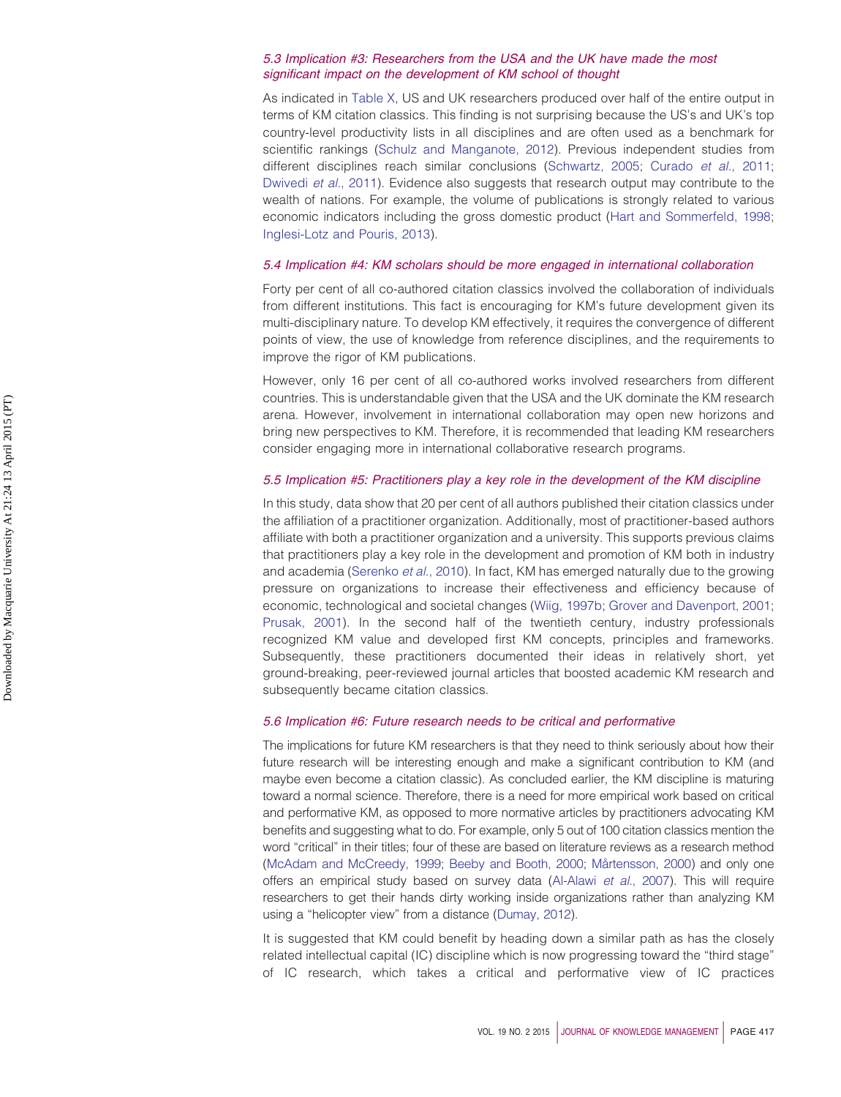## *5.3 Implication #3: Researchers from the USA and the UK have made the most significant impact on the development of KM school of thought*

As indicated in [Table X,](#page-14-0) US and UK researchers produced over half of the entire output in terms of KM citation classics. This finding is not surprising because the US's and UK's top country-level productivity lists in all disciplines and are often used as a benchmark for scientific rankings [\(Schulz and Manganote, 2012\)](#page-24-21). Previous independent studies from different disciplines reach similar conclusions [\(Schwartz, 2005;](#page-24-22) [Curado](#page-20-6) *et al.*, 2011; [Dwivedi](#page-21-19) *et al.*, 2011). Evidence also suggests that research output may contribute to the wealth of nations. For example, the volume of publications is strongly related to various economic indicators including the gross domestic product [\(Hart and Sommerfeld, 1998;](#page-21-20) [Inglesi-Lotz and Pouris, 2013\)](#page-22-22).

#### *5.4 Implication #4: KM scholars should be more engaged in international collaboration*

Forty per cent of all co-authored citation classics involved the collaboration of individuals from different institutions. This fact is encouraging for KM's future development given its multi-disciplinary nature. To develop KM effectively, it requires the convergence of different points of view, the use of knowledge from reference disciplines, and the requirements to improve the rigor of KM publications.

However, only 16 per cent of all co-authored works involved researchers from different countries. This is understandable given that the USA and the UK dominate the KM research arena. However, involvement in international collaboration may open new horizons and bring new perspectives to KM. Therefore, it is recommended that leading KM researchers consider engaging more in international collaborative research programs.

#### *5.5 Implication #5: Practitioners play a key role in the development of the KM discipline*

In this study, data show that 20 per cent of all authors published their citation classics under the affiliation of a practitioner organization. Additionally, most of practitioner-based authors affiliate with both a practitioner organization and a university. This supports previous claims that practitioners play a key role in the development and promotion of KM both in industry and academia [\(Serenko](#page-24-0) *et al.*, 2010). In fact, KM has emerged naturally due to the growing pressure on organizations to increase their effectiveness and efficiency because of economic, technological and societal changes [\(Wiig, 1997b;](#page-25-23) [Grover and Davenport, 2001;](#page-21-21) [Prusak, 2001\)](#page-23-23). In the second half of the twentieth century, industry professionals recognized KM value and developed first KM concepts, principles and frameworks. Subsequently, these practitioners documented their ideas in relatively short, yet ground-breaking, peer-reviewed journal articles that boosted academic KM research and subsequently became citation classics.

# *5.6 Implication #6: Future research needs to be critical and performative*

The implications for future KM researchers is that they need to think seriously about how their future research will be interesting enough and make a significant contribution to KM (and maybe even become a citation classic). As concluded earlier, the KM discipline is maturing toward a normal science. Therefore, there is a need for more empirical work based on critical and performative KM, as opposed to more normative articles by practitioners advocating KM benefits and suggesting what to do. For example, only 5 out of 100 citation classics mention the word "critical" in their titles; four of these are based on literature reviews as a research method [\(McAdam and McCreedy, 1999;](#page-22-23) [Beeby and Booth, 2000;](#page-19-22) [Mårtensson, 2000\)](#page-23-24) and only one offers an empirical study based on survey data [\(Al-Alawi](#page-19-11) *et al.*, 2007). This will require researchers to get their hands dirty working inside organizations rather than analyzing KM using a "helicopter view" from a distance [\(Dumay, 2012\)](#page-20-20).

It is suggested that KM could benefit by heading down a similar path as has the closely related intellectual capital (IC) discipline which is now progressing toward the "third stage" of IC research, which takes a critical and performative view of IC practices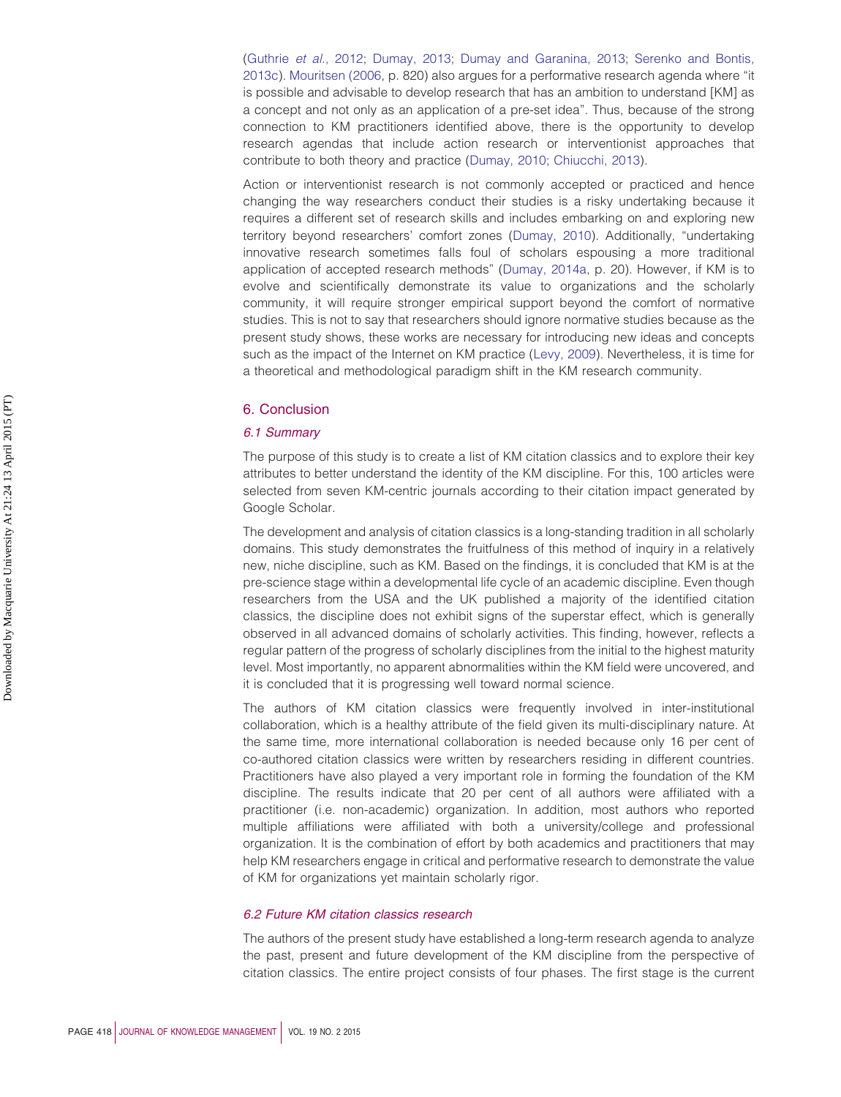[\(Guthrie](#page-21-1) *et al.*, 2012; [Dumay, 2013;](#page-21-22) [Dumay and Garanina, 2013;](#page-21-0) [Serenko and Bontis,](#page-24-13) [2013c\)](#page-24-13). [Mouritsen \(2006,](#page-23-25) p. 820) also argues for a performative research agenda where "it is possible and advisable to develop research that has an ambition to understand [KM] as a concept and not only as an application of a pre-set idea". Thus, because of the strong connection to KM practitioners identified above, there is the opportunity to develop research agendas that include action research or interventionist approaches that contribute to both theory and practice [\(Dumay, 2010;](#page-20-21) [Chiucchi, 2013\)](#page-20-22).

Action or interventionist research is not commonly accepted or practiced and hence changing the way researchers conduct their studies is a risky undertaking because it requires a different set of research skills and includes embarking on and exploring new territory beyond researchers' comfort zones [\(Dumay, 2010\)](#page-20-21). Additionally, "undertaking innovative research sometimes falls foul of scholars espousing a more traditional application of accepted research methods" [\(Dumay, 2014a,](#page-21-23) p. 20). However, if KM is to evolve and scientifically demonstrate its value to organizations and the scholarly community, it will require stronger empirical support beyond the comfort of normative studies. This is not to say that researchers should ignore normative studies because as the present study shows, these works are necessary for introducing new ideas and concepts such as the impact of the Internet on KM practice [\(Levy, 2009\)](#page-22-15). Nevertheless, it is time for a theoretical and methodological paradigm shift in the KM research community.

### 6. Conclusion

#### *6.1 Summary*

The purpose of this study is to create a list of KM citation classics and to explore their key attributes to better understand the identity of the KM discipline. For this, 100 articles were selected from seven KM-centric journals according to their citation impact generated by Google Scholar.

The development and analysis of citation classics is a long-standing tradition in all scholarly domains. This study demonstrates the fruitfulness of this method of inquiry in a relatively new, niche discipline, such as KM. Based on the findings, it is concluded that KM is at the pre-science stage within a developmental life cycle of an academic discipline. Even though researchers from the USA and the UK published a majority of the identified citation classics, the discipline does not exhibit signs of the superstar effect, which is generally observed in all advanced domains of scholarly activities. This finding, however, reflects a regular pattern of the progress of scholarly disciplines from the initial to the highest maturity level. Most importantly, no apparent abnormalities within the KM field were uncovered, and it is concluded that it is progressing well toward normal science.

The authors of KM citation classics were frequently involved in inter-institutional collaboration, which is a healthy attribute of the field given its multi-disciplinary nature. At the same time, more international collaboration is needed because only 16 per cent of co-authored citation classics were written by researchers residing in different countries. Practitioners have also played a very important role in forming the foundation of the KM discipline. The results indicate that 20 per cent of all authors were affiliated with a practitioner (i.e. non-academic) organization. In addition, most authors who reported multiple affiliations were affiliated with both a university/college and professional organization. It is the combination of effort by both academics and practitioners that may help KM researchers engage in critical and performative research to demonstrate the value of KM for organizations yet maintain scholarly rigor.

#### *6.2 Future KM citation classics research*

The authors of the present study have established a long-term research agenda to analyze the past, present and future development of the KM discipline from the perspective of citation classics. The entire project consists of four phases. The first stage is the current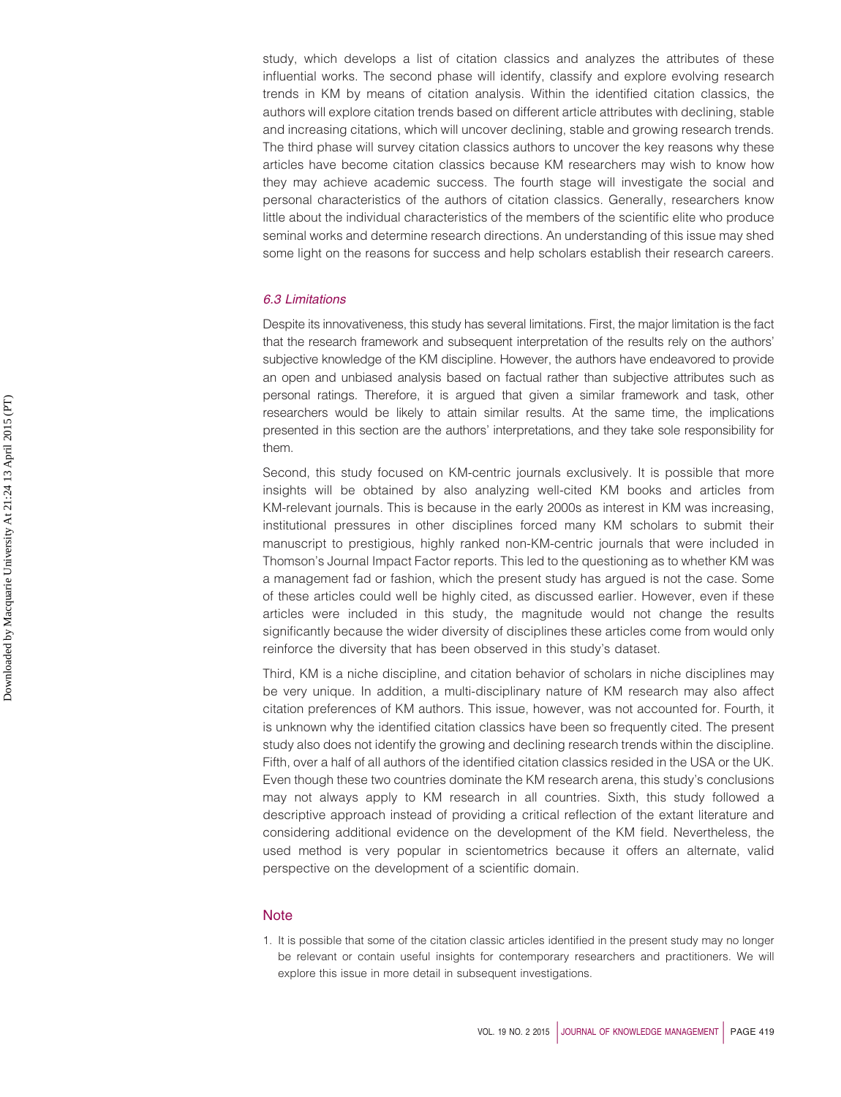study, which develops a list of citation classics and analyzes the attributes of these influential works. The second phase will identify, classify and explore evolving research trends in KM by means of citation analysis. Within the identified citation classics, the authors will explore citation trends based on different article attributes with declining, stable and increasing citations, which will uncover declining, stable and growing research trends. The third phase will survey citation classics authors to uncover the key reasons why these articles have become citation classics because KM researchers may wish to know how they may achieve academic success. The fourth stage will investigate the social and personal characteristics of the authors of citation classics. Generally, researchers know little about the individual characteristics of the members of the scientific elite who produce seminal works and determine research directions. An understanding of this issue may shed some light on the reasons for success and help scholars establish their research careers.

## *6.3 Limitations*

Despite its innovativeness, this study has several limitations. First, the major limitation is the fact that the research framework and subsequent interpretation of the results rely on the authors' subjective knowledge of the KM discipline. However, the authors have endeavored to provide an open and unbiased analysis based on factual rather than subjective attributes such as personal ratings. Therefore, it is argued that given a similar framework and task, other researchers would be likely to attain similar results. At the same time, the implications presented in this section are the authors' interpretations, and they take sole responsibility for them.

Second, this study focused on KM-centric journals exclusively. It is possible that more insights will be obtained by also analyzing well-cited KM books and articles from KM-relevant journals. This is because in the early 2000s as interest in KM was increasing, institutional pressures in other disciplines forced many KM scholars to submit their manuscript to prestigious, highly ranked non-KM-centric journals that were included in Thomson's Journal Impact Factor reports. This led to the questioning as to whether KM was a management fad or fashion, which the present study has argued is not the case. Some of these articles could well be highly cited, as discussed earlier. However, even if these articles were included in this study, the magnitude would not change the results significantly because the wider diversity of disciplines these articles come from would only reinforce the diversity that has been observed in this study's dataset.

Third, KM is a niche discipline, and citation behavior of scholars in niche disciplines may be very unique. In addition, a multi-disciplinary nature of KM research may also affect citation preferences of KM authors. This issue, however, was not accounted for. Fourth, it is unknown why the identified citation classics have been so frequently cited. The present study also does not identify the growing and declining research trends within the discipline. Fifth, over a half of all authors of the identified citation classics resided in the USA or the UK. Even though these two countries dominate the KM research arena, this study's conclusions may not always apply to KM research in all countries. Sixth, this study followed a descriptive approach instead of providing a critical reflection of the extant literature and considering additional evidence on the development of the KM field. Nevertheless, the used method is very popular in scientometrics because it offers an alternate, valid perspective on the development of a scientific domain.

#### **Note**

<span id="page-18-0"></span>1. It is possible that some of the citation classic articles identified in the present study may no longer be relevant or contain useful insights for contemporary researchers and practitioners. We will explore this issue in more detail in subsequent investigations.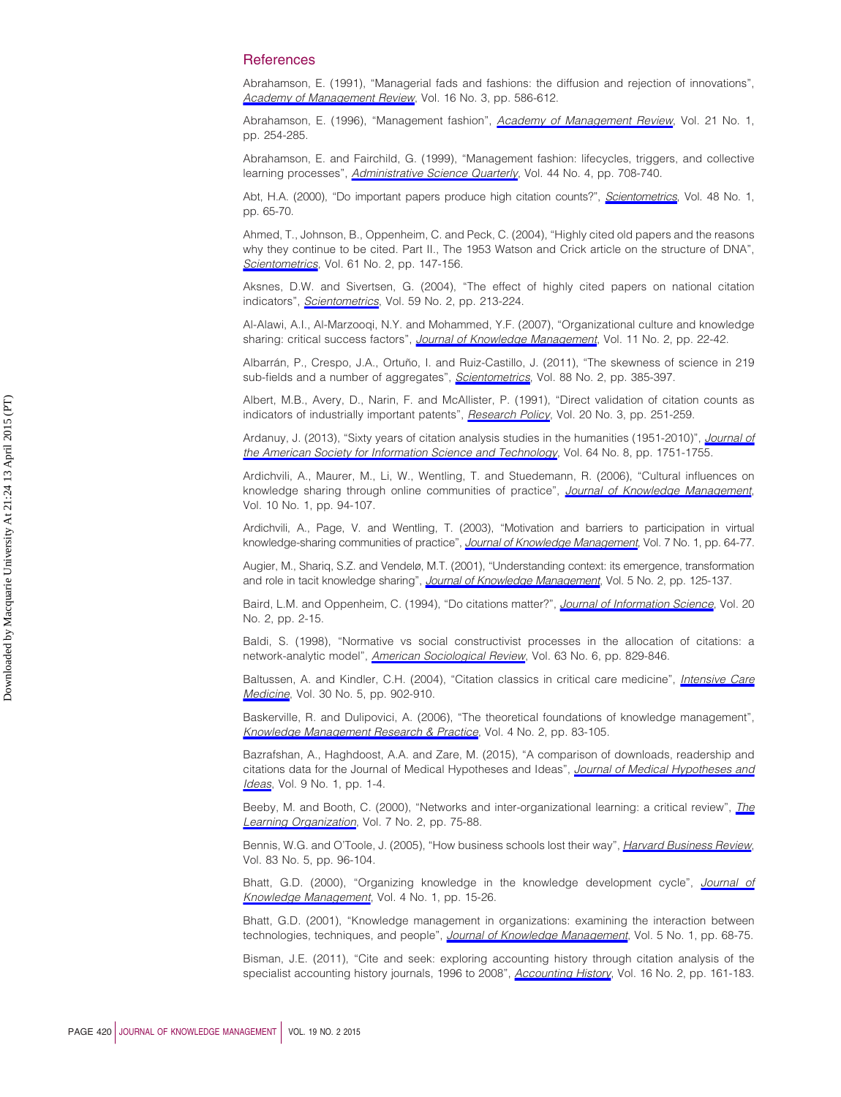### **References**

<span id="page-19-12"></span>Abrahamson, E. (1991), "Managerial fads and fashions: the diffusion and rejection of innovations", *[Academy of Management Review](http://www.emeraldinsight.com/action/showLinks?isi=A1991FW25700005)*, Vol. 16 No. 3, pp. 586-612.

<span id="page-19-13"></span>Abrahamson, E. (1996), "Management fashion", *[Academy of Management Review](http://www.emeraldinsight.com/action/showLinks?isi=A1996TT33800013)*, Vol. 21 No. 1, pp. 254-285.

<span id="page-19-14"></span>Abrahamson, E. and Fairchild, G. (1999), "Management fashion: lifecycles, triggers, and collective learning processes", *[Administrative Science Quarterly](http://www.emeraldinsight.com/action/showLinks?crossref=10.2307%2F2667053&isi=000084456900003)*, Vol. 44 No. 4, pp. 708-740.

<span id="page-19-3"></span>Abt, H.A. (2000), "Do important papers produce high citation counts?", *[Scientometrics](http://www.emeraldinsight.com/action/showLinks?crossref=10.1023%2FA%3A1005680318379&isi=000088918600004)*, Vol. 48 No. 1, pp. 65-70.

<span id="page-19-6"></span>Ahmed, T., Johnson, B., Oppenheim, C. and Peck, C. (2004), "Highly cited old papers and the reasons why they continue to be cited. Part II., The 1953 Watson and Crick article on the structure of DNA", *[Scientometrics](http://www.emeraldinsight.com/action/showLinks?crossref=10.1023%2FB%3ASCIE.0000041645.60907.57&isi=000223919400001)*, Vol. 61 No. 2, pp. 147-156.

<span id="page-19-9"></span>Aksnes, D.W. and Sivertsen, G. (2004), "The effect of highly cited papers on national citation indicators", *[Scientometrics](http://www.emeraldinsight.com/action/showLinks?crossref=10.1023%2FB%3ASCIE.0000018529.58334.eb&isi=000220003600003)*, Vol. 59 No. 2, pp. 213-224.

<span id="page-19-11"></span>Al-Alawi, A.I., Al-Marzooqi, N.Y. and Mohammed, Y.F. (2007), "Organizational culture and knowledge sharing: critical success factors", *[Journal of Knowledge Management](http://www.emeraldinsight.com/action/showLinks?system=10.1108%2F13673270710738898)*, Vol. 11 No. 2, pp. 22-42.

<span id="page-19-8"></span>Albarrán, P., Crespo, J.A., Ortuño, I. and Ruiz-Castillo, J. (2011), "The skewness of science in 219 sub-fields and a number of aggregates", *[Scientometrics](http://www.emeraldinsight.com/action/showLinks?crossref=10.1007%2Fs11192-011-0407-9&isi=000292210400004)*, Vol. 88 No. 2, pp. 385-397.

<span id="page-19-5"></span>Albert, M.B., Avery, D., Narin, F. and McAllister, P. (1991), "Direct validation of citation counts as indicators of industrially important patents", *[Research Policy](http://www.emeraldinsight.com/action/showLinks?crossref=10.1016%2F0048-7333%2891%2990055-U&isi=A1991FU97500006)*, Vol. 20 No. 3, pp. 251-259.

<span id="page-19-1"></span>Ardanuy, J. (2013), "Sixty years of citation analysis studies in the humanities (1951-2010)", *[Journal of](http://www.emeraldinsight.com/action/showLinks?crossref=10.1002%2Fasi.22835&isi=000321743500018) [the American Society for Information Science and Technology](http://www.emeraldinsight.com/action/showLinks?crossref=10.1002%2Fasi.22835&isi=000321743500018)*, Vol. 64 No. 8, pp. 1751-1755.

<span id="page-19-18"></span>Ardichvili, A., Maurer, M., Li, W., Wentling, T. and Stuedemann, R. (2006), "Cultural influences on knowledge sharing through online communities of practice", *[Journal of Knowledge Management](http://www.emeraldinsight.com/action/showLinks?system=10.1108%2F13673270610650139)*, Vol. 10 No. 1, pp. 94-107.

<span id="page-19-16"></span>Ardichvili, A., Page, V. and Wentling, T. (2003), "Motivation and barriers to participation in virtual knowledge-sharing communities of practice", *[Journal of Knowledge Management](http://www.emeraldinsight.com/action/showLinks?system=10.1108%2F13673270310463626)*, Vol. 7 No. 1, pp. 64-77.

<span id="page-19-20"></span>Augier, M., Shariq, S.Z. and Vendelø, M.T. (2001), "Understanding context: its emergence, transformation and role in tacit knowledge sharing", *[Journal of Knowledge Management](http://www.emeraldinsight.com/action/showLinks?system=10.1108%2F13673270110393176)*, Vol. 5 No. 2, pp. 125-137.

<span id="page-19-7"></span>Baird, L.M. and Oppenheim, C. (1994), "Do citations matter?", *[Journal of Information Science](http://www.emeraldinsight.com/action/showLinks?crossref=10.1177%2F016555159402000102)*, Vol. 20 No. 2, pp. 2-15.

<span id="page-19-2"></span>Baldi, S. (1998), "Normative vs social constructivist processes in the allocation of citations: a network-analytic model", *[American Sociological Review](http://www.emeraldinsight.com/action/showLinks?crossref=10.2307%2F2657504&isi=000077706000005)*, Vol. 63 No. 6, pp. 829-846.

<span id="page-19-10"></span>Baltussen, A. and Kindler, C.H. (2004), "Citation classics in critical care medicine", *[Intensive Care](http://www.emeraldinsight.com/action/showLinks?crossref=10.1007%2Fs00134-004-2195-7&isi=000221154000026) [Medicine](http://www.emeraldinsight.com/action/showLinks?crossref=10.1007%2Fs00134-004-2195-7&isi=000221154000026)*, Vol. 30 No. 5, pp. 902-910.

<span id="page-19-19"></span>Baskerville, R. and Dulipovici, A. (2006), "The theoretical foundations of knowledge management", *[Knowledge Management Research & Practice](http://www.emeraldinsight.com/action/showLinks?crossref=10.1057%2Fpalgrave.kmrp.8500090)*, Vol. 4 No. 2, pp. 83-105.

<span id="page-19-4"></span>Bazrafshan, A., Haghdoost, A.A. and Zare, M. (2015), "A comparison of downloads, readership and citations data for the Journal of Medical Hypotheses and Ideas", *[Journal of Medical Hypotheses and](http://www.emeraldinsight.com/action/showLinks?crossref=10.1016%2Fj.jmhi.2014.06.001) [Ideas](http://www.emeraldinsight.com/action/showLinks?crossref=10.1016%2Fj.jmhi.2014.06.001)*, Vol. 9 No. 1, pp. 1-4.

<span id="page-19-22"></span>Beeby, M. and Booth, C. (2000), "Networks and inter-organizational learning: a critical review", *[The](http://www.emeraldinsight.com/action/showLinks?system=10.1108%2F09696470010316260) [Learning Organization](http://www.emeraldinsight.com/action/showLinks?system=10.1108%2F09696470010316260)*, Vol. 7 No. 2, pp. 75-88.

<span id="page-19-21"></span>Bennis, W.G. and O'Toole, J. (2005), "How business schools lost their way", *[Harvard Business Review](http://www.emeraldinsight.com/action/showLinks?isi=000228947700018)*, Vol. 83 No. 5, pp. 96-104.

<span id="page-19-15"></span>Bhatt, G.D. (2000), "Organizing knowledge in the knowledge development cycle", *[Journal of](http://www.emeraldinsight.com/action/showLinks?system=10.1108%2F13673270010315371) [Knowledge Management](http://www.emeraldinsight.com/action/showLinks?system=10.1108%2F13673270010315371)*, Vol. 4 No. 1, pp. 15-26.

<span id="page-19-17"></span>Bhatt, G.D. (2001), "Knowledge management in organizations: examining the interaction between technologies, techniques, and people", *[Journal of Knowledge Management](http://www.emeraldinsight.com/action/showLinks?system=10.1108%2F13673270110384419)*, Vol. 5 No. 1, pp. 68-75.

<span id="page-19-0"></span>Bisman, J.E. (2011), "Cite and seek: exploring accounting history through citation analysis of the specialist accounting history journals, 1996 to 2008", *[Accounting History](http://www.emeraldinsight.com/action/showLinks?crossref=10.1177%2F1032373210396336)*, Vol. 16 No. 2, pp. 161-183.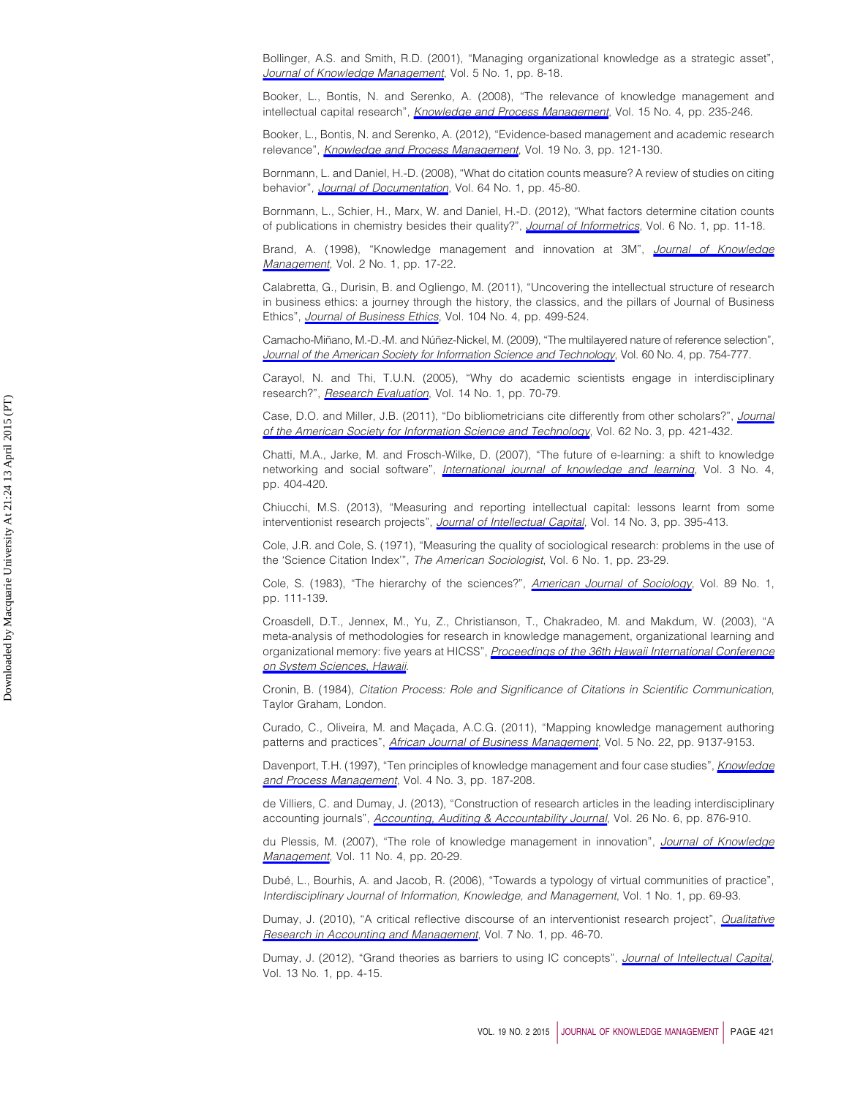<span id="page-20-11"></span>Bollinger, A.S. and Smith, R.D. (2001), "Managing organizational knowledge as a strategic asset", *[Journal of Knowledge Management](http://www.emeraldinsight.com/action/showLinks?system=10.1108%2F13673270110384365)*, Vol. 5 No. 1, pp. 8-18.

<span id="page-20-14"></span>Booker, L., Bontis, N. and Serenko, A. (2008), "The relevance of knowledge management and intellectual capital research", *[Knowledge and Process Management](http://www.emeraldinsight.com/action/showLinks?crossref=10.1002%2Fkpm.314)*, Vol. 15 No. 4, pp. 235-246.

<span id="page-20-13"></span>Booker, L., Bontis, N. and Serenko, A. (2012), "Evidence-based management and academic research relevance", *[Knowledge and Process Management](http://www.emeraldinsight.com/action/showLinks?crossref=10.1002%2Fkpm.1392)*, Vol. 19 No. 3, pp. 121-130.

<span id="page-20-2"></span>Bornmann, L. and Daniel, H.-D. (2008), "What do citation counts measure? A review of studies on citing behavior", *[Journal of Documentation](http://www.emeraldinsight.com/action/showLinks?system=10.1108%2F00220410810844150&isi=000258733400004)*, Vol. 64 No. 1, pp. 45-80.

<span id="page-20-17"></span>Bornmann, L., Schier, H., Marx, W. and Daniel, H.-D. (2012), "What factors determine citation counts of publications in chemistry besides their quality?", *[Journal of Informetrics](http://www.emeraldinsight.com/action/showLinks?crossref=10.1016%2Fj.joi.2011.08.004&isi=000298325300002)*, Vol. 6 No. 1, pp. 11-18.

<span id="page-20-16"></span>Brand, A. (1998), "Knowledge management and innovation at 3M", *[Journal of Knowledge](http://www.emeraldinsight.com/action/showLinks?system=10.1108%2FEUM0000000004605) [Management](http://www.emeraldinsight.com/action/showLinks?system=10.1108%2FEUM0000000004605)*, Vol. 2 No. 1, pp. 17-22.

<span id="page-20-7"></span>Calabretta, G., Durisin, B. and Ogliengo, M. (2011), "Uncovering the intellectual structure of research in business ethics: a journey through the history, the classics, and the pillars of Journal of Business Ethics", *[Journal of Business Ethics](http://www.emeraldinsight.com/action/showLinks?crossref=10.1007%2Fs10551-011-0924-8&isi=000297620200005)*, Vol. 104 No. 4, pp. 499-524.

<span id="page-20-3"></span>Camacho-Miñano, M.-D.-M. and Núñez-Nickel, M. (2009), "The multilayered nature of reference selection", *[Journal of the American Society for Information Science and Technology](http://www.emeraldinsight.com/action/showLinks?crossref=10.1002%2Fasi.21018&isi=000264413100009)*, Vol. 60 No. 4, pp. 754-777.

<span id="page-20-19"></span>Carayol, N. and Thi, T.U.N. (2005), "Why do academic scientists engage in interdisciplinary research?", *[Research Evaluation](http://www.emeraldinsight.com/action/showLinks?crossref=10.3152%2F147154405781776355&isi=000233752600010)*, Vol. 14 No. 1, pp. 70-79.

<span id="page-20-5"></span>Case, D.O. and Miller, J.B. (2011), "Do bibliometricians cite differently from other scholars?", *[Journal](http://www.emeraldinsight.com/action/showLinks?isi=000288142600001) [of the American Society for Information Science and Technology](http://www.emeraldinsight.com/action/showLinks?isi=000288142600001)*, Vol. 62 No. 3, pp. 421-432.

<span id="page-20-9"></span>Chatti, M.A., Jarke, M. and Frosch-Wilke, D. (2007), "The future of e-learning: a shift to knowledge networking and social software", *[International journal of knowledge and learning](http://www.emeraldinsight.com/action/showLinks?crossref=10.1504%2FIJKL.2007.016702)*, Vol. 3 No. 4, pp. 404-420.

<span id="page-20-22"></span>Chiucchi, M.S. (2013), "Measuring and reporting intellectual capital: lessons learnt from some interventionist research projects", *[Journal of Intellectual Capital](http://www.emeraldinsight.com/action/showLinks?system=10.1108%2FJIC-03-2013-0036)*, Vol. 14 No. 3, pp. 395-413.

<span id="page-20-4"></span>Cole, J.R. and Cole, S. (1971), "Measuring the quality of sociological research: problems in the use of the 'Science Citation Index'", *The American Sociologist*, Vol. 6 No. 1, pp. 23-29.

<span id="page-20-18"></span>Cole, S. (1983), "The hierarchy of the sciences?", *[American Journal of Sociology](http://www.emeraldinsight.com/action/showLinks?crossref=10.1086%2F227835&isi=A1983RD73700004)*, Vol. 89 No. 1, pp. 111-139.

<span id="page-20-8"></span>Croasdell, D.T., Jennex, M., Yu, Z., Christianson, T., Chakradeo, M. and Makdum, W. (2003), "A meta-analysis of methodologies for research in knowledge management, organizational learning and organizational memory: five years at HICSS", *[Proceedings of the 36th Hawaii International Conference](http://www.emeraldinsight.com/action/showLinks?crossref=10.1109%2FHICSS.2003.1174253) [on System Sciences](http://www.emeraldinsight.com/action/showLinks?crossref=10.1109%2FHICSS.2003.1174253)*, *Hawaii*.

<span id="page-20-1"></span>Cronin, B. (1984), *Citation Process: Role and Significance of Citations in Scientific Communication*, Taylor Graham, London.

<span id="page-20-6"></span>Curado, C., Oliveira, M. and Maçada, A.C.G. (2011), "Mapping knowledge management authoring patterns and practices", *[African Journal of Business Management](http://www.emeraldinsight.com/action/showLinks?isi=000297654600041)*, Vol. 5 No. 22, pp. 9137-9153.

<span id="page-20-15"></span>Davenport, T.H. (1997), "Ten principles of knowledge management and four case studies", *[Knowledge](http://www.emeraldinsight.com/action/showLinks?crossref=10.1002%2F%28SICI%291099-1441%28199709%294%3A3%3C187%3A%3AAID-KPM99%3E3.0.CO%3B2-A) [and Process Management](http://www.emeraldinsight.com/action/showLinks?crossref=10.1002%2F%28SICI%291099-1441%28199709%294%3A3%3C187%3A%3AAID-KPM99%3E3.0.CO%3B2-A)*, Vol. 4 No. 3, pp. 187-208.

<span id="page-20-0"></span>de Villiers, C. and Dumay, J. (2013), "Construction of research articles in the leading interdisciplinary accounting journals", *[Accounting, Auditing & Accountability Journal](http://www.emeraldinsight.com/action/showLinks?system=10.1108%2FAAAJ-Apr-2012-01000)*, Vol. 26 No. 6, pp. 876-910.

<span id="page-20-10"></span>du Plessis, M. (2007), "The role of knowledge management in innovation", *[Journal of Knowledge](http://www.emeraldinsight.com/action/showLinks?system=10.1108%2F13673270710762684) [Management](http://www.emeraldinsight.com/action/showLinks?system=10.1108%2F13673270710762684)*, Vol. 11 No. 4, pp. 20-29.

<span id="page-20-12"></span>Dubé, L., Bourhis, A. and Jacob, R. (2006), "Towards a typology of virtual communities of practice", *Interdisciplinary Journal of Information, Knowledge, and Management*, Vol. 1 No. 1, pp. 69-93.

<span id="page-20-21"></span>Dumay, J. (2010), "A critical reflective discourse of an interventionist research project", *[Qualitative](http://www.emeraldinsight.com/action/showLinks?system=10.1108%2F11766091011034271) [Research in Accounting and Management](http://www.emeraldinsight.com/action/showLinks?system=10.1108%2F11766091011034271)*, Vol. 7 No. 1, pp. 46-70.

<span id="page-20-20"></span>Dumay, J. (2012), "Grand theories as barriers to using IC concepts", *[Journal of Intellectual Capital](http://www.emeraldinsight.com/action/showLinks?system=10.1108%2F14691931211196187)*, Vol. 13 No. 1, pp. 4-15.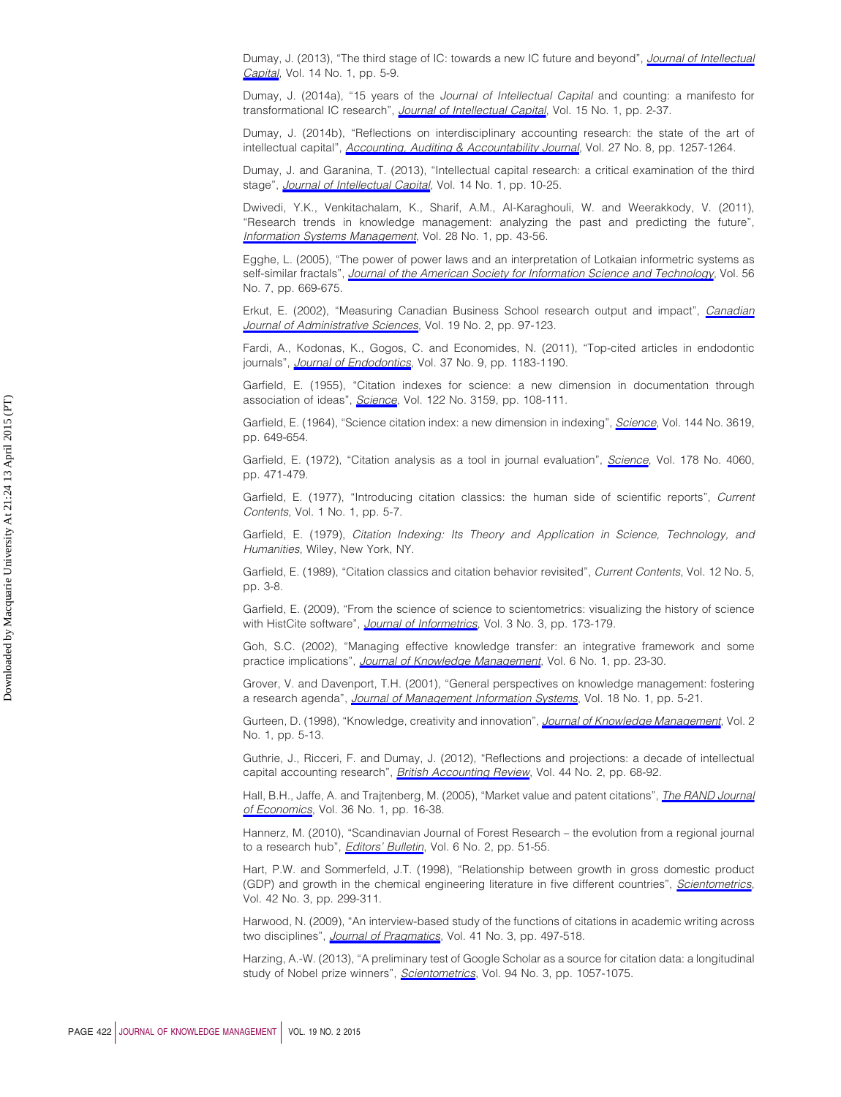<span id="page-21-22"></span>Dumay, J. (2013), "The third stage of IC: towards a new IC future and beyond", *[Journal of Intellectual](http://www.emeraldinsight.com/action/showLinks?system=10.1108%2F14691931311288986) [Capital](http://www.emeraldinsight.com/action/showLinks?system=10.1108%2F14691931311288986)*, Vol. 14 No. 1, pp. 5-9.

<span id="page-21-23"></span>Dumay, J. (2014a), "15 years of the *Journal of Intellectual Capital* and counting: a manifesto for transformational IC research", *[Journal of Intellectual Capital](http://www.emeraldinsight.com/action/showLinks?system=10.1108%2FJIC-09-2013-0098)*, Vol. 15 No. 1, pp. 2-37.

<span id="page-21-18"></span>Dumay, J. (2014b), "Reflections on interdisciplinary accounting research: the state of the art of intellectual capital", *[Accounting, Auditing & Accountability Journal](http://www.emeraldinsight.com/action/showLinks?system=10.1108%2FAAAJ-05-2014-1714)*, Vol. 27 No. 8, pp. 1257-1264.

<span id="page-21-0"></span>Dumay, J. and Garanina, T. (2013), "Intellectual capital research: a critical examination of the third stage", *[Journal of Intellectual Capital](http://www.emeraldinsight.com/action/showLinks?system=10.1108%2F14691931311288995)*, Vol. 14 No. 1, pp. 10-25.

<span id="page-21-19"></span>Dwivedi, Y.K., Venkitachalam, K., Sharif, A.M., Al-Karaghouli, W. and Weerakkody, V. (2011), "Research trends in knowledge management: analyzing the past and predicting the future", *[Information Systems Management](http://www.emeraldinsight.com/action/showLinks?crossref=10.1080%2F10580530.2011.536112&isi=000286826600006)*, Vol. 28 No. 1, pp. 43-56.

<span id="page-21-9"></span>Egghe, L. (2005), "The power of power laws and an interpretation of Lotkaian informetric systems as self-similar fractals", *[Journal of the American Society for Information Science and Technology](http://www.emeraldinsight.com/action/showLinks?crossref=10.1002%2Fasi.20158&isi=000228634800002)*, Vol. 56 No. 7, pp. 669-675.

<span id="page-21-10"></span>Erkut, E. (2002), "Measuring Canadian Business School research output and impact", *[Canadian](http://www.emeraldinsight.com/action/showLinks?crossref=10.1111%2Fj.1936-4490.2002.tb00674.x) [Journal of Administrative Sciences](http://www.emeraldinsight.com/action/showLinks?crossref=10.1111%2Fj.1936-4490.2002.tb00674.x)*, Vol. 19 No. 2, pp. 97-123.

<span id="page-21-13"></span>Fardi, A., Kodonas, K., Gogos, C. and Economides, N. (2011), "Top-cited articles in endodontic journals", *[Journal of Endodontics](http://www.emeraldinsight.com/action/showLinks?crossref=10.1016%2Fj.joen.2011.05.037&isi=000294393600001)*, Vol. 37 No. 9, pp. 1183-1190.

<span id="page-21-5"></span>Garfield, E. (1955), "Citation indexes for science: a new dimension in documentation through association of ideas", *[Science](http://www.emeraldinsight.com/action/showLinks?crossref=10.1126%2Fscience.122.3159.108&isi=A1955ZQ15100002)*, Vol. 122 No. 3159, pp. 108-111.

<span id="page-21-6"></span>Garfield, E. (1964), "Science citation index: a new dimension in indexing", *[Science](http://www.emeraldinsight.com/action/showLinks?crossref=10.1126%2Fscience.144.3619.649&isi=A19643060C00065)*, Vol. 144 No. 3619, pp. 649-654.

<span id="page-21-7"></span>Garfield, E. (1972), "Citation analysis as a tool in journal evaluation", *[Science](http://www.emeraldinsight.com/action/showLinks?crossref=10.1126%2Fscience.178.4060.471&isi=A1972N831000009)*, Vol. 178 No. 4060, pp. 471-479.

<span id="page-21-11"></span>Garfield, E. (1977), "Introducing citation classics: the human side of scientific reports", *Current Contents*, Vol. 1 No. 1, pp. 5-7.

<span id="page-21-3"></span>Garfield, E. (1979), *Citation Indexing: Its Theory and Application in Science, Technology, and Humanities*, Wiley, New York, NY.

<span id="page-21-12"></span>Garfield, E. (1989), "Citation classics and citation behavior revisited", *Current Contents*, Vol. 12 No. 5, pp. 3-8.

<span id="page-21-8"></span>Garfield, E. (2009), "From the science of science to scientometrics: visualizing the history of science with HistCite software", *[Journal of Informetrics](http://www.emeraldinsight.com/action/showLinks?crossref=10.1016%2Fj.joi.2009.03.009&isi=000267144200002)*, Vol. 3 No. 3, pp. 173-179.

<span id="page-21-17"></span>Goh, S.C. (2002), "Managing effective knowledge transfer: an integrative framework and some practice implications", *[Journal of Knowledge Management](http://www.emeraldinsight.com/action/showLinks?system=10.1108%2F13673270210417664)*, Vol. 6 No. 1, pp. 23-30.

<span id="page-21-21"></span>Grover, V. and Davenport, T.H. (2001), "General perspectives on knowledge management: fostering a research agenda", *[Journal of Management Information Systems](http://www.emeraldinsight.com/action/showLinks?isi=000169621900002)*, Vol. 18 No. 1, pp. 5-21.

<span id="page-21-16"></span>Gurteen, D. (1998), "Knowledge, creativity and innovation", *[Journal of Knowledge Management](http://www.emeraldinsight.com/action/showLinks?system=10.1108%2F13673279810800744)*, Vol. 2 No. 1, pp. 5-13.

<span id="page-21-1"></span>Guthrie, J., Ricceri, F. and Dumay, J. (2012), "Reflections and projections: a decade of intellectual capital accounting research", *[British Accounting Review](http://www.emeraldinsight.com/action/showLinks?crossref=10.1016%2Fj.bar.2012.03.004)*, Vol. 44 No. 2, pp. 68-92.

<span id="page-21-2"></span>Hall, B.H., Jaffe, A. and Trajtenberg, M. (2005), "Market value and patent citations", *[The RAND Journal](http://www.emeraldinsight.com/action/showLinks?isi=000229848900002) [of Economics](http://www.emeraldinsight.com/action/showLinks?isi=000229848900002)*, Vol. 36 No. 1, pp. 16-38.

<span id="page-21-15"></span>Hannerz, M. (2010), "Scandinavian Journal of Forest Research – the evolution from a regional journal to a research hub", *[Editors' Bulletin](http://www.emeraldinsight.com/action/showLinks?crossref=10.1080%2F17521742.2010.516192)*, Vol. 6 No. 2, pp. 51-55.

<span id="page-21-20"></span>Hart, P.W. and Sommerfeld, J.T. (1998), "Relationship between growth in gross domestic product (GDP) and growth in the chemical engineering literature in five different countries", *[Scientometrics](http://www.emeraldinsight.com/action/showLinks?crossref=10.1007%2FBF02458373&isi=000075374400002)*, Vol. 42 No. 3, pp. 299-311.

<span id="page-21-4"></span>Harwood, N. (2009), "An interview-based study of the functions of citations in academic writing across two disciplines", *[Journal of Pragmatics](http://www.emeraldinsight.com/action/showLinks?crossref=10.1016%2Fj.pragma.2008.06.001&isi=000264353200008)*, Vol. 41 No. 3, pp. 497-518.

<span id="page-21-14"></span>Harzing, A.-W. (2013), "A preliminary test of Google Scholar as a source for citation data: a longitudinal study of Nobel prize winners", *[Scientometrics](http://www.emeraldinsight.com/action/showLinks?crossref=10.1007%2Fs11192-012-0777-7&isi=000314753500017)*, Vol. 94 No. 3, pp. 1057-1075.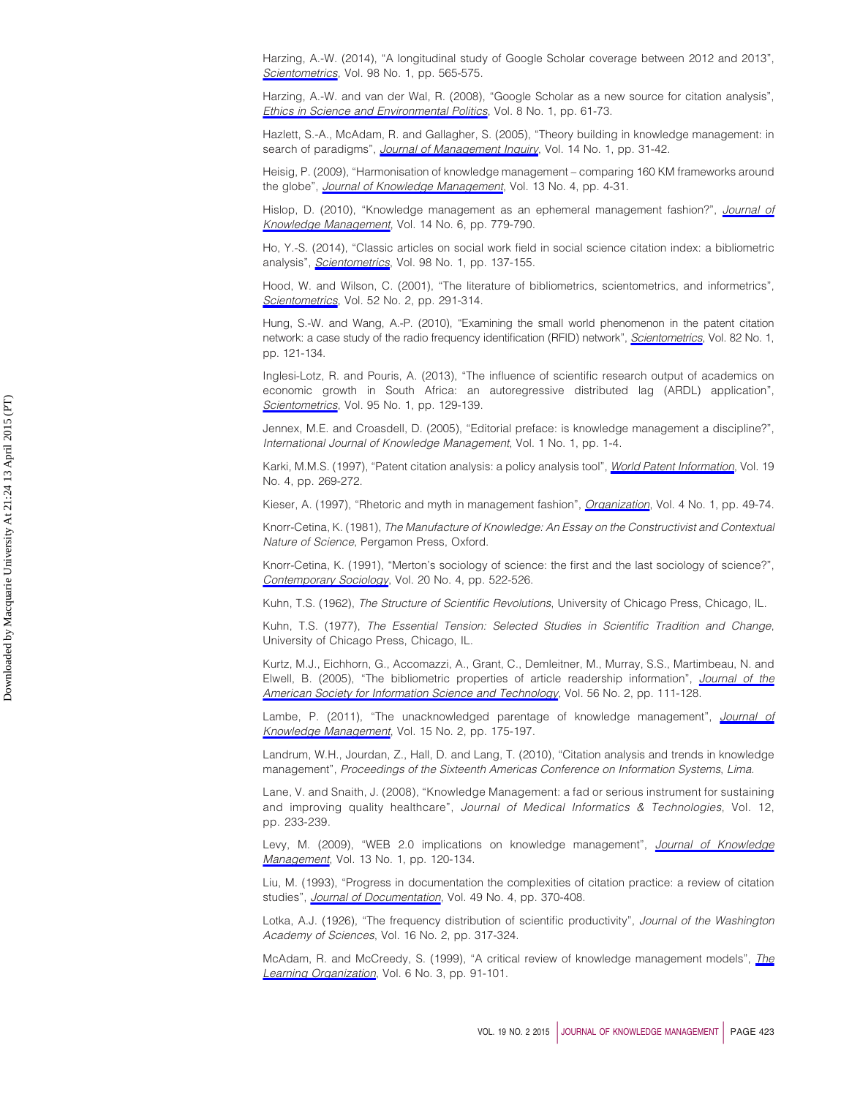<span id="page-22-14"></span>Harzing, A.-W. (2014), "A longitudinal study of Google Scholar coverage between 2012 and 2013", *[Scientometrics](http://www.emeraldinsight.com/action/showLinks?crossref=10.1007%2Fs11192-013-0975-y&isi=000329319200036)*, Vol. 98 No. 1, pp. 565-575.

<span id="page-22-13"></span>Harzing, A.-W. and van der Wal, R. (2008), "Google Scholar as a new source for citation analysis", *[Ethics in Science and Environmental Politics](http://www.emeraldinsight.com/action/showLinks?crossref=10.3354%2Fesep00076)*, Vol. 8 No. 1, pp. 61-73.

<span id="page-22-21"></span>Hazlett, S.-A., McAdam, R. and Gallagher, S. (2005), "Theory building in knowledge management: in search of paradigms", *[Journal of Management Inquiry](http://www.emeraldinsight.com/action/showLinks?crossref=10.1177%2F1056492604273730&isi=000226814300006)*, Vol. 14 No. 1, pp. 31-42.

<span id="page-22-8"></span>Heisig, P. (2009), "Harmonisation of knowledge management – comparing 160 KM frameworks around the globe", *[Journal of Knowledge Management](http://www.emeraldinsight.com/action/showLinks?system=10.1108%2F13673270910971798)*, Vol. 13 No. 4, pp. 4-31.

<span id="page-22-18"></span>Hislop, D. (2010), "Knowledge management as an ephemeral management fashion?", *[Journal of](http://www.emeraldinsight.com/action/showLinks?system=10.1108%2F13673271011084853) [Knowledge Management](http://www.emeraldinsight.com/action/showLinks?system=10.1108%2F13673271011084853)*, Vol. 14 No. 6, pp. 779-790.

<span id="page-22-10"></span>Ho, Y.-S. (2014), "Classic articles on social work field in social science citation index: a bibliometric analysis", *[Scientometrics](http://www.emeraldinsight.com/action/showLinks?crossref=10.1007%2Fs11192-013-1014-8&isi=000329319200010)*, Vol. 98 No. 1, pp. 137-155.

<span id="page-22-6"></span>Hood, W. and Wilson, C. (2001), "The literature of bibliometrics, scientometrics, and informetrics", *[Scientometrics](http://www.emeraldinsight.com/action/showLinks?crossref=10.1023%2FA%3A1017919924342&isi=000171745700019)*, Vol. 52 No. 2, pp. 291-314.

<span id="page-22-3"></span>Hung, S.-W. and Wang, A.-P. (2010), "Examining the small world phenomenon in the patent citation network: a case study of the radio frequency identification (RFID) network", *[Scientometrics](http://www.emeraldinsight.com/action/showLinks?crossref=10.1007%2Fs11192-009-0032-z&isi=000273950900010)*, Vol. 82 No. 1, pp. 121-134.

<span id="page-22-22"></span>Inglesi-Lotz, R. and Pouris, A. (2013), "The influence of scientific research output of academics on economic growth in South Africa: an autoregressive distributed lag (ARDL) application", *[Scientometrics](http://www.emeraldinsight.com/action/showLinks?crossref=10.1007%2Fs11192-012-0817-3&isi=000316046000010)*, Vol. 95 No. 1, pp. 129-139.

<span id="page-22-11"></span>Jennex, M.E. and Croasdell, D. (2005), "Editorial preface: is knowledge management a discipline?", *International Journal of Knowledge Management*, Vol. 1 No. 1, pp. 1-4.

<span id="page-22-4"></span>Karki, M.M.S. (1997), "Patent citation analysis: a policy analysis tool", *[World Patent Information](http://www.emeraldinsight.com/action/showLinks?crossref=10.1016%2FS0172-2190%2897%2900033-1)*, Vol. 19 No. 4, pp. 269-272.

<span id="page-22-16"></span>Kieser, A. (1997), "Rhetoric and myth in management fashion", *[Organization](http://www.emeraldinsight.com/action/showLinks?crossref=10.1177%2F135050849741004&isi=A1997WQ06200004)*, Vol. 4 No. 1, pp. 49-74.

<span id="page-22-0"></span>Knorr-Cetina, K. (1981), *The Manufacture of Knowledge: An Essay on the Constructivist and Contextual Nature of Science*, Pergamon Press, Oxford.

<span id="page-22-1"></span>Knorr-Cetina, K. (1991), "Merton's sociology of science: the first and the last sociology of science?", *[Contemporary Sociology](http://www.emeraldinsight.com/action/showLinks?crossref=10.2307%2F2071782&isi=A1991FX14200008)*, Vol. 20 No. 4, pp. 522-526.

<span id="page-22-19"></span>Kuhn, T.S. (1962), *The Structure of Scientific Revolutions*, University of Chicago Press, Chicago, IL.

<span id="page-22-20"></span>Kuhn, T.S. (1977), *The Essential Tension: Selected Studies in Scientific Tradition and Change*, University of Chicago Press, Chicago, IL.

<span id="page-22-2"></span>Kurtz, M.J., Eichhorn, G., Accomazzi, A., Grant, C., Demleitner, M., Murray, S.S., Martimbeau, N. and Elwell, B. (2005), "The bibliometric properties of article readership information", *[Journal of the](http://www.emeraldinsight.com/action/showLinks?crossref=10.1002%2Fasi.20096&isi=000226508300002) [American Society for Information Science and Technology](http://www.emeraldinsight.com/action/showLinks?crossref=10.1002%2Fasi.20096&isi=000226508300002)*, Vol. 56 No. 2, pp. 111-128.

<span id="page-22-9"></span>Lambe, P. (2011), "The unacknowledged parentage of knowledge management", *[Journal of](http://www.emeraldinsight.com/action/showLinks?system=10.1108%2F13673271111119646) [Knowledge Management](http://www.emeraldinsight.com/action/showLinks?system=10.1108%2F13673271111119646)*, Vol. 15 No. 2, pp. 175-197.

<span id="page-22-12"></span>Landrum, W.H., Jourdan, Z., Hall, D. and Lang, T. (2010), "Citation analysis and trends in knowledge management", *Proceedings of the Sixteenth Americas Conference on Information Systems*, *Lima*.

<span id="page-22-17"></span>Lane, V. and Snaith, J. (2008), "Knowledge Management: a fad or serious instrument for sustaining and improving quality healthcare", *Journal of Medical Informatics & Technologies*, Vol. 12, pp. 233-239.

<span id="page-22-15"></span>Levy, M. (2009), "WEB 2.0 implications on knowledge management", *[Journal of Knowledge](http://www.emeraldinsight.com/action/showLinks?system=10.1108%2F13673270910931215) [Management](http://www.emeraldinsight.com/action/showLinks?system=10.1108%2F13673270910931215)*, Vol. 13 No. 1, pp. 120-134.

<span id="page-22-5"></span>Liu, M. (1993), "Progress in documentation the complexities of citation practice: a review of citation studies", *[Journal of Documentation](http://www.emeraldinsight.com/action/showLinks?system=10.1108%2Feb026920&isi=A1993MQ32100003)*, Vol. 49 No. 4, pp. 370-408.

<span id="page-22-7"></span>Lotka, A.J. (1926), "The frequency distribution of scientific productivity", *Journal of the Washington Academy of Sciences*, Vol. 16 No. 2, pp. 317-324.

<span id="page-22-23"></span>McAdam, R. and McCreedy, S. (1999), "A critical review of knowledge management models", *[The](http://www.emeraldinsight.com/action/showLinks?system=10.1108%2F09696479910270416) [Learning Organization](http://www.emeraldinsight.com/action/showLinks?system=10.1108%2F09696479910270416)*, Vol. 6 No. 3, pp. 91-101.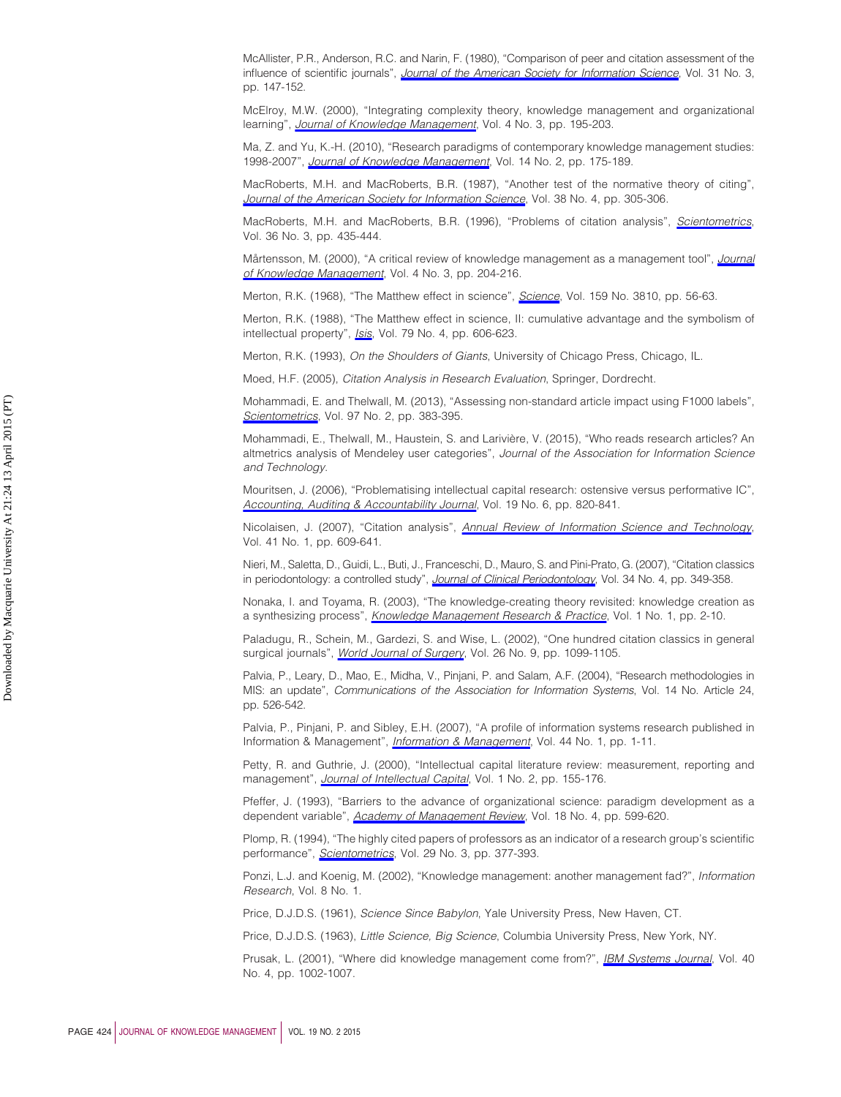<span id="page-23-8"></span>McAllister, P.R., Anderson, R.C. and Narin, F. (1980), "Comparison of peer and citation assessment of the influence of scientific journals", *[Journal of the American Society for Information Science](http://www.emeraldinsight.com/action/showLinks?crossref=10.1002%2Fasi.4630310304&isi=A1980JS01700003)*, Vol. 31 No. 3, pp. 147-152.

<span id="page-23-20"></span>McElroy, M.W. (2000), "Integrating complexity theory, knowledge management and organizational learning", *[Journal of Knowledge Management](http://www.emeraldinsight.com/action/showLinks?system=10.1108%2F13673270010377652)*, Vol. 4 No. 3, pp. 195-203.

<span id="page-23-16"></span>Ma, Z. and Yu, K.-H. (2010), "Research paradigms of contemporary knowledge management studies: 1998-2007", *[Journal of Knowledge Management](http://www.emeraldinsight.com/action/showLinks?system=10.1108%2F13673271011032337)*, Vol. 14 No. 2, pp. 175-189.

<span id="page-23-5"></span>MacRoberts, M.H. and MacRoberts, B.R. (1987), "Another test of the normative theory of citing", *[Journal of the American Society for Information Science](http://www.emeraldinsight.com/action/showLinks?crossref=10.1002%2F%28SICI%291097-4571%28198707%2938%3A4%3C305%3A%3AAID-ASI11%3E3.0.CO%3B2-I&isi=A1987H775500011)*, Vol. 38 No. 4, pp. 305-306.

<span id="page-23-7"></span>MacRoberts, M.H. and MacRoberts, B.R. (1996), "Problems of citation analysis", *[Scientometrics](http://www.emeraldinsight.com/action/showLinks?crossref=10.1007%2FBF02129604&isi=A1996VG50500010)*, Vol. 36 No. 3, pp. 435-444.

<span id="page-23-24"></span>Mårtensson, M. (2000), "A critical review of knowledge management as a management tool", *[Journal](http://www.emeraldinsight.com/action/showLinks?system=10.1108%2F13673270010350002) [of Knowledge Management](http://www.emeraldinsight.com/action/showLinks?system=10.1108%2F13673270010350002)*, Vol. 4 No. 3, pp. 204-216.

<span id="page-23-13"></span>Merton, R.K. (1968), "The Matthew effect in science", *[Science](http://www.emeraldinsight.com/action/showLinks?crossref=10.1126%2Fscience.159.3810.56&isi=A1968A419500007)*, Vol. 159 No. 3810, pp. 56-63.

<span id="page-23-6"></span>Merton, R.K. (1988), "The Matthew effect in science, II: cumulative advantage and the symbolism of intellectual property", *[Isis](http://www.emeraldinsight.com/action/showLinks?crossref=10.1086%2F354848&isi=A1988R872900006)*, Vol. 79 No. 4, pp. 606-623.

<span id="page-23-1"></span>Merton, R.K. (1993), *On the Shoulders of Giants*, University of Chicago Press, Chicago, IL.

<span id="page-23-12"></span>Moed, H.F. (2005), *Citation Analysis in Research Evaluation*, Springer, Dordrecht.

<span id="page-23-9"></span>Mohammadi, E. and Thelwall, M. (2013), "Assessing non-standard article impact using F1000 labels", *[Scientometrics](http://www.emeraldinsight.com/action/showLinks?crossref=10.1007%2Fs11192-013-0993-9&isi=000325475300013)*, Vol. 97 No. 2, pp. 383-395.

<span id="page-23-11"></span>Mohammadi, E., Thelwall, M., Haustein, S. and Larivière, V. (2015), "Who reads research articles? An altmetrics analysis of Mendeley user categories", *Journal of the Association for Information Science and Technology*.

<span id="page-23-25"></span>Mouritsen, J. (2006), "Problematising intellectual capital research: ostensive versus performative IC", *[Accounting, Auditing & Accountability Journal](http://www.emeraldinsight.com/action/showLinks?system=10.1108%2F09513570610709881)*, Vol. 19 No. 6, pp. 820-841.

<span id="page-23-2"></span>Nicolaisen, J. (2007), "Citation analysis", *[Annual Review of Information Science and Technology](http://www.emeraldinsight.com/action/showLinks?crossref=10.1002%2Faris.2007.1440410120&isi=000242813600014)*, Vol. 41 No. 1, pp. 609-641.

<span id="page-23-14"></span>Nieri, M., Saletta, D., Guidi, L., Buti, J., Franceschi, D., Mauro, S. and Pini-Prato, G. (2007), "Citation classics in periodontology: a controlled study", *[Journal of Clinical Periodontology](http://www.emeraldinsight.com/action/showLinks?crossref=10.1111%2Fj.1600-051X.2007.01060.x&isi=000244978300011)*, Vol. 34 No. 4, pp. 349-358.

<span id="page-23-21"></span>Nonaka, I. and Toyama, R. (2003), "The knowledge-creating theory revisited: knowledge creation as a synthesizing process", *[Knowledge Management Research & Practice](http://www.emeraldinsight.com/action/showLinks?crossref=10.1057%2Fpalgrave.kmrp.8500001)*, Vol. 1 No. 1, pp. 2-10.

<span id="page-23-15"></span>Paladugu, R., Schein, M., Gardezi, S. and Wise, L. (2002), "One hundred citation classics in general surgical journals", *[World Journal of Surgery](http://www.emeraldinsight.com/action/showLinks?crossref=10.1007%2Fs00268-002-6376-7&isi=000177946600005)*, Vol. 26 No. 9, pp. 1099-1105.

<span id="page-23-17"></span>Palvia, P., Leary, D., Mao, E., Midha, V., Pinjani, P. and Salam, A.F. (2004), "Research methodologies in MIS: an update", *Communications of the Association for Information Systems*, Vol. 14 No. Article 24, pp. 526-542.

<span id="page-23-18"></span>Palvia, P., Pinjani, P. and Sibley, E.H. (2007), "A profile of information systems research published in Information & Management", *[Information & Management](http://www.emeraldinsight.com/action/showLinks?crossref=10.1016%2Fj.im.2006.10.002&isi=000243743300001)*, Vol. 44 No. 1, pp. 1-11.

<span id="page-23-0"></span>Petty, R. and Guthrie, J. (2000), "Intellectual capital literature review: measurement, reporting and management", *[Journal of Intellectual Capital](http://www.emeraldinsight.com/action/showLinks?system=10.1108%2F14691930010348731)*, Vol. 1 No. 2, pp. 155-176.

<span id="page-23-22"></span>Pfeffer, J. (1993), "Barriers to the advance of organizational science: paradigm development as a dependent variable", *[Academy of Management Review](http://www.emeraldinsight.com/action/showLinks?isi=A1993MC03400001)*, Vol. 18 No. 4, pp. 599-620.

<span id="page-23-10"></span>Plomp, R. (1994), "The highly cited papers of professors as an indicator of a research group's scientific performance", *[Scientometrics](http://www.emeraldinsight.com/action/showLinks?crossref=10.1007%2FBF02033446&isi=A1994NA21800004)*, Vol. 29 No. 3, pp. 377-393.

<span id="page-23-19"></span>Ponzi, L.J. and Koenig, M. (2002), "Knowledge management: another management fad?", *Information Research*, Vol. 8 No. 1.

<span id="page-23-3"></span>Price, D.J.D.S. (1961), *Science Since Babylon*, Yale University Press, New Haven, CT.

<span id="page-23-4"></span>Price, D.J.D.S. (1963), *Little Science, Big Science*, Columbia University Press, New York, NY.

<span id="page-23-23"></span>Prusak, L. (2001), "Where did knowledge management come from?", *[IBM Systems Journal](http://www.emeraldinsight.com/action/showLinks?crossref=10.1147%2Fsj.404.01002&isi=000172016500013)*, Vol. 40 No. 4, pp. 1002-1007.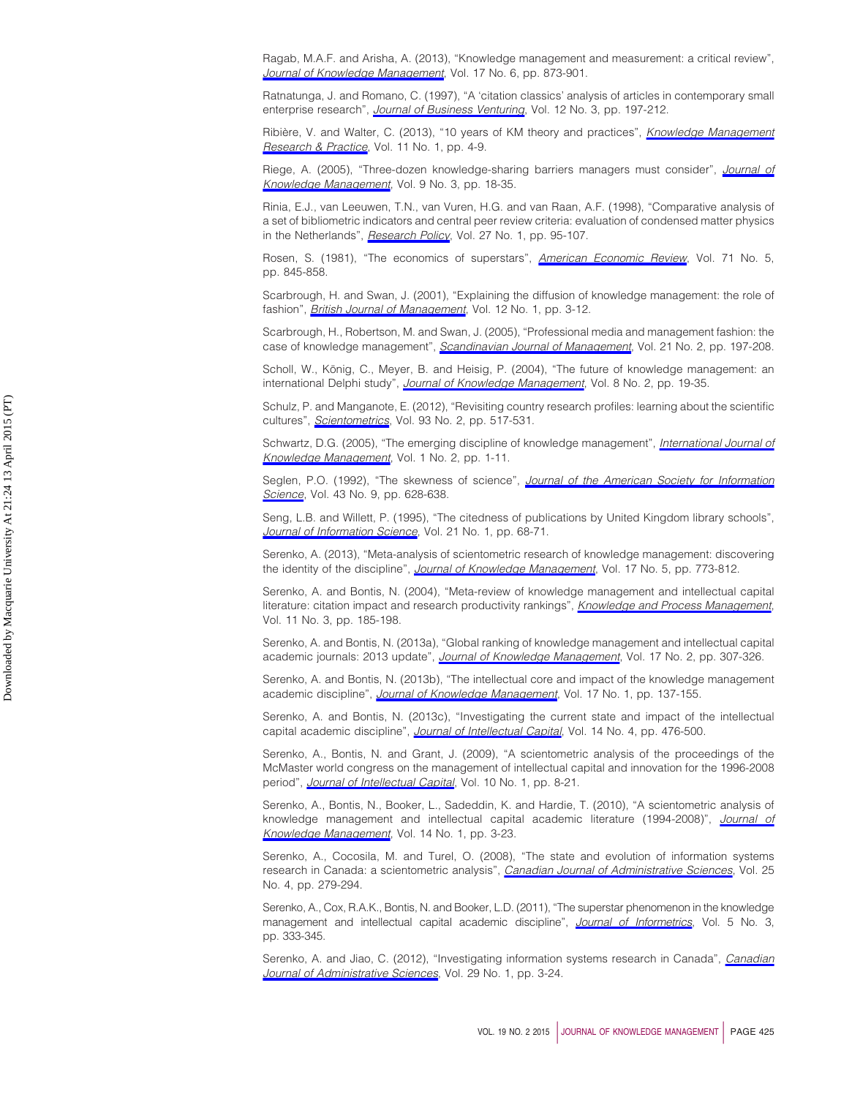<span id="page-24-9"></span>Ragab, M.A.F. and Arisha, A. (2013), "Knowledge management and measurement: a critical review", *[Journal of Knowledge Management](http://www.emeraldinsight.com/action/showLinks?system=10.1108%2FJKM-12-2012-0381)*, Vol. 17 No. 6, pp. 873-901.

<span id="page-24-11"></span>Ratnatunga, J. and Romano, C. (1997), "A 'citation classics' analysis of articles in contemporary small enterprise research", *[Journal of Business Venturing](http://www.emeraldinsight.com/action/showLinks?crossref=10.1016%2FS0883-9026%2896%2900062-6&isi=A1997WW31100004)*, Vol. 12 No. 3, pp. 197-212.

<span id="page-24-10"></span>Ribière, V. and Walter, C. (2013), "10 years of KM theory and practices", *[Knowledge Management](http://www.emeraldinsight.com/action/showLinks?crossref=10.1057%2Fkmrp.2012.64) [Research & Practice](http://www.emeraldinsight.com/action/showLinks?crossref=10.1057%2Fkmrp.2012.64)*, Vol. 11 No. 1, pp. 4-9.

<span id="page-24-17"></span>Riege, A. (2005), "Three-dozen knowledge-sharing barriers managers must consider", *[Journal of](http://www.emeraldinsight.com/action/showLinks?system=10.1108%2F13673270510602746) [Knowledge Management](http://www.emeraldinsight.com/action/showLinks?system=10.1108%2F13673270510602746)*, Vol. 9 No. 3, pp. 18-35.

<span id="page-24-2"></span>Rinia, E.J., van Leeuwen, T.N., van Vuren, H.G. and van Raan, A.F. (1998), "Comparative analysis of a set of bibliometric indicators and central peer review criteria: evaluation of condensed matter physics in the Netherlands", *[Research Policy](http://www.emeraldinsight.com/action/showLinks?crossref=10.1016%2FS0048-7333%2898%2900026-2&isi=000074230700006)*, Vol. 27 No. 1, pp. 95-107.

<span id="page-24-19"></span>Rosen, S. (1981), "The economics of superstars", *[American Economic Review](http://www.emeraldinsight.com/action/showLinks?isi=A1981MU55900002)*, Vol. 71 No. 5, pp. 845-858.

<span id="page-24-15"></span>Scarbrough, H. and Swan, J. (2001), "Explaining the diffusion of knowledge management: the role of fashion", *[British Journal of Management](http://www.emeraldinsight.com/action/showLinks?crossref=10.1111%2F1467-8551.00182&isi=000168061200001)*, Vol. 12 No. 1, pp. 3-12.

<span id="page-24-16"></span>Scarbrough, H., Robertson, M. and Swan, J. (2005), "Professional media and management fashion: the case of knowledge management", *[Scandinavian Journal of Management](http://www.emeraldinsight.com/action/showLinks?crossref=10.1016%2Fj.scaman.2005.02.011)*, Vol. 21 No. 2, pp. 197-208.

<span id="page-24-18"></span>Scholl, W., König, C., Meyer, B. and Heisig, P. (2004), "The future of knowledge management: an international Delphi study", *[Journal of Knowledge Management](http://www.emeraldinsight.com/action/showLinks?system=10.1108%2F13673270410529082)*, Vol. 8 No. 2, pp. 19-35.

<span id="page-24-21"></span>Schulz, P. and Manganote, E. (2012), "Revisiting country research profiles: learning about the scientific cultures", *[Scientometrics](http://www.emeraldinsight.com/action/showLinks?crossref=10.1007%2Fs11192-012-0696-7&isi=000310230400017)*, Vol. 93 No. 2, pp. 517-531.

<span id="page-24-22"></span>Schwartz, D.G. (2005), "The emerging discipline of knowledge management", *[International Journal of](http://www.emeraldinsight.com/action/showLinks?crossref=10.4018%2Fjkm.2005040101) [Knowledge Management](http://www.emeraldinsight.com/action/showLinks?crossref=10.4018%2Fjkm.2005040101)*, Vol. 1 No. 2, pp. 1-11.

<span id="page-24-5"></span>Seglen, P.O. (1992), "The skewness of science", *[Journal of the American Society for Information](http://www.emeraldinsight.com/action/showLinks?crossref=10.1002%2F%28SICI%291097-4571%28199210%2943%3A9%3C628%3A%3AAID-ASI5%3E3.0.CO%3B2-0&isi=A1992JN14200005) [Science](http://www.emeraldinsight.com/action/showLinks?crossref=10.1002%2F%28SICI%291097-4571%28199210%2943%3A9%3C628%3A%3AAID-ASI5%3E3.0.CO%3B2-0&isi=A1992JN14200005)*, Vol. 43 No. 9, pp. 628-638.

<span id="page-24-3"></span>Seng, L.B. and Willett, P. (1995), "The citedness of publications by United Kingdom library schools", *[Journal of Information Science](http://www.emeraldinsight.com/action/showLinks?crossref=10.1177%2F016555159502100109&isi=A1995QK78400009)*, Vol. 21 No. 1, pp. 68-71.

<span id="page-24-6"></span>Serenko, A. (2013), "Meta-analysis of scientometric research of knowledge management: discovering the identity of the discipline", *[Journal of Knowledge Management](http://www.emeraldinsight.com/action/showLinks?system=10.1108%2FJKM-05-2013-0166)*, Vol. 17 No. 5, pp. 773-812.

<span id="page-24-12"></span>Serenko, A. and Bontis, N. (2004), "Meta-review of knowledge management and intellectual capital literature: citation impact and research productivity rankings", *[Knowledge and Process Management](http://www.emeraldinsight.com/action/showLinks?crossref=10.1002%2Fkpm.203)*, Vol. 11 No. 3, pp. 185-198.

<span id="page-24-1"></span>Serenko, A. and Bontis, N. (2013a), "Global ranking of knowledge management and intellectual capital academic journals: 2013 update", *[Journal of Knowledge Management](http://www.emeraldinsight.com/action/showLinks?system=10.1108%2F13673271311315231)*, Vol. 17 No. 2, pp. 307-326.

<span id="page-24-7"></span>Serenko, A. and Bontis, N. (2013b), "The intellectual core and impact of the knowledge management academic discipline", *[Journal of Knowledge Management](http://www.emeraldinsight.com/action/showLinks?system=10.1108%2F13673271311300840)*, Vol. 17 No. 1, pp. 137-155.

<span id="page-24-13"></span>Serenko, A. and Bontis, N. (2013c), "Investigating the current state and impact of the intellectual capital academic discipline", *[Journal of Intellectual Capital](http://www.emeraldinsight.com/action/showLinks?system=10.1108%2FJIC-11-2012-0099)*, Vol. 14 No. 4, pp. 476-500.

<span id="page-24-8"></span>Serenko, A., Bontis, N. and Grant, J. (2009), "A scientometric analysis of the proceedings of the McMaster world congress on the management of intellectual capital and innovation for the 1996-2008 period", *[Journal of Intellectual Capital](http://www.emeraldinsight.com/action/showLinks?system=10.1108%2F14691930910922860)*, Vol. 10 No. 1, pp. 8-21.

<span id="page-24-0"></span>Serenko, A., Bontis, N., Booker, L., Sadeddin, K. and Hardie, T. (2010), "A scientometric analysis of knowledge management and intellectual capital academic literature (1994-2008)", *[Journal of](http://www.emeraldinsight.com/action/showLinks?system=10.1108%2F13673271011015534) [Knowledge Management](http://www.emeraldinsight.com/action/showLinks?system=10.1108%2F13673271011015534)*, Vol. 14 No. 1, pp. 3-23.

<span id="page-24-14"></span>Serenko, A., Cocosila, M. and Turel, O. (2008), "The state and evolution of information systems research in Canada: a scientometric analysis", *[Canadian Journal of Administrative Sciences](http://www.emeraldinsight.com/action/showLinks?crossref=10.1002%2Fcjas.73&isi=000267699900005)*, Vol. 25 No. 4, pp. 279-294.

<span id="page-24-20"></span>Serenko, A., Cox, R.A.K., Bontis, N. and Booker, L.D. (2011), "The superstar phenomenon in the knowledge management and intellectual capital academic discipline", *[Journal of Informetrics](http://www.emeraldinsight.com/action/showLinks?isi=000291032500002)*, Vol. 5 No. 3, pp. 333-345.

<span id="page-24-4"></span>Serenko, A. and Jiao, C. (2012), "Investigating information systems research in Canada", *[Canadian](http://www.emeraldinsight.com/action/showLinks?crossref=10.1002%2Fcjas.214&isi=000301490100003) [Journal of Administrative Sciences](http://www.emeraldinsight.com/action/showLinks?crossref=10.1002%2Fcjas.214&isi=000301490100003)*, Vol. 29 No. 1, pp. 3-24.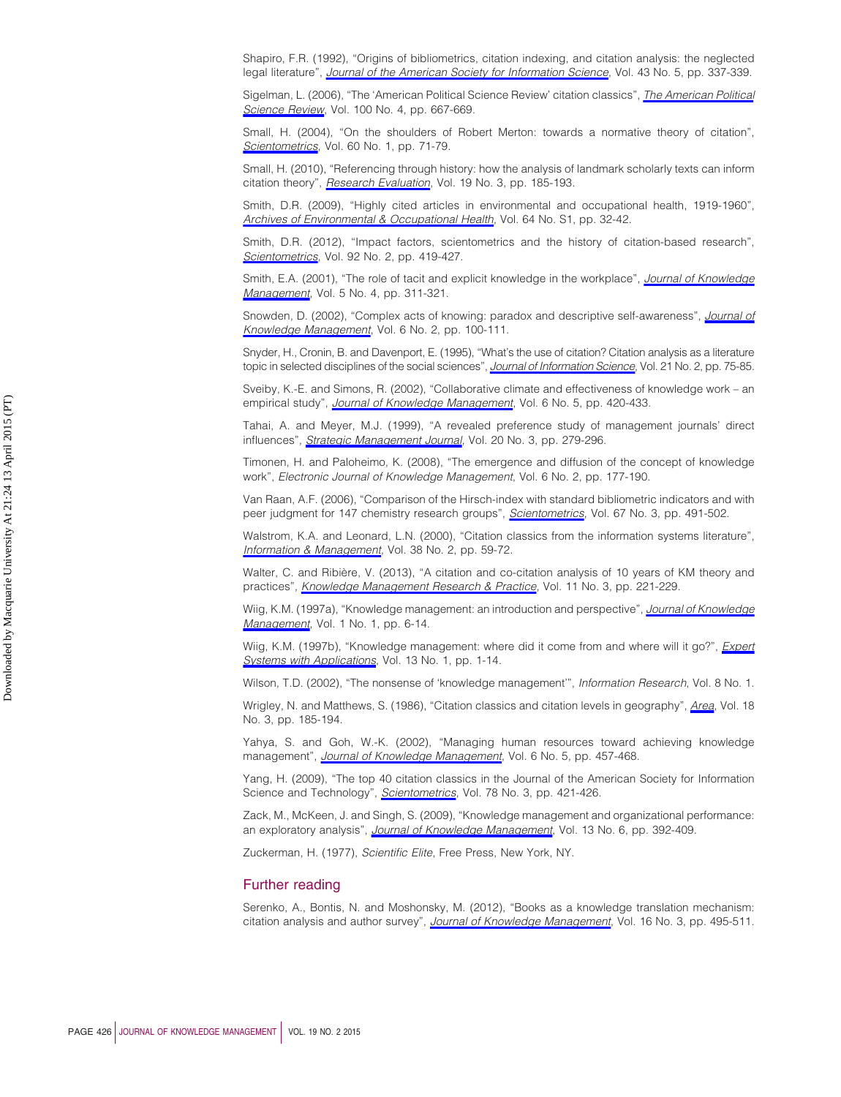<span id="page-25-5"></span>Shapiro, F.R. (1992), "Origins of bibliometrics, citation indexing, and citation analysis: the neglected legal literature", *[Journal of the American Society for Information Science](http://www.emeraldinsight.com/action/showLinks?crossref=10.1002%2F%28SICI%291097-4571%28199206%2943%3A5%3C337%3A%3AAID-ASI2%3E3.0.CO%3B2-T&isi=A1992HV36000001)*, Vol. 43 No. 5, pp. 337-339.

<span id="page-25-9"></span>Sigelman, L. (2006), "The 'American Political Science Review' citation classics", *[The American Political](http://www.emeraldinsight.com/action/showLinks?crossref=10.1017%2FS0003055406212565&isi=000242682200027) [Science Review](http://www.emeraldinsight.com/action/showLinks?crossref=10.1017%2FS0003055406212565&isi=000242682200027)*, Vol. 100 No. 4, pp. 667-669.

<span id="page-25-2"></span>Small, H. (2004), "On the shoulders of Robert Merton: towards a normative theory of citation", *[Scientometrics](http://www.emeraldinsight.com/action/showLinks?crossref=10.1023%2FB%3ASCIE.0000027310.68393.bc&isi=000221337500010)*, Vol. 60 No. 1, pp. 71-79.

<span id="page-25-1"></span>Small, H. (2010), "Referencing through history: how the analysis of landmark scholarly texts can inform citation theory", *[Research Evaluation](http://www.emeraldinsight.com/action/showLinks?crossref=10.3152%2F095820210X503438%3B&isi=000281472600004)*, Vol. 19 No. 3, pp. 185-193.

<span id="page-25-8"></span>Smith, D.R. (2009), "Highly cited articles in environmental and occupational health, 1919-1960", *[Archives of Environmental & Occupational Health](http://www.emeraldinsight.com/action/showLinks?crossref=10.1080%2F19338240903286743&isi=000273316500005)*, Vol. 64 No. S1, pp. 32-42.

<span id="page-25-6"></span>Smith, D.R. (2012), "Impact factors, scientometrics and the history of citation-based research", *[Scientometrics](http://www.emeraldinsight.com/action/showLinks?crossref=10.1007%2Fs11192-012-0685-x&isi=000306547000021)*, Vol. 92 No. 2, pp. 419-427.

<span id="page-25-20"></span>Smith, E.A. (2001), "The role of tacit and explicit knowledge in the workplace", *[Journal of Knowledge](http://www.emeraldinsight.com/action/showLinks?system=10.1108%2F13673270110411733) [Management](http://www.emeraldinsight.com/action/showLinks?system=10.1108%2F13673270110411733)*, Vol. 5 No. 4, pp. 311-321.

<span id="page-25-19"></span>Snowden, D. (2002), "Complex acts of knowing: paradox and descriptive self-awareness", *[Journal of](http://www.emeraldinsight.com/action/showLinks?system=10.1108%2F13673270210424639) [Knowledge Management](http://www.emeraldinsight.com/action/showLinks?system=10.1108%2F13673270210424639)*, Vol. 6 No. 2, pp. 100-111.

<span id="page-25-0"></span>Snyder, H., Cronin, B. and Davenport, E. (1995), "What's the use of citation? Citation analysis as a literature topic in selected disciplines of the social sciences", *[Journal of Information Science](http://www.emeraldinsight.com/action/showLinks?crossref=10.1177%2F016555159502100202&isi=A1995QU83000002)*, Vol. 21 No. 2, pp. 75-85.

<span id="page-25-18"></span>Sveiby, K.-E. and Simons, R. (2002), "Collaborative climate and effectiveness of knowledge work – an empirical study", *[Journal of Knowledge Management](http://www.emeraldinsight.com/action/showLinks?system=10.1108%2F13673270210450388)*, Vol. 6 No. 5, pp. 420-433.

<span id="page-25-3"></span>Tahai, A. and Meyer, M.J. (1999), "A revealed preference study of management journals' direct influences", *[Strategic Management Journal](http://www.emeraldinsight.com/action/showLinks?crossref=10.1002%2F%28SICI%291097-0266%28199903%2920%3A3%3C279%3A%3AAID-SMJ33%3E3.0.CO%3B2-2&isi=000079172600004)*, Vol. 20 No. 3, pp. 279-296.

<span id="page-25-13"></span>Timonen, H. and Paloheimo, K. (2008), "The emergence and diffusion of the concept of knowledge work", *Electronic Journal of Knowledge Management*, Vol. 6 No. 2, pp. 177-190.

<span id="page-25-4"></span>Van Raan, A.F. (2006), "Comparison of the Hirsch-index with standard bibliometric indicators and with peer judgment for 147 chemistry research groups", *[Scientometrics](http://www.emeraldinsight.com/action/showLinks?crossref=10.1556%2FScient.67.2006.3.10&isi=000238261900010)*, Vol. 67 No. 3, pp. 491-502.

<span id="page-25-12"></span>Walstrom, K.A. and Leonard, L.N. (2000), "Citation classics from the information systems literature", *[Information & Management](http://www.emeraldinsight.com/action/showLinks?crossref=10.1016%2FS0378-7206%2800%2900054-9&isi=000089966800001)*, Vol. 38 No. 2, pp. 59-72.

<span id="page-25-7"></span>Walter, C. and Ribière, V. (2013), "A citation and co-citation analysis of 10 years of KM theory and practices", *[Knowledge Management Research & Practice](http://www.emeraldinsight.com/action/showLinks?crossref=10.1057%2Fkmrp.2013.25)*, Vol. 11 No. 3, pp. 221-229.

<span id="page-25-21"></span>Wiig, K.M. (1997a), "Knowledge management: an introduction and perspective", *[Journal of Knowledge](http://www.emeraldinsight.com/action/showLinks?system=10.1108%2F13673279710800682) [Management](http://www.emeraldinsight.com/action/showLinks?system=10.1108%2F13673279710800682)*, Vol. 1 No. 1, pp. 6-14.

<span id="page-25-23"></span>Wiig, K.M. (1997b), "Knowledge management: where did it come from and where will it go?", *[Expert](http://www.emeraldinsight.com/action/showLinks?crossref=10.1016%2FS0957-4174%2897%2900018-3&isi=A1997YB88100002) [Systems with Applications](http://www.emeraldinsight.com/action/showLinks?crossref=10.1016%2FS0957-4174%2897%2900018-3&isi=A1997YB88100002)*, Vol. 13 No. 1, pp. 1-14.

<span id="page-25-16"></span>Wilson, T.D. (2002), "The nonsense of 'knowledge management'", *Information Research*, Vol. 8 No. 1.

<span id="page-25-11"></span>Wrigley, N. and Matthews, S. (1986), "Citation classics and citation levels in geography", *[Area](http://www.emeraldinsight.com/action/showLinks?isi=A1986E759200002)*, Vol. 18 No. 3, pp. 185-194.

<span id="page-25-17"></span>Yahya, S. and Goh, W.-K. (2002), "Managing human resources toward achieving knowledge management", *[Journal of Knowledge Management](http://www.emeraldinsight.com/action/showLinks?system=10.1108%2F13673270210450414)*, Vol. 6 No. 5, pp. 457-468.

<span id="page-25-10"></span>Yang, H. (2009), "The top 40 citation classics in the Journal of the American Society for Information Science and Technology", *[Scientometrics](http://www.emeraldinsight.com/action/showLinks?crossref=10.1007%2Fs11192-007-2011-6&isi=000263155900004)*, Vol. 78 No. 3, pp. 421-426.

<span id="page-25-15"></span>Zack, M., McKeen, J. and Singh, S. (2009), "Knowledge management and organizational performance: an exploratory analysis", *[Journal of Knowledge Management](http://www.emeraldinsight.com/action/showLinks?system=10.1108%2F13673270910997088)*, Vol. 13 No. 6, pp. 392-409.

<span id="page-25-22"></span>Zuckerman, H. (1977), *Scientific Elite*, Free Press, New York, NY.

# Further reading

<span id="page-25-14"></span>Serenko, A., Bontis, N. and Moshonsky, M. (2012), "Books as a knowledge translation mechanism: citation analysis and author survey", *[Journal of Knowledge Management](http://www.emeraldinsight.com/action/showLinks?system=10.1108%2F13673271211238797)*, Vol. 16 No. 3, pp. 495-511.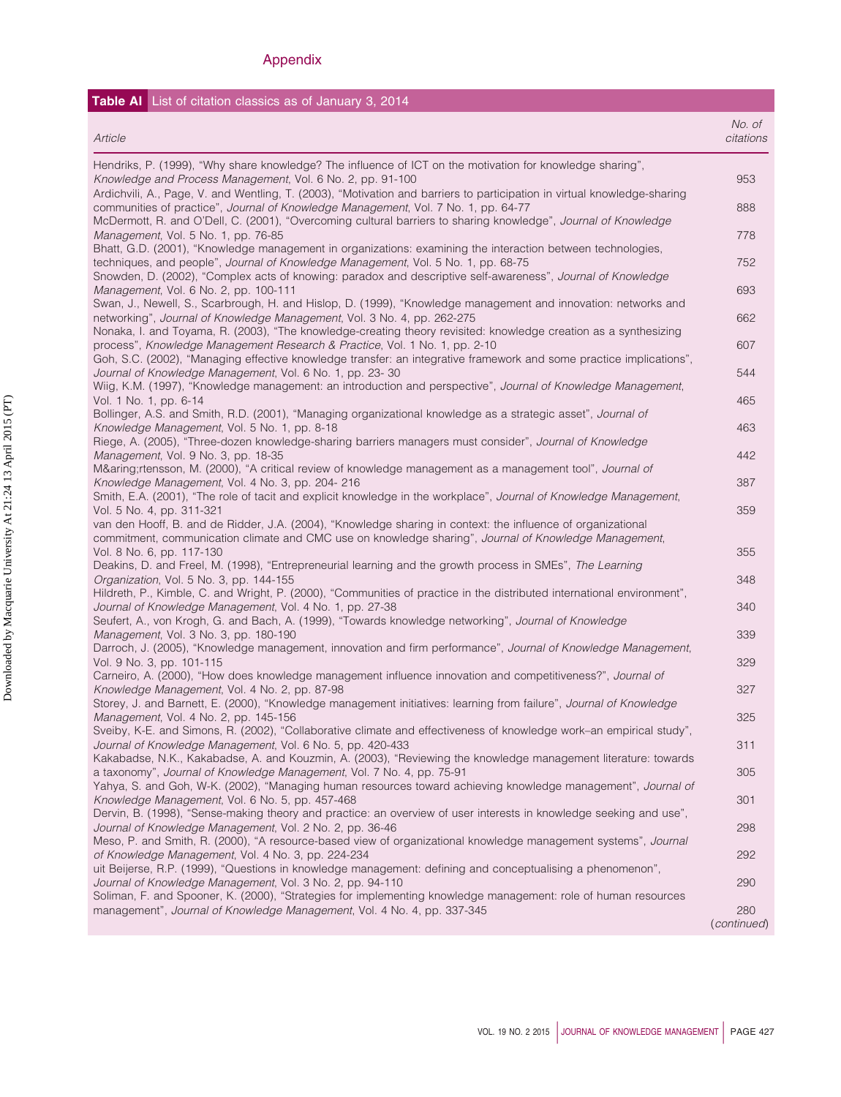# Appendix

### **Table AI** List of citation classics as of January 3, 2014 *Article No. of citations* Hendriks, P. (1999), "Why share knowledge? The influence of ICT on the motivation for knowledge sharing", *Knowledge and Process Management*, Vol. 6 No. 2, pp. 91-100 **953 100 Process 100 Process 100 Process** 100 Process 100 Process 100 Process 100 Process 100 Process 100 Process 100 Process 100 Process 100 Process 100 Proce Ardichvili, A., Page, V. and Wentling, T. (2003), "Motivation and barriers to participation in virtual knowledge-sharing communities of practice", *Journal of Knowledge Management*, Vol. 7 No. 1, pp. 64-77 888 McDermott, R. and O'Dell, C. (2001), "Overcoming cultural barriers to sharing knowledge", *Journal of Knowledge Management*, Vol. 5 No. 1, pp. 76-85 778 Bhatt, G.D. (2001), "Knowledge management in organizations: examining the interaction between technologies, techniques, and people", *Journal of Knowledge Management*, Vol. 5 No. 1, pp. 68-75 752 Snowden, D. (2002), "Complex acts of knowing: paradox and descriptive self-awareness", *Journal of Knowledge Management*, Vol. 6 No. 2, pp. 100-111 693 Swan, J., Newell, S., Scarbrough, H. and Hislop, D. (1999), "Knowledge management and innovation: networks and networking", *Journal of Knowledge Management*, Vol. 3 No. 4, pp. 262-275 662 Nonaka, I. and Toyama, R. (2003), "The knowledge-creating theory revisited: knowledge creation as a synthesizing process", *Knowledge Management Research & Practice*, Vol. 1 No. 1, pp. 2-10 607 Goh, S.C. (2002), "Managing effective knowledge transfer: an integrative framework and some practice implications", *Journal of Knowledge Management*, Vol. 6 No. 1, pp. 23- 30 **544 544** Wiig, K.M. (1997), "Knowledge management: an introduction and perspective", *Journal of Knowledge Management*, Vol. 1 No. 1, pp. 6-14 465 Bollinger, A.S. and Smith, R.D. (2001), "Managing organizational knowledge as a strategic asset", *Journal of Knowledge Management*, Vol. 5 No. 1, pp. 8-18 463 Riege, A. (2005), "Three-dozen knowledge-sharing barriers managers must consider", *Journal of Knowledge Management*, Vol. 9 No. 3, pp. 18-35 442 Mårtensson, M. (2000), "A critical review of knowledge management as a management tool", *Journal of Knowledge Management*, Vol. 4 No. 3, pp. 204- 216 387 Smith, E.A. (2001), "The role of tacit and explicit knowledge in the workplace", *Journal of Knowledge Management*, Vol. 5 No. 4, pp. 311-321 359 van den Hooff, B. and de Ridder, J.A. (2004), "Knowledge sharing in context: the influence of organizational commitment, communication climate and CMC use on knowledge sharing", *Journal of Knowledge Management*, Vol. 8 No. 6, pp. 117-130 355 Deakins, D. and Freel, M. (1998), "Entrepreneurial learning and the growth process in SMEs", *The Learning Organization*, Vol. 5 No. 3, pp. 144-155 348 Hildreth, P., Kimble, C. and Wright, P. (2000), "Communities of practice in the distributed international environment", *Journal of Knowledge Management*, Vol. 4 No. 1, pp. 27-38 340 Seufert, A., von Krogh, G. and Bach, A. (1999), "Towards knowledge networking", *Journal of Knowledge Management*, Vol. 3 No. 3, pp. 180-190 339 Darroch, J. (2005), "Knowledge management, innovation and firm performance", *Journal of Knowledge Management*, Vol. 9 No. 3, pp. 101-115 329 Carneiro, A. (2000), "How does knowledge management influence innovation and competitiveness?", *Journal of Knowledge Management*, Vol. 4 No. 2, pp. 87-98 327 Storey, J. and Barnett, E. (2000), "Knowledge management initiatives: learning from failure", *Journal of Knowledge Management*, Vol. 4 No. 2, pp. 145-156 325 Sveiby, K-E. and Simons, R. (2002), "Collaborative climate and effectiveness of knowledge work–an empirical study", *Journal of Knowledge Management*, Vol. 6 No. 5, pp. 420-433 **311** 311 Kakabadse, N.K., Kakabadse, A. and Kouzmin, A. (2003), "Reviewing the knowledge management literature: towards a taxonomy", *Journal of Knowledge Management*, Vol. 7 No. 4, pp. 75-91 305 Yahya, S. and Goh, W-K. (2002), "Managing human resources toward achieving knowledge management", *Journal of* **Knowledge Management, Vol. 6 No. 5, pp. 457-468** 301 Dervin, B. (1998), "Sense-making theory and practice: an overview of user interests in knowledge seeking and use", *Journal of Knowledge Management*, Vol. 2 No. 2, pp. 36-46 298 Meso, P. and Smith, R. (2000), "A resource-based view of organizational knowledge management systems", *Journal of Knowledge Management*, Vol. 4 No. 3, pp. 224-234 292 uit Beijerse, R.P. (1999), "Questions in knowledge management: defining and conceptualising a phenomenon", *Journal of Knowledge Management*, Vol. 3 No. 2, pp. 94-110 290 Soliman, F. and Spooner, K. (2000), "Strategies for implementing knowledge management: role of human resources management", *Journal of Knowledge Management*, Vol. 4 No. 4, pp. 337-345 280 (*continued*)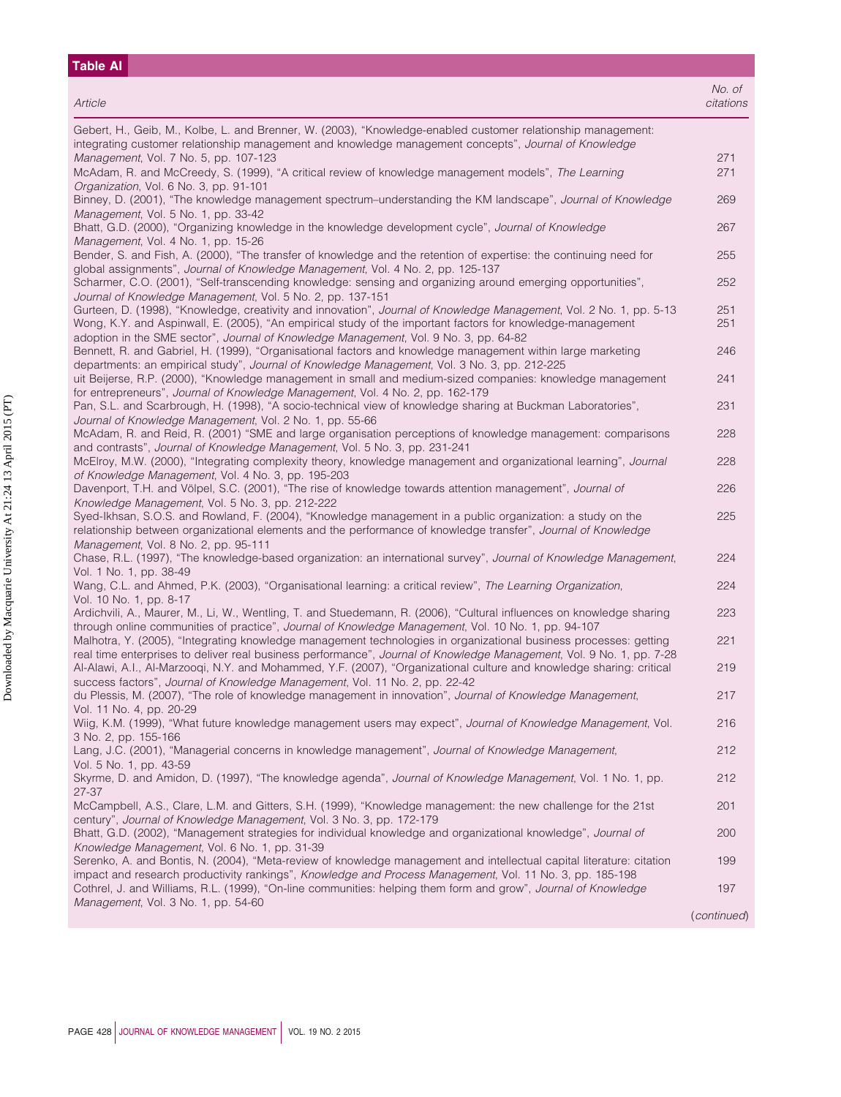| No. of<br>Article<br>citations<br>Gebert, H., Geib, M., Kolbe, L. and Brenner, W. (2003), "Knowledge-enabled customer relationship management:<br>integrating customer relationship management and knowledge management concepts", Journal of Knowledge<br>Management, Vol. 7 No. 5, pp. 107-123<br>271<br>McAdam, R. and McCreedy, S. (1999), "A critical review of knowledge management models", The Learning<br>271<br>Organization, Vol. 6 No. 3, pp. 91-101<br>Binney, D. (2001), "The knowledge management spectrum-understanding the KM landscape", Journal of Knowledge<br>269<br>Management, Vol. 5 No. 1, pp. 33-42<br>Bhatt, G.D. (2000), "Organizing knowledge in the knowledge development cycle", Journal of Knowledge<br>267<br>Management, Vol. 4 No. 1, pp. 15-26<br>Bender, S. and Fish, A. (2000), "The transfer of knowledge and the retention of expertise: the continuing need for<br>255<br>global assignments", Journal of Knowledge Management, Vol. 4 No. 2, pp. 125-137<br>Scharmer, C.O. (2001), "Self-transcending knowledge: sensing and organizing around emerging opportunities",<br>252<br>Journal of Knowledge Management, Vol. 5 No. 2, pp. 137-151<br>Gurteen, D. (1998), "Knowledge, creativity and innovation", Journal of Knowledge Management, Vol. 2 No. 1, pp. 5-13<br>251<br>Wong, K.Y. and Aspinwall, E. (2005), "An empirical study of the important factors for knowledge-management<br>251<br>adoption in the SME sector", Journal of Knowledge Management, Vol. 9 No. 3, pp. 64-82<br>Bennett, R. and Gabriel, H. (1999), "Organisational factors and knowledge management within large marketing<br>246<br>departments: an empirical study", Journal of Knowledge Management, Vol. 3 No. 3, pp. 212-225<br>uit Beijerse, R.P. (2000), "Knowledge management in small and medium-sized companies: knowledge management<br>241<br>for entrepreneurs", Journal of Knowledge Management, Vol. 4 No. 2, pp. 162-179<br>Pan, S.L. and Scarbrough, H. (1998), "A socio-technical view of knowledge sharing at Buckman Laboratories",<br>231<br>Journal of Knowledge Management, Vol. 2 No. 1, pp. 55-66<br>McAdam, R. and Reid, R. (2001) "SME and large organisation perceptions of knowledge management: comparisons<br>228<br>and contrasts", Journal of Knowledge Management, Vol. 5 No. 3, pp. 231-241<br>McElroy, M.W. (2000), "Integrating complexity theory, knowledge management and organizational learning", Journal<br>228<br>of Knowledge Management, Vol. 4 No. 3, pp. 195-203<br>Davenport, T.H. and Völpel, S.C. (2001), "The rise of knowledge towards attention management", Journal of<br>226<br>Knowledge Management, Vol. 5 No. 3, pp. 212-222<br>Syed-Ikhsan, S.O.S. and Rowland, F. (2004), "Knowledge management in a public organization: a study on the<br>225<br>relationship between organizational elements and the performance of knowledge transfer", Journal of Knowledge<br>Management, Vol. 8 No. 2, pp. 95-111<br>Chase, R.L. (1997), "The knowledge-based organization: an international survey", Journal of Knowledge Management,<br>224<br>Vol. 1 No. 1, pp. 38-49<br>Wang, C.L. and Ahmed, P.K. (2003), "Organisational learning: a critical review", The Learning Organization,<br>224<br>Vol. 10 No. 1, pp. 8-17<br>Ardichvili, A., Maurer, M., Li, W., Wentling, T. and Stuedemann, R. (2006), "Cultural influences on knowledge sharing<br>223<br>through online communities of practice", Journal of Knowledge Management, Vol. 10 No. 1, pp. 94-107<br>Malhotra, Y. (2005), "Integrating knowledge management technologies in organizational business processes: getting<br>221<br>real time enterprises to deliver real business performance", Journal of Knowledge Management, Vol. 9 No. 1, pp. 7-28<br>Al-Alawi, A.I., Al-Marzooqi, N.Y. and Mohammed, Y.F. (2007), "Organizational culture and knowledge sharing: critical<br>219<br>success factors", Journal of Knowledge Management, Vol. 11 No. 2, pp. 22-42<br>du Plessis, M. (2007), "The role of knowledge management in innovation", Journal of Knowledge Management,<br>217<br>Vol. 11 No. 4, pp. 20-29<br>Wiig, K.M. (1999), "What future knowledge management users may expect", Journal of Knowledge Management, Vol.<br>216<br>3 No. 2, pp. 155-166<br>Lang, J.C. (2001), "Managerial concerns in knowledge management", Journal of Knowledge Management,<br>212<br>Vol. 5 No. 1, pp. 43-59<br>Skyrme, D. and Amidon, D. (1997), "The knowledge agenda", Journal of Knowledge Management, Vol. 1 No. 1, pp.<br>212<br>$27 - 37$<br>McCampbell, A.S., Clare, L.M. and Gitters, S.H. (1999), "Knowledge management: the new challenge for the 21st<br>201<br>century", Journal of Knowledge Management, Vol. 3 No. 3, pp. 172-179<br>Bhatt, G.D. (2002), "Management strategies for individual knowledge and organizational knowledge", Journal of<br>200<br>Knowledge Management, Vol. 6 No. 1, pp. 31-39<br>Serenko, A. and Bontis, N. (2004), "Meta-review of knowledge management and intellectual capital literature: citation<br>199<br>impact and research productivity rankings", Knowledge and Process Management, Vol. 11 No. 3, pp. 185-198<br>Cothrel, J. and Williams, R.L. (1999), "On-line communities: helping them form and grow", Journal of Knowledge<br>197<br>Management, Vol. 3 No. 1, pp. 54-60 | <b>Table AI</b> |             |
|-------------------------------------------------------------------------------------------------------------------------------------------------------------------------------------------------------------------------------------------------------------------------------------------------------------------------------------------------------------------------------------------------------------------------------------------------------------------------------------------------------------------------------------------------------------------------------------------------------------------------------------------------------------------------------------------------------------------------------------------------------------------------------------------------------------------------------------------------------------------------------------------------------------------------------------------------------------------------------------------------------------------------------------------------------------------------------------------------------------------------------------------------------------------------------------------------------------------------------------------------------------------------------------------------------------------------------------------------------------------------------------------------------------------------------------------------------------------------------------------------------------------------------------------------------------------------------------------------------------------------------------------------------------------------------------------------------------------------------------------------------------------------------------------------------------------------------------------------------------------------------------------------------------------------------------------------------------------------------------------------------------------------------------------------------------------------------------------------------------------------------------------------------------------------------------------------------------------------------------------------------------------------------------------------------------------------------------------------------------------------------------------------------------------------------------------------------------------------------------------------------------------------------------------------------------------------------------------------------------------------------------------------------------------------------------------------------------------------------------------------------------------------------------------------------------------------------------------------------------------------------------------------------------------------------------------------------------------------------------------------------------------------------------------------------------------------------------------------------------------------------------------------------------------------------------------------------------------------------------------------------------------------------------------------------------------------------------------------------------------------------------------------------------------------------------------------------------------------------------------------------------------------------------------------------------------------------------------------------------------------------------------------------------------------------------------------------------------------------------------------------------------------------------------------------------------------------------------------------------------------------------------------------------------------------------------------------------------------------------------------------------------------------------------------------------------------------------------------------------------------------------------------------------------------------------------------------------------------------------------------------------------------------------------------------------------------------------------------------------------------------------------------------------------------------------------------------------------------------------------------------------------------------------------------------------------------------------------------------------------------------------------------------------------------------------------------------------------------------------------------------------------------------------------------------------------------------------------------------------------------------------------------------------------------------------------------------------------------------------------------------------------------------------------------------------------------------------------------------------------------------------------------------------------------------------------------------------------------------------------------------------------------------------------------------------------------------------------------------------------------------|-----------------|-------------|
|                                                                                                                                                                                                                                                                                                                                                                                                                                                                                                                                                                                                                                                                                                                                                                                                                                                                                                                                                                                                                                                                                                                                                                                                                                                                                                                                                                                                                                                                                                                                                                                                                                                                                                                                                                                                                                                                                                                                                                                                                                                                                                                                                                                                                                                                                                                                                                                                                                                                                                                                                                                                                                                                                                                                                                                                                                                                                                                                                                                                                                                                                                                                                                                                                                                                                                                                                                                                                                                                                                                                                                                                                                                                                                                                                                                                                                                                                                                                                                                                                                                                                                                                                                                                                                                                                                                                                                                                                                                                                                                                                                                                                                                                                                                                                                                                                                                                                                                                                                                                                                                                                                                                                                                                                                                                                                                                                                               |                 |             |
|                                                                                                                                                                                                                                                                                                                                                                                                                                                                                                                                                                                                                                                                                                                                                                                                                                                                                                                                                                                                                                                                                                                                                                                                                                                                                                                                                                                                                                                                                                                                                                                                                                                                                                                                                                                                                                                                                                                                                                                                                                                                                                                                                                                                                                                                                                                                                                                                                                                                                                                                                                                                                                                                                                                                                                                                                                                                                                                                                                                                                                                                                                                                                                                                                                                                                                                                                                                                                                                                                                                                                                                                                                                                                                                                                                                                                                                                                                                                                                                                                                                                                                                                                                                                                                                                                                                                                                                                                                                                                                                                                                                                                                                                                                                                                                                                                                                                                                                                                                                                                                                                                                                                                                                                                                                                                                                                                                               |                 |             |
|                                                                                                                                                                                                                                                                                                                                                                                                                                                                                                                                                                                                                                                                                                                                                                                                                                                                                                                                                                                                                                                                                                                                                                                                                                                                                                                                                                                                                                                                                                                                                                                                                                                                                                                                                                                                                                                                                                                                                                                                                                                                                                                                                                                                                                                                                                                                                                                                                                                                                                                                                                                                                                                                                                                                                                                                                                                                                                                                                                                                                                                                                                                                                                                                                                                                                                                                                                                                                                                                                                                                                                                                                                                                                                                                                                                                                                                                                                                                                                                                                                                                                                                                                                                                                                                                                                                                                                                                                                                                                                                                                                                                                                                                                                                                                                                                                                                                                                                                                                                                                                                                                                                                                                                                                                                                                                                                                                               |                 |             |
|                                                                                                                                                                                                                                                                                                                                                                                                                                                                                                                                                                                                                                                                                                                                                                                                                                                                                                                                                                                                                                                                                                                                                                                                                                                                                                                                                                                                                                                                                                                                                                                                                                                                                                                                                                                                                                                                                                                                                                                                                                                                                                                                                                                                                                                                                                                                                                                                                                                                                                                                                                                                                                                                                                                                                                                                                                                                                                                                                                                                                                                                                                                                                                                                                                                                                                                                                                                                                                                                                                                                                                                                                                                                                                                                                                                                                                                                                                                                                                                                                                                                                                                                                                                                                                                                                                                                                                                                                                                                                                                                                                                                                                                                                                                                                                                                                                                                                                                                                                                                                                                                                                                                                                                                                                                                                                                                                                               |                 |             |
|                                                                                                                                                                                                                                                                                                                                                                                                                                                                                                                                                                                                                                                                                                                                                                                                                                                                                                                                                                                                                                                                                                                                                                                                                                                                                                                                                                                                                                                                                                                                                                                                                                                                                                                                                                                                                                                                                                                                                                                                                                                                                                                                                                                                                                                                                                                                                                                                                                                                                                                                                                                                                                                                                                                                                                                                                                                                                                                                                                                                                                                                                                                                                                                                                                                                                                                                                                                                                                                                                                                                                                                                                                                                                                                                                                                                                                                                                                                                                                                                                                                                                                                                                                                                                                                                                                                                                                                                                                                                                                                                                                                                                                                                                                                                                                                                                                                                                                                                                                                                                                                                                                                                                                                                                                                                                                                                                                               |                 |             |
|                                                                                                                                                                                                                                                                                                                                                                                                                                                                                                                                                                                                                                                                                                                                                                                                                                                                                                                                                                                                                                                                                                                                                                                                                                                                                                                                                                                                                                                                                                                                                                                                                                                                                                                                                                                                                                                                                                                                                                                                                                                                                                                                                                                                                                                                                                                                                                                                                                                                                                                                                                                                                                                                                                                                                                                                                                                                                                                                                                                                                                                                                                                                                                                                                                                                                                                                                                                                                                                                                                                                                                                                                                                                                                                                                                                                                                                                                                                                                                                                                                                                                                                                                                                                                                                                                                                                                                                                                                                                                                                                                                                                                                                                                                                                                                                                                                                                                                                                                                                                                                                                                                                                                                                                                                                                                                                                                                               |                 |             |
|                                                                                                                                                                                                                                                                                                                                                                                                                                                                                                                                                                                                                                                                                                                                                                                                                                                                                                                                                                                                                                                                                                                                                                                                                                                                                                                                                                                                                                                                                                                                                                                                                                                                                                                                                                                                                                                                                                                                                                                                                                                                                                                                                                                                                                                                                                                                                                                                                                                                                                                                                                                                                                                                                                                                                                                                                                                                                                                                                                                                                                                                                                                                                                                                                                                                                                                                                                                                                                                                                                                                                                                                                                                                                                                                                                                                                                                                                                                                                                                                                                                                                                                                                                                                                                                                                                                                                                                                                                                                                                                                                                                                                                                                                                                                                                                                                                                                                                                                                                                                                                                                                                                                                                                                                                                                                                                                                                               |                 |             |
|                                                                                                                                                                                                                                                                                                                                                                                                                                                                                                                                                                                                                                                                                                                                                                                                                                                                                                                                                                                                                                                                                                                                                                                                                                                                                                                                                                                                                                                                                                                                                                                                                                                                                                                                                                                                                                                                                                                                                                                                                                                                                                                                                                                                                                                                                                                                                                                                                                                                                                                                                                                                                                                                                                                                                                                                                                                                                                                                                                                                                                                                                                                                                                                                                                                                                                                                                                                                                                                                                                                                                                                                                                                                                                                                                                                                                                                                                                                                                                                                                                                                                                                                                                                                                                                                                                                                                                                                                                                                                                                                                                                                                                                                                                                                                                                                                                                                                                                                                                                                                                                                                                                                                                                                                                                                                                                                                                               |                 |             |
|                                                                                                                                                                                                                                                                                                                                                                                                                                                                                                                                                                                                                                                                                                                                                                                                                                                                                                                                                                                                                                                                                                                                                                                                                                                                                                                                                                                                                                                                                                                                                                                                                                                                                                                                                                                                                                                                                                                                                                                                                                                                                                                                                                                                                                                                                                                                                                                                                                                                                                                                                                                                                                                                                                                                                                                                                                                                                                                                                                                                                                                                                                                                                                                                                                                                                                                                                                                                                                                                                                                                                                                                                                                                                                                                                                                                                                                                                                                                                                                                                                                                                                                                                                                                                                                                                                                                                                                                                                                                                                                                                                                                                                                                                                                                                                                                                                                                                                                                                                                                                                                                                                                                                                                                                                                                                                                                                                               |                 |             |
|                                                                                                                                                                                                                                                                                                                                                                                                                                                                                                                                                                                                                                                                                                                                                                                                                                                                                                                                                                                                                                                                                                                                                                                                                                                                                                                                                                                                                                                                                                                                                                                                                                                                                                                                                                                                                                                                                                                                                                                                                                                                                                                                                                                                                                                                                                                                                                                                                                                                                                                                                                                                                                                                                                                                                                                                                                                                                                                                                                                                                                                                                                                                                                                                                                                                                                                                                                                                                                                                                                                                                                                                                                                                                                                                                                                                                                                                                                                                                                                                                                                                                                                                                                                                                                                                                                                                                                                                                                                                                                                                                                                                                                                                                                                                                                                                                                                                                                                                                                                                                                                                                                                                                                                                                                                                                                                                                                               |                 |             |
|                                                                                                                                                                                                                                                                                                                                                                                                                                                                                                                                                                                                                                                                                                                                                                                                                                                                                                                                                                                                                                                                                                                                                                                                                                                                                                                                                                                                                                                                                                                                                                                                                                                                                                                                                                                                                                                                                                                                                                                                                                                                                                                                                                                                                                                                                                                                                                                                                                                                                                                                                                                                                                                                                                                                                                                                                                                                                                                                                                                                                                                                                                                                                                                                                                                                                                                                                                                                                                                                                                                                                                                                                                                                                                                                                                                                                                                                                                                                                                                                                                                                                                                                                                                                                                                                                                                                                                                                                                                                                                                                                                                                                                                                                                                                                                                                                                                                                                                                                                                                                                                                                                                                                                                                                                                                                                                                                                               |                 |             |
|                                                                                                                                                                                                                                                                                                                                                                                                                                                                                                                                                                                                                                                                                                                                                                                                                                                                                                                                                                                                                                                                                                                                                                                                                                                                                                                                                                                                                                                                                                                                                                                                                                                                                                                                                                                                                                                                                                                                                                                                                                                                                                                                                                                                                                                                                                                                                                                                                                                                                                                                                                                                                                                                                                                                                                                                                                                                                                                                                                                                                                                                                                                                                                                                                                                                                                                                                                                                                                                                                                                                                                                                                                                                                                                                                                                                                                                                                                                                                                                                                                                                                                                                                                                                                                                                                                                                                                                                                                                                                                                                                                                                                                                                                                                                                                                                                                                                                                                                                                                                                                                                                                                                                                                                                                                                                                                                                                               |                 |             |
|                                                                                                                                                                                                                                                                                                                                                                                                                                                                                                                                                                                                                                                                                                                                                                                                                                                                                                                                                                                                                                                                                                                                                                                                                                                                                                                                                                                                                                                                                                                                                                                                                                                                                                                                                                                                                                                                                                                                                                                                                                                                                                                                                                                                                                                                                                                                                                                                                                                                                                                                                                                                                                                                                                                                                                                                                                                                                                                                                                                                                                                                                                                                                                                                                                                                                                                                                                                                                                                                                                                                                                                                                                                                                                                                                                                                                                                                                                                                                                                                                                                                                                                                                                                                                                                                                                                                                                                                                                                                                                                                                                                                                                                                                                                                                                                                                                                                                                                                                                                                                                                                                                                                                                                                                                                                                                                                                                               |                 |             |
|                                                                                                                                                                                                                                                                                                                                                                                                                                                                                                                                                                                                                                                                                                                                                                                                                                                                                                                                                                                                                                                                                                                                                                                                                                                                                                                                                                                                                                                                                                                                                                                                                                                                                                                                                                                                                                                                                                                                                                                                                                                                                                                                                                                                                                                                                                                                                                                                                                                                                                                                                                                                                                                                                                                                                                                                                                                                                                                                                                                                                                                                                                                                                                                                                                                                                                                                                                                                                                                                                                                                                                                                                                                                                                                                                                                                                                                                                                                                                                                                                                                                                                                                                                                                                                                                                                                                                                                                                                                                                                                                                                                                                                                                                                                                                                                                                                                                                                                                                                                                                                                                                                                                                                                                                                                                                                                                                                               |                 |             |
|                                                                                                                                                                                                                                                                                                                                                                                                                                                                                                                                                                                                                                                                                                                                                                                                                                                                                                                                                                                                                                                                                                                                                                                                                                                                                                                                                                                                                                                                                                                                                                                                                                                                                                                                                                                                                                                                                                                                                                                                                                                                                                                                                                                                                                                                                                                                                                                                                                                                                                                                                                                                                                                                                                                                                                                                                                                                                                                                                                                                                                                                                                                                                                                                                                                                                                                                                                                                                                                                                                                                                                                                                                                                                                                                                                                                                                                                                                                                                                                                                                                                                                                                                                                                                                                                                                                                                                                                                                                                                                                                                                                                                                                                                                                                                                                                                                                                                                                                                                                                                                                                                                                                                                                                                                                                                                                                                                               |                 |             |
|                                                                                                                                                                                                                                                                                                                                                                                                                                                                                                                                                                                                                                                                                                                                                                                                                                                                                                                                                                                                                                                                                                                                                                                                                                                                                                                                                                                                                                                                                                                                                                                                                                                                                                                                                                                                                                                                                                                                                                                                                                                                                                                                                                                                                                                                                                                                                                                                                                                                                                                                                                                                                                                                                                                                                                                                                                                                                                                                                                                                                                                                                                                                                                                                                                                                                                                                                                                                                                                                                                                                                                                                                                                                                                                                                                                                                                                                                                                                                                                                                                                                                                                                                                                                                                                                                                                                                                                                                                                                                                                                                                                                                                                                                                                                                                                                                                                                                                                                                                                                                                                                                                                                                                                                                                                                                                                                                                               |                 |             |
|                                                                                                                                                                                                                                                                                                                                                                                                                                                                                                                                                                                                                                                                                                                                                                                                                                                                                                                                                                                                                                                                                                                                                                                                                                                                                                                                                                                                                                                                                                                                                                                                                                                                                                                                                                                                                                                                                                                                                                                                                                                                                                                                                                                                                                                                                                                                                                                                                                                                                                                                                                                                                                                                                                                                                                                                                                                                                                                                                                                                                                                                                                                                                                                                                                                                                                                                                                                                                                                                                                                                                                                                                                                                                                                                                                                                                                                                                                                                                                                                                                                                                                                                                                                                                                                                                                                                                                                                                                                                                                                                                                                                                                                                                                                                                                                                                                                                                                                                                                                                                                                                                                                                                                                                                                                                                                                                                                               |                 |             |
|                                                                                                                                                                                                                                                                                                                                                                                                                                                                                                                                                                                                                                                                                                                                                                                                                                                                                                                                                                                                                                                                                                                                                                                                                                                                                                                                                                                                                                                                                                                                                                                                                                                                                                                                                                                                                                                                                                                                                                                                                                                                                                                                                                                                                                                                                                                                                                                                                                                                                                                                                                                                                                                                                                                                                                                                                                                                                                                                                                                                                                                                                                                                                                                                                                                                                                                                                                                                                                                                                                                                                                                                                                                                                                                                                                                                                                                                                                                                                                                                                                                                                                                                                                                                                                                                                                                                                                                                                                                                                                                                                                                                                                                                                                                                                                                                                                                                                                                                                                                                                                                                                                                                                                                                                                                                                                                                                                               |                 |             |
|                                                                                                                                                                                                                                                                                                                                                                                                                                                                                                                                                                                                                                                                                                                                                                                                                                                                                                                                                                                                                                                                                                                                                                                                                                                                                                                                                                                                                                                                                                                                                                                                                                                                                                                                                                                                                                                                                                                                                                                                                                                                                                                                                                                                                                                                                                                                                                                                                                                                                                                                                                                                                                                                                                                                                                                                                                                                                                                                                                                                                                                                                                                                                                                                                                                                                                                                                                                                                                                                                                                                                                                                                                                                                                                                                                                                                                                                                                                                                                                                                                                                                                                                                                                                                                                                                                                                                                                                                                                                                                                                                                                                                                                                                                                                                                                                                                                                                                                                                                                                                                                                                                                                                                                                                                                                                                                                                                               |                 |             |
|                                                                                                                                                                                                                                                                                                                                                                                                                                                                                                                                                                                                                                                                                                                                                                                                                                                                                                                                                                                                                                                                                                                                                                                                                                                                                                                                                                                                                                                                                                                                                                                                                                                                                                                                                                                                                                                                                                                                                                                                                                                                                                                                                                                                                                                                                                                                                                                                                                                                                                                                                                                                                                                                                                                                                                                                                                                                                                                                                                                                                                                                                                                                                                                                                                                                                                                                                                                                                                                                                                                                                                                                                                                                                                                                                                                                                                                                                                                                                                                                                                                                                                                                                                                                                                                                                                                                                                                                                                                                                                                                                                                                                                                                                                                                                                                                                                                                                                                                                                                                                                                                                                                                                                                                                                                                                                                                                                               |                 |             |
|                                                                                                                                                                                                                                                                                                                                                                                                                                                                                                                                                                                                                                                                                                                                                                                                                                                                                                                                                                                                                                                                                                                                                                                                                                                                                                                                                                                                                                                                                                                                                                                                                                                                                                                                                                                                                                                                                                                                                                                                                                                                                                                                                                                                                                                                                                                                                                                                                                                                                                                                                                                                                                                                                                                                                                                                                                                                                                                                                                                                                                                                                                                                                                                                                                                                                                                                                                                                                                                                                                                                                                                                                                                                                                                                                                                                                                                                                                                                                                                                                                                                                                                                                                                                                                                                                                                                                                                                                                                                                                                                                                                                                                                                                                                                                                                                                                                                                                                                                                                                                                                                                                                                                                                                                                                                                                                                                                               |                 |             |
|                                                                                                                                                                                                                                                                                                                                                                                                                                                                                                                                                                                                                                                                                                                                                                                                                                                                                                                                                                                                                                                                                                                                                                                                                                                                                                                                                                                                                                                                                                                                                                                                                                                                                                                                                                                                                                                                                                                                                                                                                                                                                                                                                                                                                                                                                                                                                                                                                                                                                                                                                                                                                                                                                                                                                                                                                                                                                                                                                                                                                                                                                                                                                                                                                                                                                                                                                                                                                                                                                                                                                                                                                                                                                                                                                                                                                                                                                                                                                                                                                                                                                                                                                                                                                                                                                                                                                                                                                                                                                                                                                                                                                                                                                                                                                                                                                                                                                                                                                                                                                                                                                                                                                                                                                                                                                                                                                                               |                 |             |
|                                                                                                                                                                                                                                                                                                                                                                                                                                                                                                                                                                                                                                                                                                                                                                                                                                                                                                                                                                                                                                                                                                                                                                                                                                                                                                                                                                                                                                                                                                                                                                                                                                                                                                                                                                                                                                                                                                                                                                                                                                                                                                                                                                                                                                                                                                                                                                                                                                                                                                                                                                                                                                                                                                                                                                                                                                                                                                                                                                                                                                                                                                                                                                                                                                                                                                                                                                                                                                                                                                                                                                                                                                                                                                                                                                                                                                                                                                                                                                                                                                                                                                                                                                                                                                                                                                                                                                                                                                                                                                                                                                                                                                                                                                                                                                                                                                                                                                                                                                                                                                                                                                                                                                                                                                                                                                                                                                               |                 |             |
|                                                                                                                                                                                                                                                                                                                                                                                                                                                                                                                                                                                                                                                                                                                                                                                                                                                                                                                                                                                                                                                                                                                                                                                                                                                                                                                                                                                                                                                                                                                                                                                                                                                                                                                                                                                                                                                                                                                                                                                                                                                                                                                                                                                                                                                                                                                                                                                                                                                                                                                                                                                                                                                                                                                                                                                                                                                                                                                                                                                                                                                                                                                                                                                                                                                                                                                                                                                                                                                                                                                                                                                                                                                                                                                                                                                                                                                                                                                                                                                                                                                                                                                                                                                                                                                                                                                                                                                                                                                                                                                                                                                                                                                                                                                                                                                                                                                                                                                                                                                                                                                                                                                                                                                                                                                                                                                                                                               |                 |             |
|                                                                                                                                                                                                                                                                                                                                                                                                                                                                                                                                                                                                                                                                                                                                                                                                                                                                                                                                                                                                                                                                                                                                                                                                                                                                                                                                                                                                                                                                                                                                                                                                                                                                                                                                                                                                                                                                                                                                                                                                                                                                                                                                                                                                                                                                                                                                                                                                                                                                                                                                                                                                                                                                                                                                                                                                                                                                                                                                                                                                                                                                                                                                                                                                                                                                                                                                                                                                                                                                                                                                                                                                                                                                                                                                                                                                                                                                                                                                                                                                                                                                                                                                                                                                                                                                                                                                                                                                                                                                                                                                                                                                                                                                                                                                                                                                                                                                                                                                                                                                                                                                                                                                                                                                                                                                                                                                                                               |                 |             |
|                                                                                                                                                                                                                                                                                                                                                                                                                                                                                                                                                                                                                                                                                                                                                                                                                                                                                                                                                                                                                                                                                                                                                                                                                                                                                                                                                                                                                                                                                                                                                                                                                                                                                                                                                                                                                                                                                                                                                                                                                                                                                                                                                                                                                                                                                                                                                                                                                                                                                                                                                                                                                                                                                                                                                                                                                                                                                                                                                                                                                                                                                                                                                                                                                                                                                                                                                                                                                                                                                                                                                                                                                                                                                                                                                                                                                                                                                                                                                                                                                                                                                                                                                                                                                                                                                                                                                                                                                                                                                                                                                                                                                                                                                                                                                                                                                                                                                                                                                                                                                                                                                                                                                                                                                                                                                                                                                                               |                 |             |
|                                                                                                                                                                                                                                                                                                                                                                                                                                                                                                                                                                                                                                                                                                                                                                                                                                                                                                                                                                                                                                                                                                                                                                                                                                                                                                                                                                                                                                                                                                                                                                                                                                                                                                                                                                                                                                                                                                                                                                                                                                                                                                                                                                                                                                                                                                                                                                                                                                                                                                                                                                                                                                                                                                                                                                                                                                                                                                                                                                                                                                                                                                                                                                                                                                                                                                                                                                                                                                                                                                                                                                                                                                                                                                                                                                                                                                                                                                                                                                                                                                                                                                                                                                                                                                                                                                                                                                                                                                                                                                                                                                                                                                                                                                                                                                                                                                                                                                                                                                                                                                                                                                                                                                                                                                                                                                                                                                               |                 |             |
|                                                                                                                                                                                                                                                                                                                                                                                                                                                                                                                                                                                                                                                                                                                                                                                                                                                                                                                                                                                                                                                                                                                                                                                                                                                                                                                                                                                                                                                                                                                                                                                                                                                                                                                                                                                                                                                                                                                                                                                                                                                                                                                                                                                                                                                                                                                                                                                                                                                                                                                                                                                                                                                                                                                                                                                                                                                                                                                                                                                                                                                                                                                                                                                                                                                                                                                                                                                                                                                                                                                                                                                                                                                                                                                                                                                                                                                                                                                                                                                                                                                                                                                                                                                                                                                                                                                                                                                                                                                                                                                                                                                                                                                                                                                                                                                                                                                                                                                                                                                                                                                                                                                                                                                                                                                                                                                                                                               |                 |             |
|                                                                                                                                                                                                                                                                                                                                                                                                                                                                                                                                                                                                                                                                                                                                                                                                                                                                                                                                                                                                                                                                                                                                                                                                                                                                                                                                                                                                                                                                                                                                                                                                                                                                                                                                                                                                                                                                                                                                                                                                                                                                                                                                                                                                                                                                                                                                                                                                                                                                                                                                                                                                                                                                                                                                                                                                                                                                                                                                                                                                                                                                                                                                                                                                                                                                                                                                                                                                                                                                                                                                                                                                                                                                                                                                                                                                                                                                                                                                                                                                                                                                                                                                                                                                                                                                                                                                                                                                                                                                                                                                                                                                                                                                                                                                                                                                                                                                                                                                                                                                                                                                                                                                                                                                                                                                                                                                                                               |                 |             |
|                                                                                                                                                                                                                                                                                                                                                                                                                                                                                                                                                                                                                                                                                                                                                                                                                                                                                                                                                                                                                                                                                                                                                                                                                                                                                                                                                                                                                                                                                                                                                                                                                                                                                                                                                                                                                                                                                                                                                                                                                                                                                                                                                                                                                                                                                                                                                                                                                                                                                                                                                                                                                                                                                                                                                                                                                                                                                                                                                                                                                                                                                                                                                                                                                                                                                                                                                                                                                                                                                                                                                                                                                                                                                                                                                                                                                                                                                                                                                                                                                                                                                                                                                                                                                                                                                                                                                                                                                                                                                                                                                                                                                                                                                                                                                                                                                                                                                                                                                                                                                                                                                                                                                                                                                                                                                                                                                                               |                 |             |
|                                                                                                                                                                                                                                                                                                                                                                                                                                                                                                                                                                                                                                                                                                                                                                                                                                                                                                                                                                                                                                                                                                                                                                                                                                                                                                                                                                                                                                                                                                                                                                                                                                                                                                                                                                                                                                                                                                                                                                                                                                                                                                                                                                                                                                                                                                                                                                                                                                                                                                                                                                                                                                                                                                                                                                                                                                                                                                                                                                                                                                                                                                                                                                                                                                                                                                                                                                                                                                                                                                                                                                                                                                                                                                                                                                                                                                                                                                                                                                                                                                                                                                                                                                                                                                                                                                                                                                                                                                                                                                                                                                                                                                                                                                                                                                                                                                                                                                                                                                                                                                                                                                                                                                                                                                                                                                                                                                               |                 |             |
|                                                                                                                                                                                                                                                                                                                                                                                                                                                                                                                                                                                                                                                                                                                                                                                                                                                                                                                                                                                                                                                                                                                                                                                                                                                                                                                                                                                                                                                                                                                                                                                                                                                                                                                                                                                                                                                                                                                                                                                                                                                                                                                                                                                                                                                                                                                                                                                                                                                                                                                                                                                                                                                                                                                                                                                                                                                                                                                                                                                                                                                                                                                                                                                                                                                                                                                                                                                                                                                                                                                                                                                                                                                                                                                                                                                                                                                                                                                                                                                                                                                                                                                                                                                                                                                                                                                                                                                                                                                                                                                                                                                                                                                                                                                                                                                                                                                                                                                                                                                                                                                                                                                                                                                                                                                                                                                                                                               |                 |             |
|                                                                                                                                                                                                                                                                                                                                                                                                                                                                                                                                                                                                                                                                                                                                                                                                                                                                                                                                                                                                                                                                                                                                                                                                                                                                                                                                                                                                                                                                                                                                                                                                                                                                                                                                                                                                                                                                                                                                                                                                                                                                                                                                                                                                                                                                                                                                                                                                                                                                                                                                                                                                                                                                                                                                                                                                                                                                                                                                                                                                                                                                                                                                                                                                                                                                                                                                                                                                                                                                                                                                                                                                                                                                                                                                                                                                                                                                                                                                                                                                                                                                                                                                                                                                                                                                                                                                                                                                                                                                                                                                                                                                                                                                                                                                                                                                                                                                                                                                                                                                                                                                                                                                                                                                                                                                                                                                                                               |                 |             |
|                                                                                                                                                                                                                                                                                                                                                                                                                                                                                                                                                                                                                                                                                                                                                                                                                                                                                                                                                                                                                                                                                                                                                                                                                                                                                                                                                                                                                                                                                                                                                                                                                                                                                                                                                                                                                                                                                                                                                                                                                                                                                                                                                                                                                                                                                                                                                                                                                                                                                                                                                                                                                                                                                                                                                                                                                                                                                                                                                                                                                                                                                                                                                                                                                                                                                                                                                                                                                                                                                                                                                                                                                                                                                                                                                                                                                                                                                                                                                                                                                                                                                                                                                                                                                                                                                                                                                                                                                                                                                                                                                                                                                                                                                                                                                                                                                                                                                                                                                                                                                                                                                                                                                                                                                                                                                                                                                                               |                 |             |
|                                                                                                                                                                                                                                                                                                                                                                                                                                                                                                                                                                                                                                                                                                                                                                                                                                                                                                                                                                                                                                                                                                                                                                                                                                                                                                                                                                                                                                                                                                                                                                                                                                                                                                                                                                                                                                                                                                                                                                                                                                                                                                                                                                                                                                                                                                                                                                                                                                                                                                                                                                                                                                                                                                                                                                                                                                                                                                                                                                                                                                                                                                                                                                                                                                                                                                                                                                                                                                                                                                                                                                                                                                                                                                                                                                                                                                                                                                                                                                                                                                                                                                                                                                                                                                                                                                                                                                                                                                                                                                                                                                                                                                                                                                                                                                                                                                                                                                                                                                                                                                                                                                                                                                                                                                                                                                                                                                               |                 |             |
|                                                                                                                                                                                                                                                                                                                                                                                                                                                                                                                                                                                                                                                                                                                                                                                                                                                                                                                                                                                                                                                                                                                                                                                                                                                                                                                                                                                                                                                                                                                                                                                                                                                                                                                                                                                                                                                                                                                                                                                                                                                                                                                                                                                                                                                                                                                                                                                                                                                                                                                                                                                                                                                                                                                                                                                                                                                                                                                                                                                                                                                                                                                                                                                                                                                                                                                                                                                                                                                                                                                                                                                                                                                                                                                                                                                                                                                                                                                                                                                                                                                                                                                                                                                                                                                                                                                                                                                                                                                                                                                                                                                                                                                                                                                                                                                                                                                                                                                                                                                                                                                                                                                                                                                                                                                                                                                                                                               |                 |             |
|                                                                                                                                                                                                                                                                                                                                                                                                                                                                                                                                                                                                                                                                                                                                                                                                                                                                                                                                                                                                                                                                                                                                                                                                                                                                                                                                                                                                                                                                                                                                                                                                                                                                                                                                                                                                                                                                                                                                                                                                                                                                                                                                                                                                                                                                                                                                                                                                                                                                                                                                                                                                                                                                                                                                                                                                                                                                                                                                                                                                                                                                                                                                                                                                                                                                                                                                                                                                                                                                                                                                                                                                                                                                                                                                                                                                                                                                                                                                                                                                                                                                                                                                                                                                                                                                                                                                                                                                                                                                                                                                                                                                                                                                                                                                                                                                                                                                                                                                                                                                                                                                                                                                                                                                                                                                                                                                                                               |                 |             |
|                                                                                                                                                                                                                                                                                                                                                                                                                                                                                                                                                                                                                                                                                                                                                                                                                                                                                                                                                                                                                                                                                                                                                                                                                                                                                                                                                                                                                                                                                                                                                                                                                                                                                                                                                                                                                                                                                                                                                                                                                                                                                                                                                                                                                                                                                                                                                                                                                                                                                                                                                                                                                                                                                                                                                                                                                                                                                                                                                                                                                                                                                                                                                                                                                                                                                                                                                                                                                                                                                                                                                                                                                                                                                                                                                                                                                                                                                                                                                                                                                                                                                                                                                                                                                                                                                                                                                                                                                                                                                                                                                                                                                                                                                                                                                                                                                                                                                                                                                                                                                                                                                                                                                                                                                                                                                                                                                                               |                 |             |
|                                                                                                                                                                                                                                                                                                                                                                                                                                                                                                                                                                                                                                                                                                                                                                                                                                                                                                                                                                                                                                                                                                                                                                                                                                                                                                                                                                                                                                                                                                                                                                                                                                                                                                                                                                                                                                                                                                                                                                                                                                                                                                                                                                                                                                                                                                                                                                                                                                                                                                                                                                                                                                                                                                                                                                                                                                                                                                                                                                                                                                                                                                                                                                                                                                                                                                                                                                                                                                                                                                                                                                                                                                                                                                                                                                                                                                                                                                                                                                                                                                                                                                                                                                                                                                                                                                                                                                                                                                                                                                                                                                                                                                                                                                                                                                                                                                                                                                                                                                                                                                                                                                                                                                                                                                                                                                                                                                               |                 |             |
|                                                                                                                                                                                                                                                                                                                                                                                                                                                                                                                                                                                                                                                                                                                                                                                                                                                                                                                                                                                                                                                                                                                                                                                                                                                                                                                                                                                                                                                                                                                                                                                                                                                                                                                                                                                                                                                                                                                                                                                                                                                                                                                                                                                                                                                                                                                                                                                                                                                                                                                                                                                                                                                                                                                                                                                                                                                                                                                                                                                                                                                                                                                                                                                                                                                                                                                                                                                                                                                                                                                                                                                                                                                                                                                                                                                                                                                                                                                                                                                                                                                                                                                                                                                                                                                                                                                                                                                                                                                                                                                                                                                                                                                                                                                                                                                                                                                                                                                                                                                                                                                                                                                                                                                                                                                                                                                                                                               |                 | (continued) |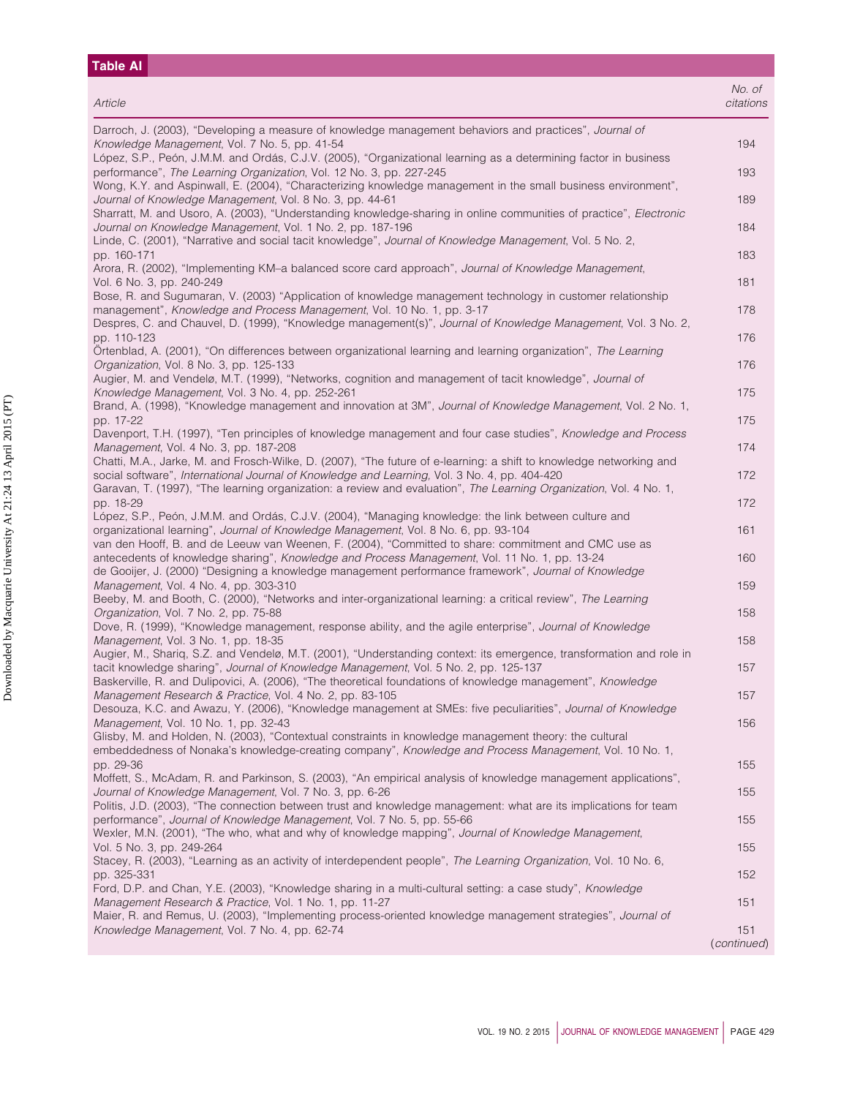# **Table AI** *Article No. of citations* Darroch, J. (2003), "Developing a measure of knowledge management behaviors and practices", *Journal of Knowledge Management*, Vol. 7 No. 5, pp. 41-54 194 López, S.P., Peón, J.M.M. and Ordás, C.J.V. (2005), "Organizational learning as a determining factor in business performance", *The Learning Organization*, Vol. 12 No. 3, pp. 227-245 193 Wong, K.Y. and Aspinwall, E. (2004), "Characterizing knowledge management in the small business environment", *Journal of Knowledge Management*, Vol. 8 No. 3, pp. 44-61 189 Sharratt, M. and Usoro, A. (2003), "Understanding knowledge-sharing in online communities of practice", *Electronic Journal on Knowledge Management*, Vol. 1 No. 2, pp. 187-196 184 Linde, C. (2001), "Narrative and social tacit knowledge", *Journal of Knowledge Management*, Vol. 5 No. 2, pp. 160-171 183 Arora, R. (2002), "Implementing KM–a balanced score card approach", *Journal of Knowledge Management*, Vol. 6 No. 3, pp. 240-249 181 Bose, R. and Sugumaran, V. (2003) "Application of knowledge management technology in customer relationship management", *Knowledge and Process Management*, Vol. 10 No. 1, pp. 3-17 178 178 178 Despres, C. and Chauvel, D. (1999), "Knowledge management(s)", *Journal of Knowledge Management*, Vol. 3 No. 2, pp. 110-123 176 Örtenblad, A. (2001), "On differences between organizational learning and learning organization", *The Learning Organization*, Vol. 8 No. 3, pp. 125-133 176 Augier, M. and Vendelø, M.T. (1999), "Networks, cognition and management of tacit knowledge", *Journal of* **Knowledge Management, Vol. 3 No. 4, pp. 252-261** 175 Brand, A. (1998), "Knowledge management and innovation at 3M", *Journal of Knowledge Management*, Vol. 2 No. 1, pp. 17-22 175 Davenport, T.H. (1997), "Ten principles of knowledge management and four case studies", *Knowledge and Process Management*, Vol. 4 No. 3, pp. 187-208 174 Chatti, M.A., Jarke, M. and Frosch-Wilke, D. (2007), "The future of e-learning: a shift to knowledge networking and social software", *International Journal of Knowledge and Learning*, Vol. 3 No. 4, pp. 404-420 172 Garavan, T. (1997), "The learning organization: a review and evaluation", *The Learning Organization*, Vol. 4 No. 1, pp. 18-29 172 López, S.P., Peón, J.M.M. and Ordás, C.J.V. (2004), "Managing knowledge: the link between culture and organizational learning", *Journal of Knowledge Management*, Vol. 8 No. 6, pp. 93-104 161 van den Hooff, B. and de Leeuw van Weenen, F. (2004), "Committed to share: commitment and CMC use as antecedents of knowledge sharing", *Knowledge and Process Management*, Vol. 11 No. 1, pp. 13-24 160 de Gooijer, J. (2000) "Designing a knowledge management performance framework", *Journal of Knowledge Management*, Vol. 4 No. 4, pp. 303-310 **159** 159 Beeby, M. and Booth, C. (2000), "Networks and inter-organizational learning: a critical review", *The Learning Organization*, Vol. 7 No. 2, pp. 75-88 158 Dove, R. (1999), "Knowledge management, response ability, and the agile enterprise", *Journal of Knowledge*

*Management*, Vol. 3 No. 1, pp. 18-35 158 Augier, M., Shariq, S.Z. and Vendelø, M.T. (2001), "Understanding context: its emergence, transformation and role in tacit knowledge sharing", *Journal of Knowledge Management*, Vol. 5 No. 2, pp. 125-137 157 Baskerville, R. and Dulipovici, A. (2006), "The theoretical foundations of knowledge management", *Knowledge Management Research & Practice*, Vol. 4 No. 2, pp. 83-105 157 Desouza, K.C. and Awazu, Y. (2006), "Knowledge management at SMEs: five peculiarities", *Journal of Knowledge Management*, Vol. 10 No. 1, pp. 32-43 156 Glisby, M. and Holden, N. (2003), "Contextual constraints in knowledge management theory: the cultural embeddedness of Nonaka's knowledge-creating company", *Knowledge and Process Management*, Vol. 10 No. 1, pp. 29-36 155 Moffett, S., McAdam, R. and Parkinson, S. (2003), "An empirical analysis of knowledge management applications", *Journal of Knowledge Management*, Vol. 7 No. 3, pp. 6-26 155 Politis, J.D. (2003), "The connection between trust and knowledge management: what are its implications for team performance", *Journal of Knowledge Management*, Vol. 7 No. 5, pp. 55-66 155 Wexler, M.N. (2001), "The who, what and why of knowledge mapping", *Journal of Knowledge Management*, Vol. 5 No. 3, pp. 249-264 155 Stacey, R. (2003), "Learning as an activity of interdependent people", *The Learning Organization*, Vol. 10 No. 6, pp. 325-331 152 Ford, D.P. and Chan, Y.E. (2003), "Knowledge sharing in a multi-cultural setting: a case study", *Knowledge Management Research & Practice*, Vol. 1 No. 1, pp. 11-27 151

Maier, R. and Remus, U. (2003), "Implementing process-oriented knowledge management strategies", *Journal of Knowledge Management*, Vol. 7 No. 4, pp. 62-74 151 (*continued*)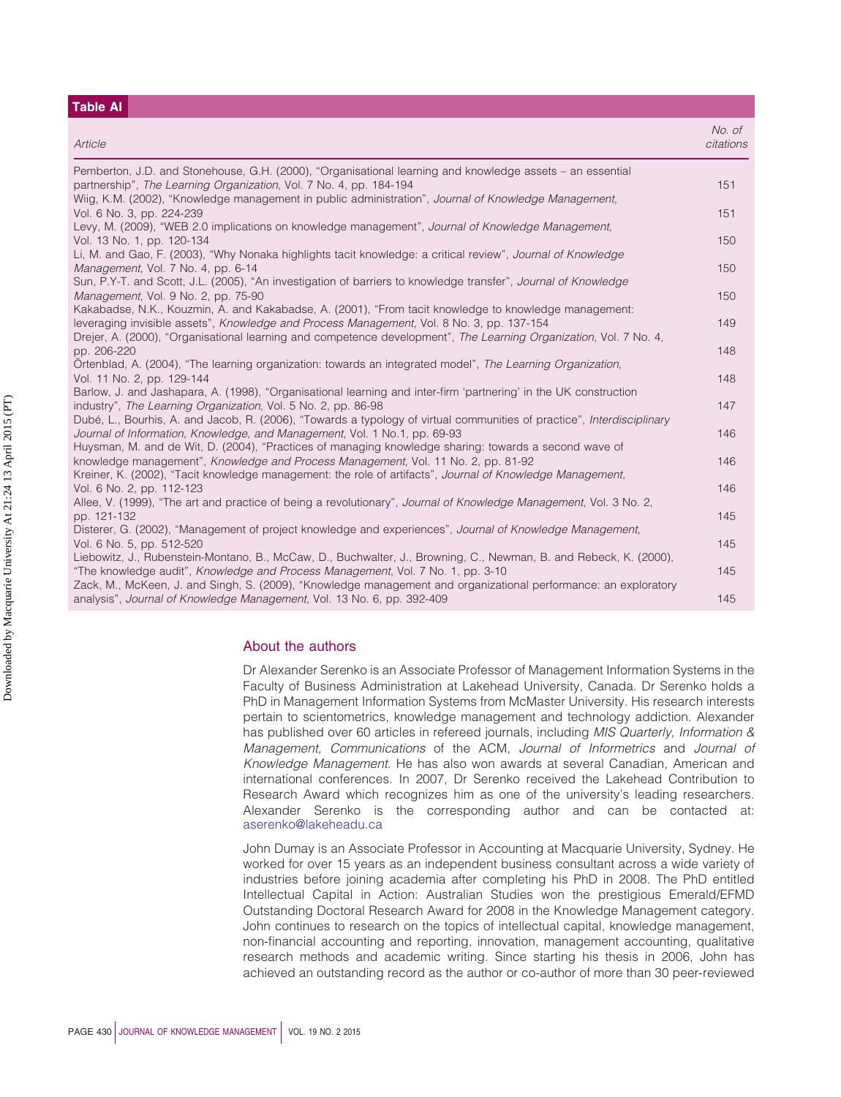# **Table AI**

| Article                                                                                                                                                                                              | No. of<br>citations |
|------------------------------------------------------------------------------------------------------------------------------------------------------------------------------------------------------|---------------------|
| Pemberton, J.D. and Stonehouse, G.H. (2000), "Organisational learning and knowledge assets - an essential<br>partnership", The Learning Organization, Vol. 7 No. 4, pp. 184-194                      | 151                 |
| Wiig, K.M. (2002), "Knowledge management in public administration", Journal of Knowledge Management,<br>Vol. 6 No. 3, pp. 224-239                                                                    | 151                 |
| Levy, M. (2009), "WEB 2.0 implications on knowledge management", Journal of Knowledge Management,<br>Vol. 13 No. 1, pp. 120-134                                                                      | 150                 |
| Li, M. and Gao, F. (2003), "Why Nonaka highlights tacit knowledge: a critical review", Journal of Knowledge<br>Management, Vol. 7 No. 4, pp. 6-14                                                    | 150                 |
| Sun, P.Y-T. and Scott, J.L. (2005), "An investigation of barriers to knowledge transfer", Journal of Knowledge<br>Management, Vol. 9 No. 2, pp. 75-90                                                | 150                 |
| Kakabadse, N.K., Kouzmin, A. and Kakabadse, A. (2001), "From tacit knowledge to knowledge management:<br>leveraging invisible assets", Knowledge and Process Management, Vol. 8 No. 3, pp. 137-154   | 149                 |
| Drejer, A. (2000), "Organisational learning and competence development", The Learning Organization, Vol. 7 No. 4,<br>pp. 206-220                                                                     | 148                 |
| Örtenblad, A. (2004), "The learning organization: towards an integrated model", The Learning Organization,<br>Vol. 11 No. 2, pp. 129-144                                                             | 148                 |
| Barlow, J. and Jashapara, A. (1998), "Organisational learning and inter-firm 'partnering' in the UK construction<br>industry", The Learning Organization, Vol. 5 No. 2, pp. 86-98                    | 147                 |
| Dubé, L., Bourhis, A. and Jacob, R. (2006), "Towards a typology of virtual communities of practice", Interdisciplinary<br>Journal of Information, Knowledge, and Management, Vol. 1 No.1, pp. 69-93  | 146                 |
| Huysman, M. and de Wit, D. (2004), "Practices of managing knowledge sharing: towards a second wave of<br>knowledge management", Knowledge and Process Management, Vol. 11 No. 2, pp. 81-92           | 146                 |
| Kreiner, K. (2002), "Tacit knowledge management: the role of artifacts", Journal of Knowledge Management,<br>Vol. 6 No. 2, pp. 112-123                                                               | 146                 |
| Allee, V. (1999), "The art and practice of being a revolutionary", Journal of Knowledge Management, Vol. 3 No. 2,<br>pp. 121-132                                                                     | 145                 |
| Disterer, G. (2002), "Management of project knowledge and experiences", Journal of Knowledge Management,<br>Vol. 6 No. 5, pp. 512-520                                                                | 145                 |
| Liebowitz, J., Rubenstein-Montano, B., McCaw, D., Buchwalter, J., Browning, C., Newman, B. and Rebeck, K. (2000),<br>"The knowledge audit", Knowledge and Process Management, Vol. 7 No. 1, pp. 3-10 | 145                 |
| Zack, M., McKeen, J. and Singh, S. (2009), "Knowledge management and organizational performance: an exploratory<br>analysis", Journal of Knowledge Management, Vol. 13 No. 6, pp. 392-409            | 145                 |

### About the authors

Dr Alexander Serenko is an Associate Professor of Management Information Systems in the Faculty of Business Administration at Lakehead University, Canada. Dr Serenko holds a PhD in Management Information Systems from McMaster University. His research interests pertain to scientometrics, knowledge management and technology addiction. Alexander has published over 60 articles in refereed journals, including *MIS Quarterly*, *Information & Management, Communications* of the ACM, *Journal of Informetrics* and *Journal of Knowledge Management*. He has also won awards at several Canadian, American and international conferences. In 2007, Dr Serenko received the Lakehead Contribution to Research Award which recognizes him as one of the university's leading researchers. Alexander Serenko is the corresponding author and can be contacted at: [aserenko@lakeheadu.ca](mailto:aserenko@lakeheadu.ca)

John Dumay is an Associate Professor in Accounting at Macquarie University, Sydney. He worked for over 15 years as an independent business consultant across a wide variety of industries before joining academia after completing his PhD in 2008. The PhD entitled Intellectual Capital in Action: Australian Studies won the prestigious Emerald/EFMD Outstanding Doctoral Research Award for 2008 in the Knowledge Management category. John continues to research on the topics of intellectual capital, knowledge management, non-financial accounting and reporting, innovation, management accounting, qualitative research methods and academic writing. Since starting his thesis in 2006, John has achieved an outstanding record as the author or co-author of more than 30 peer-reviewed